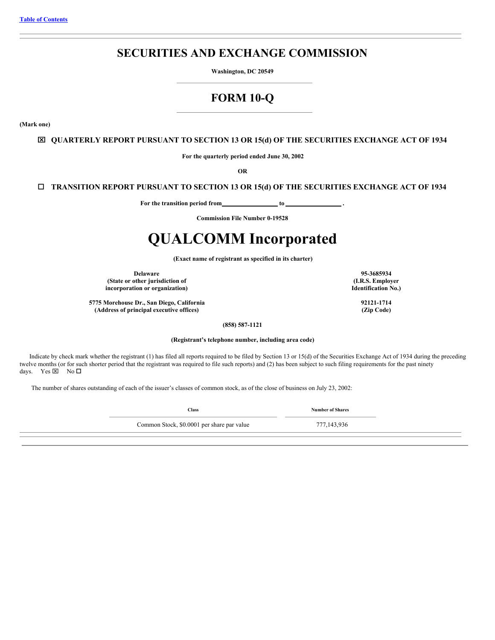## **SECURITIES AND EXCHANGE COMMISSION**

**Washington, DC 20549**

# **FORM 10-Q**

<span id="page-0-0"></span>**(Mark one)**

## x **QUARTERLY REPORT PURSUANT TO SECTION 13 OR 15(d) OF THE SECURITIES EXCHANGE ACT OF 1934**

**For the quarterly period ended June 30, 2002**

**OR**

## o **TRANSITION REPORT PURSUANT TO SECTION 13 OR 15(d) OF THE SECURITIES EXCHANGE ACT OF 1934**

**For the transition period from to .**

**Commission File Number 0-19528**

# **QUALCOMM Incorporated**

**(Exact name of registrant as specified in its charter)**

**Delaware (State or other jurisdiction of incorporation or organization)**

**5775 Morehouse Dr., San Diego, California (Address of principal executive offices)**

**(858) 587-1121 (Registrant's telephone number, including area code)**

Indicate by check mark whether the registrant (1) has filed all reports required to be filed by Section 13 or 15(d) of the Securities Exchange Act of 1934 during the preceding twelve months (or for such shorter period that the registrant was required to file such reports) and (2) has been subject to such filing requirements for the past ninety days. Yes  $\times$  No  $\Box$ 

The number of shares outstanding of each of the issuer's classes of common stock, as of the close of business on July 23, 2002:

**Class Number of Shares**

Common Stock, \$0.0001 per share par value 777,143,936

**95-3685934 (I.R.S. Employer Identification No.)**

> **92121-1714 (Zip Code)**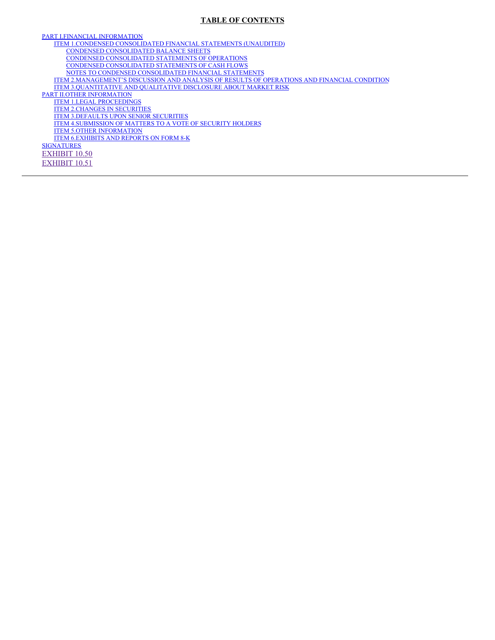## **TABLE OF CONTENTS**

PART I.FINANCIAL [INFORMATION](#page-3-0) ITEM 1.CONDENSED [CONSOLIDATED](#page-3-1) FINANCIAL STATEMENTS (UNAUDITED) CONDENSED [CONSOLIDATED](#page-3-2) BALANCE SHEETS CONDENSED [CONSOLIDATED](#page-4-0) STATEMENTS OF OPERATIONS CONDENSED [CONSOLIDATED](#page-5-0) STATEMENTS OF CASH FLOWS NOTES TO CONDENSED [CONSOLIDATED](#page-6-0) FINANCIAL STATEMENTS ITEM [2.MANAGEMENT'S](#page-21-0) DISCUSSION AND ANALYSIS OF RESULTS OF OPERATIONS AND FINANCIAL CONDITION ITEM [3.QUANTITATIVE](#page-49-0) AND QUALITATIVE DISCLOSURE ABOUT MARKET RISK PART II.OTHER [INFORMATION](#page-51-0) ITEM 1.LEGAL [PROCEEDINGS](#page-51-1) ITEM 2.CHANGES IN [SECURITIES](#page-51-2) ITEM [3.DEFAULTS](#page-51-3) UPON SENIOR SECURITIES ITEM [4.SUBMISSION](#page-51-4) OF MATTERS TO A VOTE OF SECURITY HOLDERS ITEM 5.OTHER [INFORMATION](#page-51-5) ITEM [6.EXHIBITS](#page-51-6) AND REPORTS ON FORM 8-K **[SIGNATURES](#page-53-0)** [EXHIBIT](#page-62-0) 10.50 [EXHIBIT](#page-75-0) 10.51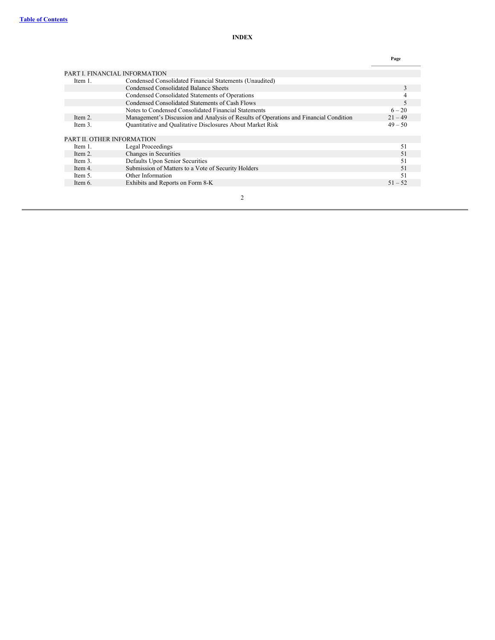|         |                                                                                       | Page      |
|---------|---------------------------------------------------------------------------------------|-----------|
|         | PART I. FINANCIAL INFORMATION                                                         |           |
| Item 1. | Condensed Consolidated Financial Statements (Unaudited)                               |           |
|         | Condensed Consolidated Balance Sheets                                                 | 3         |
|         | Condensed Consolidated Statements of Operations                                       |           |
|         | Condensed Consolidated Statements of Cash Flows                                       | 5         |
|         | Notes to Condensed Consolidated Financial Statements                                  | $6 - 20$  |
| Item 2. | Management's Discussion and Analysis of Results of Operations and Financial Condition | $21 - 49$ |
| Item 3. | Quantitative and Qualitative Disclosures About Market Risk                            | $49 - 50$ |
|         | PART II. OTHER INFORMATION                                                            |           |
| Item 1. | Legal Proceedings                                                                     | 51        |
| Item 2. | Changes in Securities                                                                 | 51        |
| Item 3. | Defaults Upon Senior Securities                                                       | 51        |
| Item 4. | Submission of Matters to a Vote of Security Holders                                   | 51        |
| Item 5. | Other Information                                                                     | 51        |
| Item 6. | Exhibits and Reports on Form 8-K                                                      | $51 - 52$ |
|         |                                                                                       |           |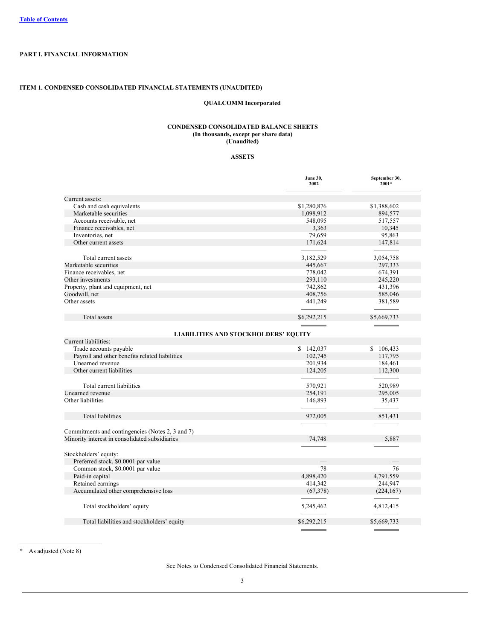## <span id="page-3-0"></span>**PART I. FINANCIAL INFORMATION**

## <span id="page-3-2"></span><span id="page-3-1"></span>**ITEM 1. CONDENSED CONSOLIDATED FINANCIAL STATEMENTS (UNAUDITED)**

## **QUALCOMM Incorporated**

## **CONDENSED CONSOLIDATED BALANCE SHEETS (In thousands, except per share data) (Unaudited)**

## **ASSETS**

|                                                  | <b>June 30,</b><br>2002  | September 30,<br>2001* |
|--------------------------------------------------|--------------------------|------------------------|
| Current assets:                                  |                          |                        |
| Cash and cash equivalents                        | \$1,280,876              | \$1,388,602            |
| Marketable securities                            | 1,098,912                | 894,577                |
| Accounts receivable, net                         | 548,095                  | 517,557                |
| Finance receivables, net                         | 3,363                    | 10,345                 |
| Inventories, net                                 | 79,659                   | 95,863                 |
| Other current assets                             | 171,624                  | 147,814                |
|                                                  |                          |                        |
| Total current assets                             | 3,182,529                | 3,054,758              |
| Marketable securities                            | 445,667                  | 297,333                |
| Finance receivables, net                         | 778,042                  | 674,391                |
| Other investments                                | 293,110                  | 245,220                |
| Property, plant and equipment, net               | 742,862                  | 431,396                |
| Goodwill, net                                    | 408,756                  | 585,046                |
| Other assets                                     | 441,249                  | 381,589                |
|                                                  |                          |                        |
|                                                  |                          |                        |
| <b>Total</b> assets                              | \$6,292,215              | \$5,669,733            |
|                                                  |                          |                        |
| <b>LIABILITIES AND STOCKHOLDERS' EQUITY</b>      |                          |                        |
| Current liabilities:                             |                          |                        |
| Trade accounts payable                           | \$142,037                | \$106,433              |
| Payroll and other benefits related liabilities   | 102,745                  | 117,795                |
| Unearned revenue                                 | 201,934                  | 184,461                |
| Other current liabilities                        | 124,205                  | 112,300                |
| Total current liabilities                        | 570,921                  | 520,989                |
| Unearned revenue                                 | 254,191                  | 295,005                |
| Other liabilities                                | 146,893                  | 35,437                 |
| <b>Total liabilities</b>                         | 972,005                  | 851,431                |
|                                                  |                          |                        |
| Commitments and contingencies (Notes 2, 3 and 7) |                          |                        |
| Minority interest in consolidated subsidiaries   | 74,748                   | 5,887                  |
|                                                  |                          |                        |
| Stockholders' equity:                            |                          |                        |
| Preferred stock, \$0.0001 par value              | $\overline{\phantom{0}}$ |                        |
| Common stock, \$0.0001 par value                 | 78                       | 76                     |
| Paid-in capital                                  | 4,898,420                | 4,791,559              |
| Retained earnings                                | 414,342                  | 244,947                |
| Accumulated other comprehensive loss             | (67, 378)                | (224, 167)             |
|                                                  |                          |                        |
| Total stockholders' equity                       | 5,245,462                | 4,812,415              |
| Total liabilities and stockholders' equity       | \$6,292,215              | \$5,669,733            |
|                                                  |                          |                        |

\* As adjusted (Note 8)

See Notes to Condensed Consolidated Financial Statements.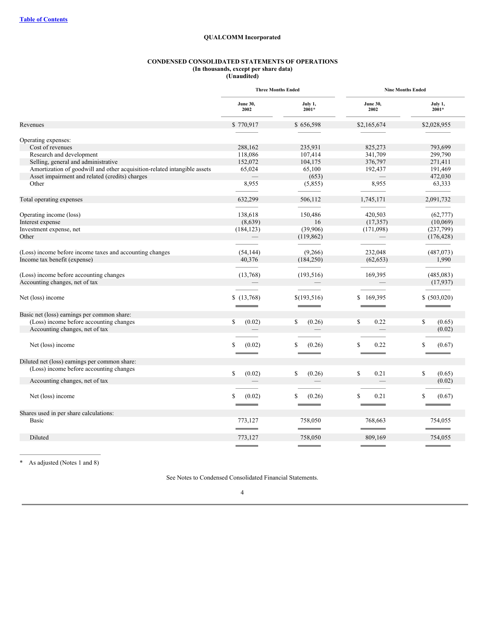## **QUALCOMM Incorporated**

## **CONDENSED CONSOLIDATED STATEMENTS OF OPERATIONS (In thousands, except per share data)**

**(Unaudited)**

<span id="page-4-0"></span>

|                                                                          | <b>Three Months Ended</b> |                           | <b>Nine Months Ended</b> |                                       |  |
|--------------------------------------------------------------------------|---------------------------|---------------------------|--------------------------|---------------------------------------|--|
|                                                                          | <b>June 30,</b><br>2002   | July 1,<br>$2001*$        | <b>June 30,</b><br>2002  | July 1,<br>2001*                      |  |
| Revenues                                                                 | \$770,917                 | \$656,598                 | \$2,165,674              | \$2,028,955                           |  |
| Operating expenses:                                                      |                           |                           |                          |                                       |  |
| Cost of revenues                                                         | 288,162                   | 235,931                   | 825,273                  | 793,699                               |  |
| Research and development                                                 | 118,086                   | 107,414                   | 341,709                  | 299,790                               |  |
| Selling, general and administrative                                      | 152,072                   | 104,175                   | 376,797                  | 271,411                               |  |
| Amortization of goodwill and other acquisition-related intangible assets | 65,024                    | 65,100                    | 192,437                  | 191,469                               |  |
| Asset impairment and related (credits) charges                           |                           | (653)                     |                          | 472,030                               |  |
| Other                                                                    | 8,955                     | (5,855)                   | 8,955                    | 63,333                                |  |
|                                                                          |                           |                           |                          |                                       |  |
| Total operating expenses                                                 | 632,299                   | 506,112                   | 1,745,171                | 2,091,732                             |  |
|                                                                          |                           |                           |                          |                                       |  |
| Operating income (loss)                                                  | 138,618                   | 150,486                   | 420,503                  | (62, 777)                             |  |
| Interest expense                                                         | (8,639)                   | 16                        | (17, 357)                | (10,069)                              |  |
| Investment expense, net                                                  | (184, 123)                | (39,906)                  | (171,098)                | (237,799)                             |  |
| Other                                                                    |                           | (119, 862)                |                          | (176, 428)                            |  |
|                                                                          |                           |                           |                          |                                       |  |
| (Loss) income before income taxes and accounting changes                 | (54, 144)                 | (9,266)                   | 232,048                  | (487,073)                             |  |
| Income tax benefit (expense)                                             | 40,376                    | (184, 250)                | (62, 653)                | 1,990                                 |  |
|                                                                          |                           |                           |                          |                                       |  |
| (Loss) income before accounting changes                                  | (13,768)                  | (193, 516)                | 169,395                  | (485, 083)                            |  |
| Accounting changes, net of tax                                           |                           |                           |                          | (17, 937)                             |  |
|                                                                          |                           |                           |                          |                                       |  |
| Net (loss) income                                                        | \$(13,768)                | \$(193, 516)              | 169,395<br>\$            | \$ (503,020)                          |  |
|                                                                          |                           |                           |                          |                                       |  |
| Basic net (loss) earnings per common share:                              |                           |                           |                          |                                       |  |
| (Loss) income before accounting changes                                  | \$<br>(0.02)              | \$<br>(0.26)              | \$<br>0.22               | \$<br>(0.65)                          |  |
| Accounting changes, net of tax                                           |                           |                           |                          | (0.02)                                |  |
|                                                                          |                           |                           |                          |                                       |  |
| Net (loss) income                                                        | \$<br>(0.02)              | S<br>(0.26)               | $\mathbb{S}$<br>0.22     | S<br>(0.67)                           |  |
|                                                                          |                           |                           |                          |                                       |  |
|                                                                          |                           |                           |                          |                                       |  |
| Diluted net (loss) earnings per common share:                            |                           |                           |                          |                                       |  |
| (Loss) income before accounting changes                                  | \$<br>(0.02)              | \$<br>(0.26)              | \$<br>0.21               | \$<br>(0.65)                          |  |
| Accounting changes, net of tax                                           |                           |                           |                          | (0.02)                                |  |
|                                                                          |                           |                           |                          |                                       |  |
| Net (loss) income                                                        | \$<br>(0.02)              | S<br>(0.26)               | <sup>\$</sup><br>0.21    | \$.<br>(0.67)                         |  |
|                                                                          |                           |                           |                          |                                       |  |
| Shares used in per share calculations:                                   |                           |                           |                          |                                       |  |
| Basic                                                                    | 773,127                   | 758,050                   | 768,663                  | 754,055                               |  |
|                                                                          |                           | <b>Service Controller</b> |                          | <b>The Committee of the Committee</b> |  |
| Diluted                                                                  | 773,127                   | 758,050                   | 809,169                  | 754,055                               |  |
|                                                                          |                           |                           |                          |                                       |  |

\* As adjusted (Notes 1 and 8)

See Notes to Condensed Consolidated Financial Statements.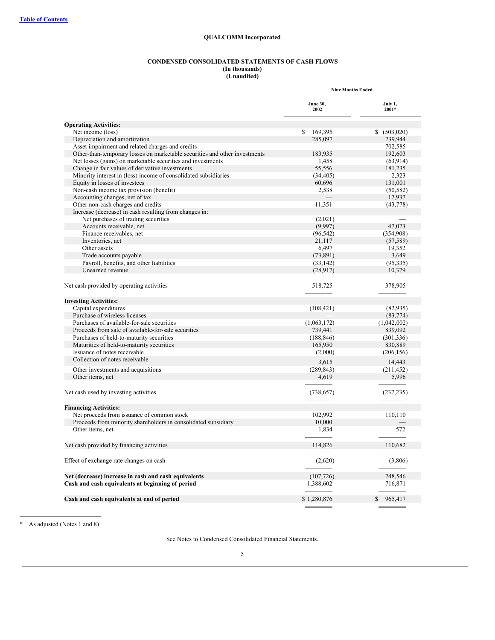## **QUALCOMM Incorporated**

#### **CONDENSED CONSOLIDATED STATEMENTS OF CASH FLOWS (In thousands)**

#### **(Unaudited)**

<span id="page-5-0"></span>

|                                                                            | <b>Nine Months Ended</b> |                          |
|----------------------------------------------------------------------------|--------------------------|--------------------------|
|                                                                            | <b>June 30,</b><br>2002  | July 1,<br>$2001*$       |
| <b>Operating Activities:</b>                                               |                          |                          |
| Net income (loss)                                                          | \$<br>169,395            | \$ (503,020)             |
| Depreciation and amortization                                              | 285,097                  | 239,944                  |
| Asset impairment and related charges and credits                           |                          | 702,585                  |
| Other-than-temporary losses on marketable securities and other investments | 183,935                  | 192,603                  |
| Net losses (gains) on marketable securities and investments                | 1,458                    | (63, 914)                |
| Change in fair values of derivative investments                            | 55,556                   | 181,235                  |
| Minority interest in (loss) income of consolidated subsidiaries            | (34, 405)                | 2,323                    |
| Equity in losses of investees                                              | 60,696                   | 131,001                  |
| Non-cash income tax provision (benefit)                                    | 2,538                    | (50, 582)                |
| Accounting changes, net of tax                                             |                          | 17,937                   |
| Other non-cash charges and credits                                         | 11,351                   | (43, 778)                |
| Increase (decrease) in cash resulting from changes in:                     |                          |                          |
| Net purchases of trading securities                                        | (2,021)                  |                          |
| Accounts receivable, net                                                   | (9,997)                  | 47,023                   |
| Finance receivables, net                                                   | (96, 542)                | (354,908)                |
| Inventories, net                                                           | 21,117                   | (57, 589)                |
| Other assets                                                               | 6,497                    | 19,352                   |
| Trade accounts payable                                                     | (73, 891)                | 3,649                    |
| Payroll, benefits, and other liabilities                                   | (33, 142)                | (95, 335)                |
| Unearned revenue                                                           | (28,917)                 | 10,379                   |
|                                                                            |                          |                          |
| Net cash provided by operating activities                                  | 518,725                  | 378,905                  |
| <b>Investing Activities:</b>                                               |                          |                          |
| Capital expenditures                                                       | (108, 421)               | (82, 935)                |
| Purchase of wireless licenses                                              |                          | (83, 774)                |
| Purchases of available-for-sale securities                                 | (1,063,172)              | (1,042,002)              |
| Proceeds from sale of available-for-sale securities                        | 739,441                  | 839,092                  |
| Purchases of held-to-maturity securities                                   | (188, 846)               | (301, 336)               |
| Maturities of held-to-maturity securities                                  | 165,950                  | 830,889                  |
| Issuance of notes receivable                                               | (2,000)                  | (206, 156)               |
| Collection of notes receivable                                             | 3,615                    | 14,443                   |
| Other investments and acquisitions                                         | (289, 843)               | (211, 452)               |
| Other items, net                                                           | 4,619                    | 5,996                    |
|                                                                            |                          |                          |
| Net cash used by investing activities                                      | (738, 657)               | (237, 235)               |
| <b>Financing Activities:</b>                                               |                          |                          |
| Net proceeds from issuance of common stock                                 | 102,992                  | 110,110                  |
| Proceeds from minority shareholders in consolidated subsidiary             | 10,000                   |                          |
| Other items, net                                                           | 1,834                    | 572                      |
|                                                                            |                          |                          |
| Net cash provided by financing activities                                  | 114,826                  | 110,682                  |
| Effect of exchange rate changes on cash                                    | (2,620)                  | (3,806)                  |
| Net (decrease) increase in cash and cash equivalents                       | (107, 726)               | 248,546                  |
| Cash and cash equivalents at beginning of period                           | 1,388,602                | 716,871                  |
|                                                                            |                          |                          |
| Cash and cash equivalents at end of period                                 | \$1,280,876              | $\mathcal{S}$<br>965,417 |

\* As adjusted (Notes 1 and 8)

See Notes to Condensed Consolidated Financial Statements.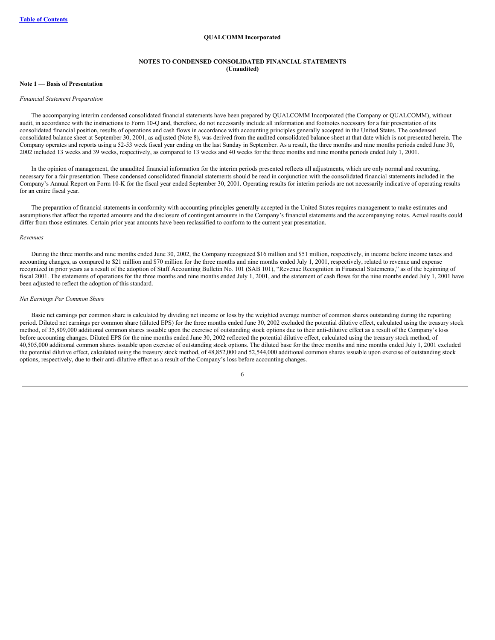#### **QUALCOMM Incorporated**

## **NOTES TO CONDENSED CONSOLIDATED FINANCIAL STATEMENTS (Unaudited)**

## <span id="page-6-0"></span>**Note 1 — Basis of Presentation**

#### *Financial Statement Preparation*

The accompanying interim condensed consolidated financial statements have been prepared by QUALCOMM Incorporated (the Company or QUALCOMM), without audit, in accordance with the instructions to Form 10-Q and, therefore, do not necessarily include all information and footnotes necessary for a fair presentation of its consolidated financial position, results of operations and cash flows in accordance with accounting principles generally accepted in the United States. The condensed consolidated balance sheet at September 30, 2001, as adjusted (Note 8), was derived from the audited consolidated balance sheet at that date which is not presented herein. The Company operates and reports using a 52-53 week fiscal year ending on the last Sunday in September. As a result, the three months and nine months periods ended June 30, 2002 included 13 weeks and 39 weeks, respectively, as compared to 13 weeks and 40 weeks for the three months and nine months periods ended July 1, 2001.

In the opinion of management, the unaudited financial information for the interim periods presented reflects all adjustments, which are only normal and recurring, necessary for a fair presentation. These condensed consolidated financial statements should be read in conjunction with the consolidated financial statements included in the Company's Annual Report on Form 10-K for the fiscal year ended September 30, 2001. Operating results for interim periods are not necessarily indicative of operating results for an entire fiscal year.

The preparation of financial statements in conformity with accounting principles generally accepted in the United States requires management to make estimates and assumptions that affect the reported amounts and the disclosure of contingent amounts in the Company's financial statements and the accompanying notes. Actual results could differ from those estimates. Certain prior year amounts have been reclassified to conform to the current year presentation.

#### *Revenues*

During the three months and nine months ended June 30, 2002, the Company recognized \$16 million and \$51 million, respectively, in income before income taxes and accounting changes, as compared to \$21 million and \$70 million for the three months and nine months ended July 1, 2001, respectively, related to revenue and expense recognized in prior years as a result of the adoption of Staff Accounting Bulletin No. 101 (SAB 101), "Revenue Recognition in Financial Statements," as of the beginning of fiscal 2001. The statements of operations for the three months and nine months ended July 1, 2001, and the statement of cash flows for the nine months ended July 1, 2001 have been adjusted to reflect the adoption of this standard.

#### *Net Earnings Per Common Share*

Basic net earnings per common share is calculated by dividing net income or loss by the weighted average number of common shares outstanding during the reporting period. Diluted net earnings per common share (diluted EPS) for the three months ended June 30, 2002 excluded the potential dilutive effect, calculated using the treasury stock method, of 35,809,000 additional common shares issuable upon the exercise of outstanding stock options due to their anti-dilutive effect as a result of the Company's loss before accounting changes. Diluted EPS for the nine months ended June 30, 2002 reflected the potential dilutive effect, calculated using the treasury stock method, of 40,505,000 additional common shares issuable upon exercise of outstanding stock options. The diluted base for the three months and nine months ended July 1, 2001 excluded the potential dilutive effect, calculated using the treasury stock method, of 48,852,000 and 52,544,000 additional common shares issuable upon exercise of outstanding stock options, respectively, due to their anti-dilutive effect as a result of the Company's loss before accounting changes.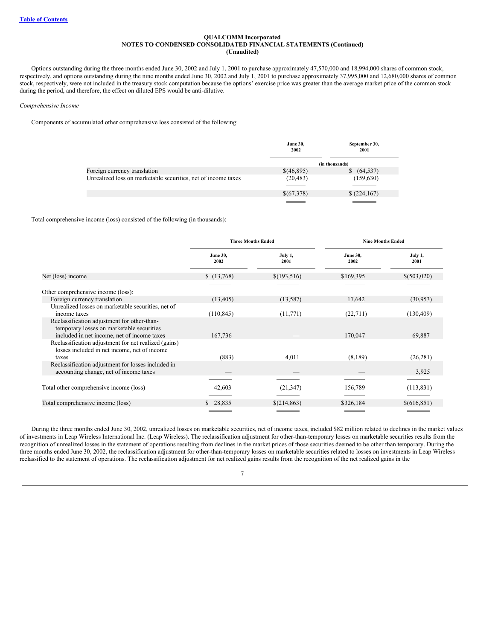Options outstanding during the three months ended June 30, 2002 and July 1, 2001 to purchase approximately 47,570,000 and 18,994,000 shares of common stock, respectively, and options outstanding during the nine months ended June 30, 2002 and July 1, 2001 to purchase approximately 37,995,000 and 12,680,000 shares of common stock, respectively, were not included in the treasury stock computation because the options' exercise price was greater than the average market price of the common stock during the period, and therefore, the effect on diluted EPS would be anti-dilutive.

*Comprehensive Income*

Components of accumulated other comprehensive loss consisted of the following:

|                                                               | <b>June 30,</b><br>2002 | September 30,<br>2001 |
|---------------------------------------------------------------|-------------------------|-----------------------|
|                                                               |                         | (in thousands)        |
| Foreign currency translation                                  | \$(46,895)              | (64, 537)<br>S.       |
| Unrealized loss on marketable securities, net of income taxes | (20, 483)               | (159, 630)            |
|                                                               | \$(67,378)              | (224,167)             |
|                                                               |                         |                       |

Total comprehensive income (loss) consisted of the following (in thousands):

|                                                                                                                                         | <b>Three Months Ended</b> |                 | <b>Nine Months Ended</b> |                 |
|-----------------------------------------------------------------------------------------------------------------------------------------|---------------------------|-----------------|--------------------------|-----------------|
|                                                                                                                                         | <b>June 30,</b><br>2002   | July 1,<br>2001 | <b>June 30.</b><br>2002  | July 1,<br>2001 |
| Net (loss) income                                                                                                                       | \$(13,768)                | \$(193,516)     | \$169,395                | \$(503,020)     |
| Other comprehensive income (loss):                                                                                                      |                           |                 |                          |                 |
| Foreign currency translation                                                                                                            | (13, 405)                 | (13, 587)       | 17,642                   | (30,953)        |
| Unrealized losses on marketable securities, net of                                                                                      |                           |                 |                          |                 |
| income taxes                                                                                                                            | (110, 845)                | (11,771)        | (22, 711)                | (130, 409)      |
| Reclassification adjustment for other-than-<br>temporary losses on marketable securities<br>included in net income, net of income taxes | 167,736                   |                 | 170,047                  | 69,887          |
| Reclassification adjustment for net realized (gains)<br>losses included in net income, net of income                                    |                           |                 |                          |                 |
| taxes                                                                                                                                   | (883)                     | 4,011           | (8,189)                  | (26, 281)       |
| Reclassification adjustment for losses included in<br>accounting change, net of income taxes                                            |                           |                 |                          | 3,925           |
|                                                                                                                                         |                           |                 |                          |                 |
| Total other comprehensive income (loss)                                                                                                 | 42,603                    | (21, 347)       | 156,789                  | (113, 831)      |
| Total comprehensive income (loss)                                                                                                       | \$28,835                  | \$(214,863)     | \$326,184                | \$(616,851)     |
|                                                                                                                                         |                           |                 |                          |                 |

During the three months ended June 30, 2002, unrealized losses on marketable securities, net of income taxes, included \$82 million related to declines in the market values of investments in Leap Wireless International Inc. (Leap Wireless). The reclassification adjustment for other-than-temporary losses on marketable securities results from the recognition of unrealized losses in the statement of operations resulting from declines in the market prices of those securities deemed to be other than temporary. During the three months ended June 30, 2002, the reclassification adjustment for other-than-temporary losses on marketable securities related to losses on investments in Leap Wireless reclassified to the statement of operations. The reclassification adjustment for net realized gains results from the recognition of the net realized gains in the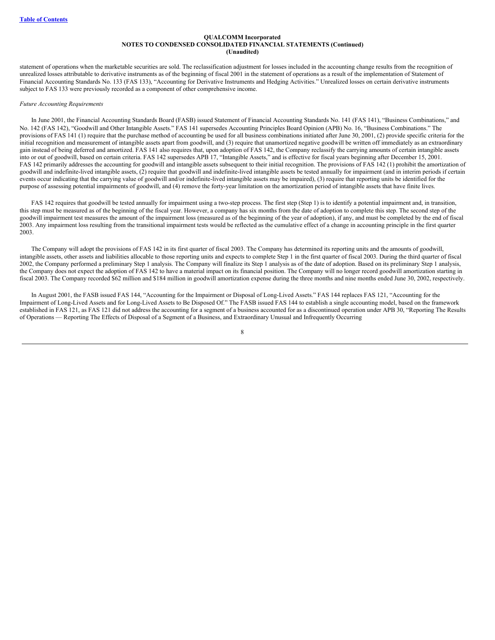statement of operations when the marketable securities are sold. The reclassification adjustment for losses included in the accounting change results from the recognition of unrealized losses attributable to derivative instruments as of the beginning of fiscal 2001 in the statement of operations as a result of the implementation of Statement of Financial Accounting Standards No. 133 (FAS 133), "Accounting for Derivative Instruments and Hedging Activities." Unrealized losses on certain derivative instruments subject to FAS 133 were previously recorded as a component of other comprehensive income.

#### *Future Accounting Requirements*

In June 2001, the Financial Accounting Standards Board (FASB) issued Statement of Financial Accounting Standards No. 141 (FAS 141), "Business Combinations," and No. 142 (FAS 142), "Goodwill and Other Intangible Assets." FAS 141 supersedes Accounting Principles Board Opinion (APB) No. 16, "Business Combinations." The provisions of FAS 141 (1) require that the purchase method of accounting be used for all business combinations initiated after June 30, 2001, (2) provide specific criteria for the initial recognition and measurement of intangible assets apart from goodwill, and (3) require that unamortized negative goodwill be written off immediately as an extraordinary gain instead of being deferred and amortized. FAS 141 also requires that, upon adoption of FAS 142, the Company reclassify the carrying amounts of certain intangible assets into or out of goodwill, based on certain criteria. FAS 142 supersedes APB 17, "Intangible Assets," and is effective for fiscal years beginning after December 15, 2001. FAS 142 primarily addresses the accounting for goodwill and intangible assets subsequent to their initial recognition. The provisions of FAS 142 (1) prohibit the amortization of goodwill and indefinite-lived intangible assets, (2) require that goodwill and indefinite-lived intangible assets be tested annually for impairment (and in interim periods if certain events occur indicating that the carrying value of goodwill and/or indefinite-lived intangible assets may be impaired), (3) require that reporting units be identified for the purpose of assessing potential impairments of goodwill, and (4) remove the forty-year limitation on the amortization period of intangible assets that have finite lives.

FAS 142 requires that goodwill be tested annually for impairment using a two-step process. The first step (Step 1) is to identify a potential impairment and, in transition, this step must be measured as of the beginning of the fiscal year. However, a company has six months from the date of adoption to complete this step. The second step of the goodwill impairment test measures the amount of the impairment loss (measured as of the beginning of the year of adoption), if any, and must be completed by the end of fiscal 2003. Any impairment loss resulting from the transitional impairment tests would be reflected as the cumulative effect of a change in accounting principle in the first quarter 2003.

The Company will adopt the provisions of FAS 142 in its first quarter of fiscal 2003. The Company has determined its reporting units and the amounts of goodwill, intangible assets, other assets and liabilities allocable to those reporting units and expects to complete Step 1 in the first quarter of fiscal 2003. During the third quarter of fiscal 2002, the Company performed a preliminary Step 1 analysis. The Company will finalize its Step 1 analysis as of the date of adoption. Based on its preliminary Step 1 analysis, the Company does not expect the adoption of FAS 142 to have a material impact on its financial position. The Company will no longer record goodwill amortization starting in fiscal 2003. The Company recorded \$62 million and \$184 million in goodwill amortization expense during the three months and nine months ended June 30, 2002, respectively.

In August 2001, the FASB issued FAS 144, "Accounting for the Impairment or Disposal of Long-Lived Assets." FAS 144 replaces FAS 121, "Accounting for the Impairment of Long-Lived Assets and for Long-Lived Assets to Be Disposed Of." The FASB issued FAS 144 to establish a single accounting model, based on the framework established in FAS 121, as FAS 121 did not address the accounting for a segment of a business accounted for as a discontinued operation under APB 30, "Reporting The Results of Operations — Reporting The Effects of Disposal of a Segment of a Business, and Extraordinary Unusual and Infrequently Occurring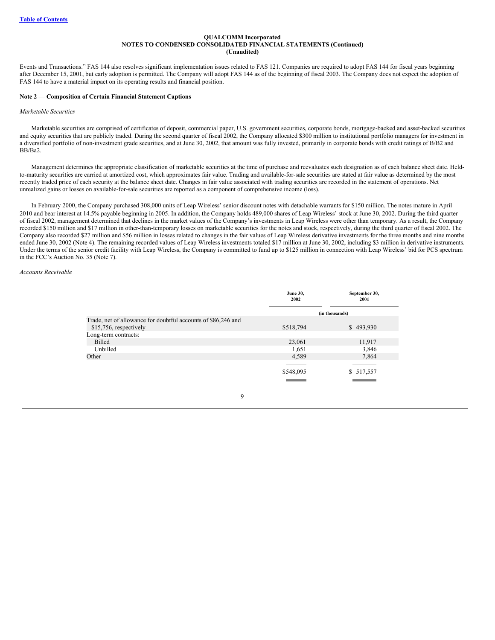Events and Transactions." FAS 144 also resolves significant implementation issues related to FAS 121. Companies are required to adopt FAS 144 for fiscal years beginning after December 15, 2001, but early adoption is permitted. The Company will adopt FAS 144 as of the beginning of fiscal 2003. The Company does not expect the adoption of FAS 144 to have a material impact on its operating results and financial position.

#### **Note 2 — Composition of Certain Financial Statement Captions**

#### *Marketable Securities*

Marketable securities are comprised of certificates of deposit, commercial paper, U.S. government securities, corporate bonds, mortgage-backed and asset-backed securities and equity securities that are publicly traded. During the second quarter of fiscal 2002, the Company allocated \$300 million to institutional portfolio managers for investment in a diversified portfolio of non-investment grade securities, and at June 30, 2002, that amount was fully invested, primarily in corporate bonds with credit ratings of B/B2 and BB/Ba2.

Management determines the appropriate classification of marketable securities at the time of purchase and reevaluates such designation as of each balance sheet date. Heldto-maturity securities are carried at amortized cost, which approximates fair value. Trading and available-for-sale securities are stated at fair value as determined by the most recently traded price of each security at the balance sheet date. Changes in fair value associated with trading securities are recorded in the statement of operations. Net unrealized gains or losses on available-for-sale securities are reported as a component of comprehensive income (loss).

In February 2000, the Company purchased 308,000 units of Leap Wireless' senior discount notes with detachable warrants for \$150 million. The notes mature in April 2010 and bear interest at 14.5% payable beginning in 2005. In addition, the Company holds 489,000 shares of Leap Wireless' stock at June 30, 2002. During the third quarter of fiscal 2002, management determined that declines in the market values of the Company's investments in Leap Wireless were other than temporary. As a result, the Company recorded \$150 million and \$17 million in other-than-temporary losses on marketable securities for the notes and stock, respectively, during the third quarter of fiscal 2002. The Company also recorded \$27 million and \$56 million in losses related to changes in the fair values of Leap Wireless derivative investments for the three months and nine months ended June 30, 2002 (Note 4). The remaining recorded values of Leap Wireless investments totaled \$17 million at June 30, 2002, including \$3 million in derivative instruments. Under the terms of the senior credit facility with Leap Wireless, the Company is committed to fund up to \$125 million in connection with Leap Wireless' bid for PCS spectrum in the FCC's Auction No. 35 (Note 7).

#### *Accounts Receivable*

|                                                               | <b>June 30,</b><br>2002 | September 30,<br>2001 |
|---------------------------------------------------------------|-------------------------|-----------------------|
|                                                               |                         | (in thousands)        |
| Trade, net of allowance for doubtful accounts of \$86,246 and |                         |                       |
| \$15,756, respectively                                        | \$518,794               | \$493,930             |
| Long-term contracts:                                          |                         |                       |
| Billed                                                        | 23,061                  | 11,917                |
| Unbilled                                                      | 1,651                   | 3,846                 |
| Other                                                         | 4,589                   | 7,864                 |
|                                                               |                         |                       |
|                                                               | \$548,095               | \$ 517,557            |
|                                                               |                         |                       |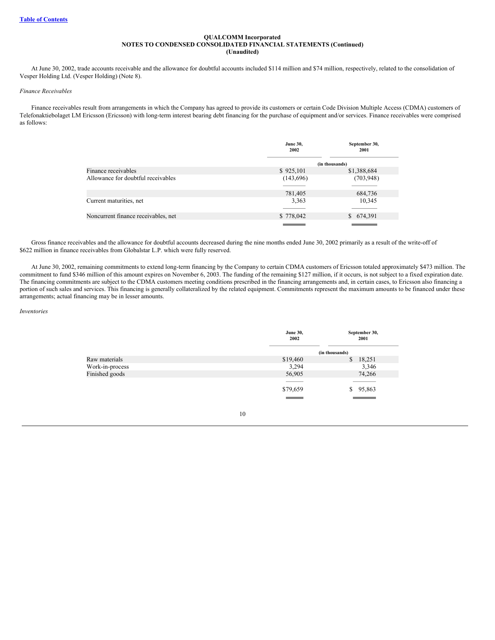At June 30, 2002, trade accounts receivable and the allowance for doubtful accounts included \$114 million and \$74 million, respectively, related to the consolidation of Vesper Holding Ltd. (Vesper Holding) (Note 8).

#### *Finance Receivables*

Finance receivables result from arrangements in which the Company has agreed to provide its customers or certain Code Division Multiple Access (CDMA) customers of Telefonaktiebolaget LM Ericsson (Ericsson) with long-term interest bearing debt financing for the purchase of equipment and/or services. Finance receivables were comprised as follows:

|                                     | <b>June 30,</b><br>2002 | September 30,<br>2001 |
|-------------------------------------|-------------------------|-----------------------|
|                                     |                         | (in thousands)        |
| Finance receivables                 | \$925,101               | \$1,388,684           |
| Allowance for doubtful receivables  | (143, 696)              | (703, 948)            |
|                                     |                         |                       |
|                                     | 781,405                 | 684,736               |
| Current maturities, net             | 3,363                   | 10,345                |
|                                     |                         |                       |
| Noncurrent finance receivables, net | \$778,042               | \$ 674,391            |
|                                     |                         |                       |

Gross finance receivables and the allowance for doubtful accounts decreased during the nine months ended June 30, 2002 primarily as a result of the write-off of \$622 million in finance receivables from Globalstar L.P. which were fully reserved.

At June 30, 2002, remaining commitments to extend long-term financing by the Company to certain CDMA customers of Ericsson totaled approximately \$473 million. The commitment to fund \$346 million of this amount expires on November 6, 2003. The funding of the remaining \$127 million, if it occurs, is not subject to a fixed expiration date. The financing commitments are subject to the CDMA customers meeting conditions prescribed in the financing arrangements and, in certain cases, to Ericsson also financing a portion of such sales and services. This financing is generally collateralized by the related equipment. Commitments represent the maximum amounts to be financed under these arrangements; actual financing may be in lesser amounts.

#### *Inventories*

|                 | <b>June 30,</b><br>2002 | September 30,<br>2001 |  |
|-----------------|-------------------------|-----------------------|--|
|                 |                         | (in thousands)        |  |
| Raw materials   | \$19,460                | 18,251<br>\$          |  |
| Work-in-process | 3,294                   | 3,346                 |  |
| Finished goods  | 56,905                  | 74,266                |  |
|                 | -----                   |                       |  |
|                 | \$79,659                | \$95,863              |  |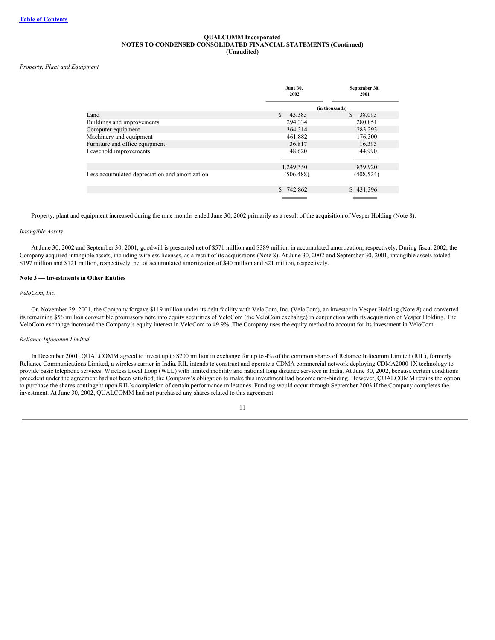#### *Property, Plant and Equipment*

|                                                | <b>June 30,</b><br>2002 | September 30,<br>2001   |
|------------------------------------------------|-------------------------|-------------------------|
|                                                |                         | (in thousands)          |
| Land                                           | \$.<br>43,383           | <sup>\$</sup><br>38,093 |
| Buildings and improvements                     | 294,334                 | 280,851                 |
| Computer equipment                             | 364,314                 | 283,293                 |
| Machinery and equipment                        | 461,882                 | 176,300                 |
| Furniture and office equipment                 | 36,817                  | 16,393                  |
| Leasehold improvements                         | 48,620                  | 44,990                  |
|                                                |                         |                         |
|                                                | 1,249,350               | 839,920                 |
| Less accumulated depreciation and amortization | (506, 488)              | (408, 524)              |
|                                                |                         |                         |
|                                                | \$742,862               | \$431,396               |
|                                                |                         |                         |

Property, plant and equipment increased during the nine months ended June 30, 2002 primarily as a result of the acquisition of Vesper Holding (Note 8).

#### *Intangible Assets*

At June 30, 2002 and September 30, 2001, goodwill is presented net of \$571 million and \$389 million in accumulated amortization, respectively. During fiscal 2002, the Company acquired intangible assets, including wireless licenses, as a result of its acquisitions (Note 8). At June 30, 2002 and September 30, 2001, intangible assets totaled \$197 million and \$121 million, respectively, net of accumulated amortization of \$40 million and \$21 million, respectively.

#### **Note 3 — Investments in Other Entities**

#### *VeloCom, Inc.*

On November 29, 2001, the Company forgave \$119 million under its debt facility with VeloCom, Inc. (VeloCom), an investor in Vesper Holding (Note 8) and converted its remaining \$56 million convertible promissory note into equity securities of VeloCom (the VeloCom exchange) in conjunction with its acquisition of Vesper Holding. The VeloCom exchange increased the Company's equity interest in VeloCom to 49.9%. The Company uses the equity method to account for its investment in VeloCom.

#### *Reliance Infocomm Limited*

In December 2001, QUALCOMM agreed to invest up to \$200 million in exchange for up to 4% of the common shares of Reliance Infocomm Limited (RIL), formerly Reliance Communications Limited, a wireless carrier in India. RIL intends to construct and operate a CDMA commercial network deploying CDMA2000 1X technology to provide basic telephone services, Wireless Local Loop (WLL) with limited mobility and national long distance services in India. At June 30, 2002, because certain conditions precedent under the agreement had not been satisfied, the Company's obligation to make this investment had become non-binding. However, QUALCOMM retains the option to purchase the shares contingent upon RIL's completion of certain performance milestones. Funding would occur through September 2003 if the Company completes the investment. At June 30, 2002, QUALCOMM had not purchased any shares related to this agreement.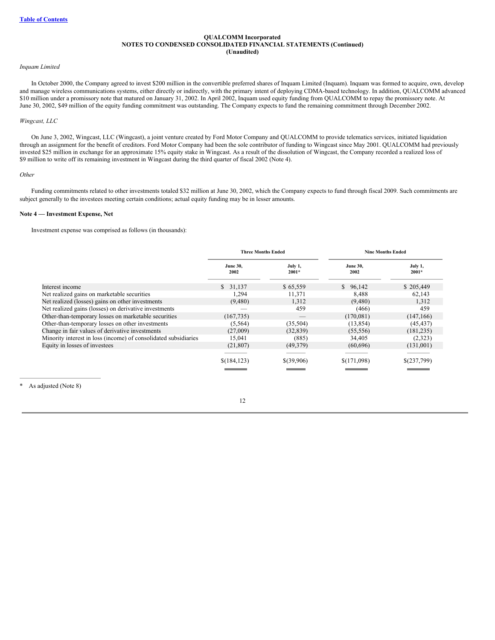#### *Inquam Limited*

In October 2000, the Company agreed to invest \$200 million in the convertible preferred shares of Inquam Limited (Inquam). Inquam was formed to acquire, own, develop and manage wireless communications systems, either directly or indirectly, with the primary intent of deploying CDMA-based technology. In addition, QUALCOMM advanced \$10 million under a promissory note that matured on January 31, 2002. In April 2002, Inquam used equity funding from QUALCOMM to repay the promissory note. At June 30, 2002, \$49 million of the equity funding commitment was outstanding. The Company expects to fund the remaining commitment through December 2002.

#### *Wingcast, LLC*

On June 3, 2002, Wingcast, LLC (Wingcast), a joint venture created by Ford Motor Company and QUALCOMM to provide telematics services, initiated liquidation through an assignment for the benefit of creditors. Ford Motor Company had been the sole contributor of funding to Wingcast since May 2001. QUALCOMM had previously invested \$25 million in exchange for an approximate 15% equity stake in Wingcast. As a result of the dissolution of Wingcast, the Company recorded a realized loss of \$9 million to write off its remaining investment in Wingcast during the third quarter of fiscal 2002 (Note 4).

#### *Other*

Funding commitments related to other investments totaled \$32 million at June 30, 2002, which the Company expects to fund through fiscal 2009. Such commitments are subject generally to the investees meeting certain conditions; actual equity funding may be in lesser amounts.

#### **Note 4 — Investment Expense, Net**

Investment expense was comprised as follows (in thousands):

|                                                                 | <b>Three Months Ended</b> |                    | <b>Nine Months Ended</b> |                    |  |
|-----------------------------------------------------------------|---------------------------|--------------------|--------------------------|--------------------|--|
|                                                                 | <b>June 30,</b><br>2002   | July 1,<br>$2001*$ | <b>June 30,</b><br>2002  | July 1,<br>$2001*$ |  |
| Interest income                                                 | \$31,137                  | \$65,559           | \$96,142                 | \$205,449          |  |
| Net realized gains on marketable securities                     | 1,294                     | 11,371             | 8.488                    | 62,143             |  |
| Net realized (losses) gains on other investments                | (9,480)                   | 1,312              | (9,480)                  | 1.312              |  |
| Net realized gains (losses) on derivative investments           |                           | 459                | (466)                    | 459                |  |
| Other-than-temporary losses on marketable securities            | (167, 735)                |                    | (170,081)                | (147, 166)         |  |
| Other-than-temporary losses on other investments                | (5,564)                   | (35, 504)          | (13, 854)                | (45, 437)          |  |
| Change in fair values of derivative investments                 | (27,009)                  | (32, 839)          | (55, 556)                | (181, 235)         |  |
| Minority interest in loss (income) of consolidated subsidiaries | 15,041                    | (885)              | 34,405                   | (2,323)            |  |
| Equity in losses of investees                                   | (21, 807)                 | (49,379)           | (60, 696)                | (131,001)          |  |
|                                                                 |                           |                    |                          |                    |  |
|                                                                 | \$(184,123)               | \$(39,906)         | \$(171,098)              | \$(237,799)        |  |
|                                                                 |                           |                    |                          |                    |  |

As adjusted (Note 8)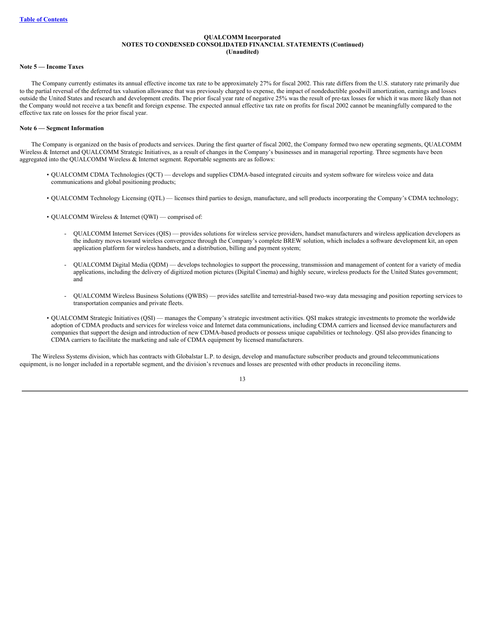#### **Note 5 — Income Taxes**

The Company currently estimates its annual effective income tax rate to be approximately 27% for fiscal 2002. This rate differs from the U.S. statutory rate primarily due to the partial reversal of the deferred tax valuation allowance that was previously charged to expense, the impact of nondeductible goodwill amortization, earnings and losses outside the United States and research and development credits. The prior fiscal year rate of negative 25% was the result of pre-tax losses for which it was more likely than not the Company would not receive a tax benefit and foreign expense. The expected annual effective tax rate on profits for fiscal 2002 cannot be meaningfully compared to the effective tax rate on losses for the prior fiscal year.

## **Note 6 — Segment Information**

The Company is organized on the basis of products and services. During the first quarter of fiscal 2002, the Company formed two new operating segments, QUALCOMM Wireless & Internet and QUALCOMM Strategic Initiatives, as a result of changes in the Company's businesses and in managerial reporting. Three segments have been aggregated into the QUALCOMM Wireless & Internet segment. Reportable segments are as follows:

- QUALCOMM CDMA Technologies (QCT) develops and supplies CDMA-based integrated circuits and system software for wireless voice and data communications and global positioning products;
- QUALCOMM Technology Licensing (QTL) licenses third parties to design, manufacture, and sell products incorporating the Company's CDMA technology;
- QUALCOMM Wireless & Internet (QWI) comprised of:
	- QUALCOMM Internet Services (QIS) provides solutions for wireless service providers, handset manufacturers and wireless application developers as the industry moves toward wireless convergence through the Company's complete BREW solution, which includes a software development kit, an open application platform for wireless handsets, and a distribution, billing and payment system;
	- QUALCOMM Digital Media (QDM) develops technologies to support the processing, transmission and management of content for a variety of media applications, including the delivery of digitized motion pictures (Digital Cinema) and highly secure, wireless products for the United States government; and
	- QUALCOMM Wireless Business Solutions (QWBS) provides satellite and terrestrial-based two-way data messaging and position reporting services to transportation companies and private fleets.
- QUALCOMM Strategic Initiatives (QSI) manages the Company's strategic investment activities. QSI makes strategic investments to promote the worldwide adoption of CDMA products and services for wireless voice and Internet data communications, including CDMA carriers and licensed device manufacturers and companies that support the design and introduction of new CDMA-based products or possess unique capabilities or technology. QSI also provides financing to CDMA carriers to facilitate the marketing and sale of CDMA equipment by licensed manufacturers.

The Wireless Systems division, which has contracts with Globalstar L.P. to design, develop and manufacture subscriber products and ground telecommunications equipment, is no longer included in a reportable segment, and the division's revenues and losses are presented with other products in reconciling items.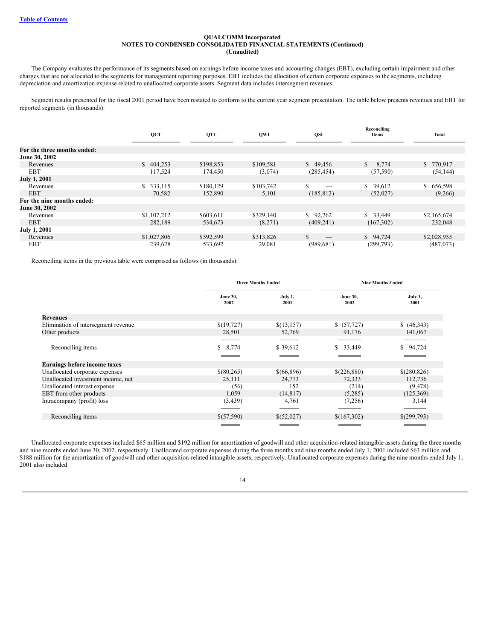The Company evaluates the performance of its segments based on earnings before income taxes and accounting changes (EBT), excluding certain impairment and other charges that are not allocated to the segments for management reporting purposes. EBT includes the allocation of certain corporate expenses to the segments, including depreciation and amortization expense related to unallocated corporate assets. Segment data includes intersegment revenues.

Segment results presented for the fiscal 2001 period have been restated to conform to the current year segment presentation. The table below presents revenues and EBT for reported segments (in thousands):

|                             | QCT         | QTL       | <b>QWI</b> | QSI        | Reconciling<br>Items | Total       |
|-----------------------------|-------------|-----------|------------|------------|----------------------|-------------|
|                             |             |           |            |            |                      |             |
| For the three months ended: |             |           |            |            |                      |             |
| June 30, 2002               |             |           |            |            |                      |             |
| Revenues                    | \$404.253   | \$198,853 | \$109.581  | \$49.456   | 8,774<br>S.          | \$ 770,917  |
| <b>EBT</b>                  | 117,524     | 174,450   | (3,074)    | (285, 454) | (57, 590)            | (54, 144)   |
| <b>July 1, 2001</b>         |             |           |            |            |                      |             |
| Revenues                    | \$ 333,115  | \$180,129 | \$103,742  | \$<br>_    | \$39,612             | \$656,598   |
| <b>EBT</b>                  | 70,582      | 152,890   | 5,101      | (185, 812) | (52,027)             | (9,266)     |
| For the nine months ended:  |             |           |            |            |                      |             |
| June 30, 2002               |             |           |            |            |                      |             |
| Revenues                    | \$1,107,212 | \$603,611 | \$329,140  | \$92,262   | \$33,449             | \$2,165,674 |
| <b>EBT</b>                  | 282,189     | 534,673   | (8,271)    | (409, 241) | (167, 302)           | 232,048     |
| <b>July 1, 2001</b>         |             |           |            |            |                      |             |
| Revenues                    | \$1,027,806 | \$592,599 | \$313,826  | \$         | \$94,724             | \$2,028,955 |
| <b>EBT</b>                  | 239,628     | 533,692   | 29,081     | (989, 681) | (299,793)            | (487,073)   |

Reconciling items in the previous table were comprised as follows (in thousands):

|                                     | <b>Three Months Ended</b> |                 | <b>Nine Months Ended</b>                                                                                             |                    |
|-------------------------------------|---------------------------|-----------------|----------------------------------------------------------------------------------------------------------------------|--------------------|
|                                     | <b>June 30,</b><br>2002   | July 1,<br>2001 | <b>June 30,</b><br>2002                                                                                              | July 1,<br>2001    |
| Revenues                            |                           |                 |                                                                                                                      |                    |
| Elimination of intersegment revenue | \$(19,727)                | \$(13,157)      | \$ (57, 727)                                                                                                         | (46,343)           |
| Other products                      | 28,501                    | 52,769          | 91,176                                                                                                               | 141,067            |
|                                     |                           |                 |                                                                                                                      |                    |
| Reconciling items                   | \$8,774                   | \$39,612        | 33,449<br>\$                                                                                                         | 94,724<br>\$       |
|                                     |                           |                 |                                                                                                                      |                    |
| <b>Earnings before income taxes</b> |                           |                 |                                                                                                                      |                    |
| Unallocated corporate expenses      | \$(80,265)                | \$(66,896)      | \$(226,880)                                                                                                          | \$(280,826)        |
| Unallocated investment income, net  | 25,111                    | 24,773          | 72,333                                                                                                               | 112,736            |
| Unallocated interest expense        | (56)                      | 152             | (214)                                                                                                                | (9, 478)           |
| EBT from other products             | 1,059                     | (14, 817)       | (5,285)                                                                                                              | (125, 369)         |
| Intracompany (profit) loss          | (3,439)                   | 4,761           | (7,256)                                                                                                              | 3,144              |
|                                     |                           |                 |                                                                                                                      |                    |
| Reconciling items                   | \$(57,590)                | \$(52,027)      | \$(167,302)                                                                                                          | \$(299,793)        |
|                                     |                           |                 | <b>STATE OF STATE OF STATE OF STATE OF STATE OF STATE OF STATE OF STATE OF STATE OF STATE OF STATE OF STATE OF S</b> | <u> Tanzania (</u> |

Unallocated corporate expenses included \$65 million and \$192 million for amortization of goodwill and other acquisition-related intangible assets during the three months and nine months ended June 30, 2002, respectively. Unallocated corporate expenses during the three months and nine months ended July 1, 2001 included \$63 million and \$188 million for the amortization of goodwill and other acquisition-related intangible assets, respectively. Unallocated corporate expenses during the nine months ended July 1, 2001 also included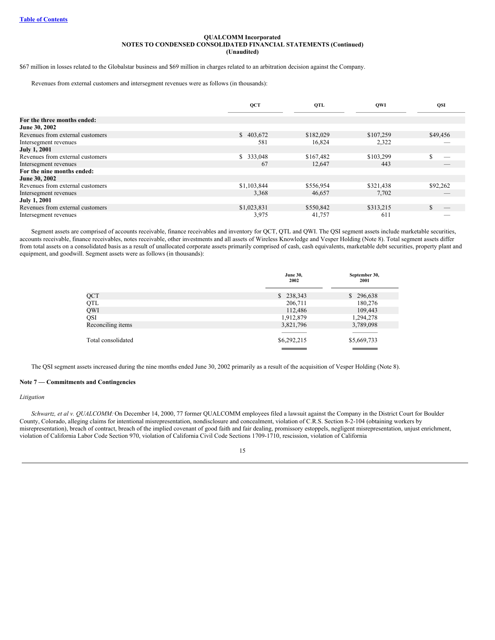\$67 million in losses related to the Globalstar business and \$69 million in charges related to an arbitration decision against the Company.

Revenues from external customers and intersegment revenues were as follows (in thousands):

|                                  | QCT           | QTL       | <b>OWI</b> | <b>QSI</b> |
|----------------------------------|---------------|-----------|------------|------------|
|                                  |               |           |            |            |
| For the three months ended:      |               |           |            |            |
| June 30, 2002                    |               |           |            |            |
| Revenues from external customers | \$403,672     | \$182,029 | \$107,259  | \$49,456   |
| Intersegment revenues            | 581           | 16,824    | 2,322      |            |
| <b>July 1, 2001</b>              |               |           |            |            |
| Revenues from external customers | 333,048<br>S. | \$167,482 | \$103,299  |            |
| Intersegment revenues            | 67            | 12,647    | 443        |            |
| For the nine months ended:       |               |           |            |            |
| June 30, 2002                    |               |           |            |            |
| Revenues from external customers | \$1,103,844   | \$556,954 | \$321,438  | \$92,262   |
| Intersegment revenues            | 3,368         | 46,657    | 7,702      |            |
| <b>July 1, 2001</b>              |               |           |            |            |
| Revenues from external customers | \$1,023,831   | \$550,842 | \$313,215  |            |
| Intersegment revenues            | 3,975         | 41,757    | 611        |            |

Segment assets are comprised of accounts receivable, finance receivables and inventory for QCT, QTL and QWI. The QSI segment assets include marketable securities, accounts receivable, finance receivables, notes receivable, other investments and all assets of Wireless Knowledge and Vesper Holding (Note 8). Total segment assets differ from total assets on a consolidated basis as a result of unallocated corporate assets primarily comprised of cash, cash equivalents, marketable debt securities, property plant and equipment, and goodwill. Segment assets were as follows (in thousands):

|                    | <b>June 30,</b><br>2002 | September 30,<br>2001 |
|--------------------|-------------------------|-----------------------|
| QCT                | \$238,343               | \$296,638             |
| QTL                | 206,711                 | 180,276               |
| QWI                | 112,486                 | 109,443               |
| QSI                | 1,912,879               | 1,294,278             |
| Reconciling items  | 3,821,796               | 3,789,098             |
|                    |                         |                       |
| Total consolidated | \$6,292,215             | \$5,669,733           |
|                    |                         |                       |

The QSI segment assets increased during the nine months ended June 30, 2002 primarily as a result of the acquisition of Vesper Holding (Note 8).

## **Note 7 — Commitments and Contingencies**

#### *Litigation*

*Schwartz, et al v. QUALCOMM:*On December 14, 2000, 77 former QUALCOMM employees filed a lawsuit against the Company in the District Court for Boulder County, Colorado, alleging claims for intentional misrepresentation, nondisclosure and concealment, violation of C.R.S. Section 8-2-104 (obtaining workers by misrepresentation), breach of contract, breach of the implied covenant of good faith and fair dealing, promissory estoppels, negligent misrepresentation, unjust enrichment, violation of California Labor Code Section 970, violation of California Civil Code Sections 1709-1710, rescission, violation of California

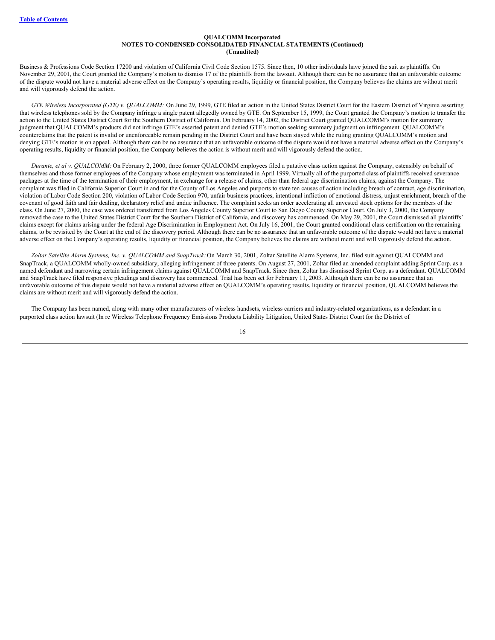Business & Professions Code Section 17200 and violation of California Civil Code Section 1575. Since then, 10 other individuals have joined the suit as plaintiffs. On November 29, 2001, the Court granted the Company's motion to dismiss 17 of the plaintiffs from the lawsuit. Although there can be no assurance that an unfavorable outcome of the dispute would not have a material adverse effect on the Company's operating results, liquidity or financial position, the Company believes the claims are without merit and will vigorously defend the action.

*GTE Wireless Incorporated (GTE) v. QUALCOMM:* On June 29, 1999, GTE filed an action in the United States District Court for the Eastern District of Virginia asserting that wireless telephones sold by the Company infringe a single patent allegedly owned by GTE. On September 15, 1999, the Court granted the Company's motion to transfer the action to the United States District Court for the Southern District of California. On February 14, 2002, the District Court granted QUALCOMM's motion for summary judgment that QUALCOMM's products did not infringe GTE's asserted patent and denied GTE's motion seeking summary judgment on infringement. QUALCOMM's counterclaims that the patent is invalid or unenforceable remain pending in the District Court and have been stayed while the ruling granting QUALCOMM's motion and denying GTE's motion is on appeal. Although there can be no assurance that an unfavorable outcome of the dispute would not have a material adverse effect on the Company's operating results, liquidity or financial position, the Company believes the action is without merit and will vigorously defend the action.

*Durante, et al v. QUALCOMM:* On February 2, 2000, three former QUALCOMM employees filed a putative class action against the Company, ostensibly on behalf of themselves and those former employees of the Company whose employment was terminated in April 1999. Virtually all of the purported class of plaintiffs received severance packages at the time of the termination of their employment, in exchange for a release of claims, other than federal age discrimination claims, against the Company. The complaint was filed in California Superior Court in and for the County of Los Angeles and purports to state ten causes of action including breach of contract, age discrimination, violation of Labor Code Section 200, violation of Labor Code Section 970, unfair business practices, intentional infliction of emotional distress, unjust enrichment, breach of the covenant of good faith and fair dealing, declaratory relief and undue influence. The complaint seeks an order accelerating all unvested stock options for the members of the class. On June 27, 2000, the case was ordered transferred from Los Angeles County Superior Court to San Diego County Superior Court. On July 3, 2000, the Company removed the case to the United States District Court for the Southern District of California, and discovery has commenced. On May 29, 2001, the Court dismissed all plaintiffs' claims except for claims arising under the federal Age Discrimination in Employment Act. On July 16, 2001, the Court granted conditional class certification on the remaining claims, to be revisited by the Court at the end of the discovery period. Although there can be no assurance that an unfavorable outcome of the dispute would not have a material adverse effect on the Company's operating results, liquidity or financial position, the Company believes the claims are without merit and will vigorously defend the action.

*Zoltar Satellite Alarm Systems, Inc. v. QUALCOMM and SnapTrack:*On March 30, 2001, Zoltar Satellite Alarm Systems, Inc. filed suit against QUALCOMM and SnapTrack, a QUALCOMM wholly-owned subsidiary, alleging infringement of three patents. On August 27, 2001, Zoltar filed an amended complaint adding Sprint Corp. as a named defendant and narrowing certain infringement claims against QUALCOMM and SnapTrack. Since then, Zoltar has dismissed Sprint Corp. as a defendant. QUALCOMM and SnapTrack have filed responsive pleadings and discovery has commenced. Trial has been set for February 11, 2003. Although there can be no assurance that an unfavorable outcome of this dispute would not have a material adverse effect on QUALCOMM's operating results, liquidity or financial position, QUALCOMM believes the claims are without merit and will vigorously defend the action.

The Company has been named, along with many other manufacturers of wireless handsets, wireless carriers and industry-related organizations, as a defendant in a purported class action lawsuit (In re Wireless Telephone Frequency Emissions Products Liability Litigation, United States District Court for the District of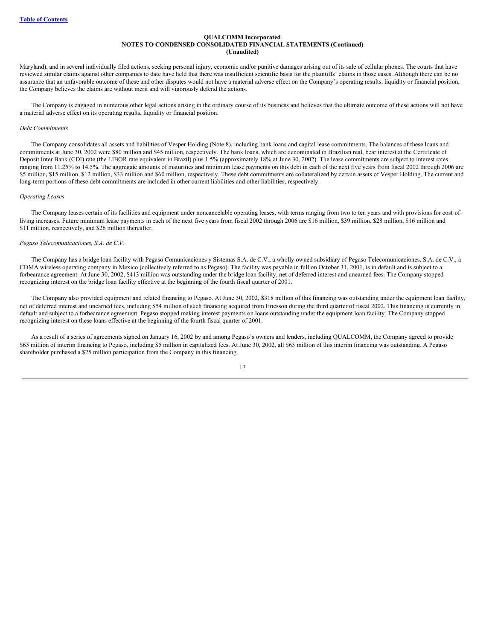Maryland), and in several individually filed actions, seeking personal injury, economic and/or punitive damages arising out of its sale of cellular phones. The courts that have reviewed similar claims against other companies to date have held that there was insufficient scientific basis for the plaintiffs' claims in those cases. Although there can be no assurance that an unfavorable outcome of these and other disputes would not have a material adverse effect on the Company's operating results, liquidity or financial position, the Company believes the claims are without merit and will vigorously defend the actions.

The Company is engaged in numerous other legal actions arising in the ordinary course of its business and believes that the ultimate outcome of these actions will not have a material adverse effect on its operating results, liquidity or financial position.

#### *Debt Commitments*

The Company consolidates all assets and liabilities of Vesper Holding (Note 8), including bank loans and capital lease commitments. The balances of these loans and commitments at June 30, 2002 were \$80 million and \$45 million, respectively. The bank loans, which are denominated in Brazilian real, bear interest at the Certificate of Deposit Inter Bank (CDI) rate (the LIBOR rate equivalent in Brazil) plus 1.5% (approximately 18% at June 30, 2002). The lease commitments are subject to interest rates ranging from 11.25% to 14.5%. The aggregate amounts of maturities and minimum lease payments on this debt in each of the next five years from fiscal 2002 through 2006 are \$5 million, \$15 million, \$12 million, \$33 million and \$60 million, respectively. These debt commitments are collateralized by certain assets of Vesper Holding. The current and long-term portions of these debt commitments are included in other current liabilities and other liabilities, respectively.

#### *Operating Leases*

The Company leases certain of its facilities and equipment under noncancelable operating leases, with terms ranging from two to ten years and with provisions for cost-ofliving increases. Future minimum lease payments in each of the next five years from fiscal 2002 through 2006 are \$16 million, \$39 million, \$28 million, \$16 million and \$11 million, respectively, and \$26 million thereafter.

#### *Pegaso Telecomunicaciones, S.A. de C.V.*

The Company has a bridge loan facility with Pegaso Comunicaciones y Sistemas S.A. de C.V., a wholly owned subsidiary of Pegaso Telecomunicaciones, S.A. de C.V., a CDMA wireless operating company in Mexico (collectively referred to as Pegaso). The facility was payable in full on October 31, 2001, is in default and is subject to a forbearance agreement. At June 30, 2002, \$413 million was outstanding under the bridge loan facility, net of deferred interest and unearned fees. The Company stopped recognizing interest on the bridge loan facility effective at the beginning of the fourth fiscal quarter of 2001.

The Company also provided equipment and related financing to Pegaso. At June 30, 2002, \$318 million of this financing was outstanding under the equipment loan facility, net of deferred interest and unearned fees, including \$54 million of such financing acquired from Ericsson during the third quarter of fiscal 2002. This financing is currently in default and subject to a forbearance agreement. Pegaso stopped making interest payments on loans outstanding under the equipment loan facility. The Company stopped recognizing interest on these loans effective at the beginning of the fourth fiscal quarter of 2001.

As a result of a series of agreements signed on January 16, 2002 by and among Pegaso's owners and lenders, including QUALCOMM, the Company agreed to provide \$65 million of interim financing to Pegaso, including \$5 million in capitalized fees. At June 30, 2002, all \$65 million of this interim financing was outstanding. A Pegaso shareholder purchased a \$25 million participation from the Company in this financing.

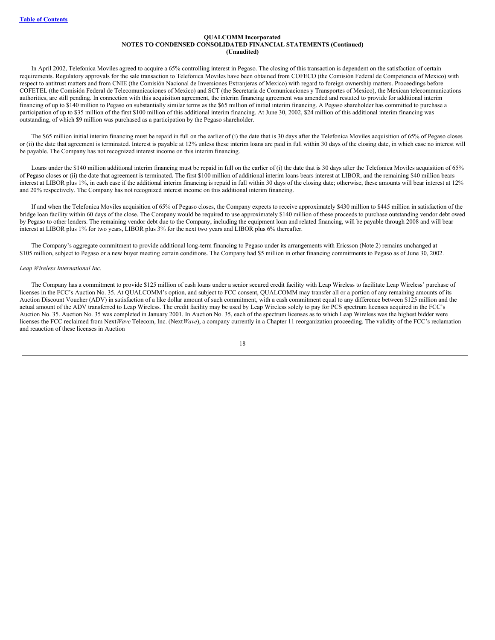In April 2002, Telefonica Moviles agreed to acquire a 65% controlling interest in Pegaso. The closing of this transaction is dependent on the satisfaction of certain requirements. Regulatory approvals for the sale transaction to Telefonica Moviles have been obtained from COFECO (the Comisión Federal de Competencia of Mexico) with respect to antitrust matters and from CNIE (the Comisión Nacional de Inversiones Extranjeras of Mexico) with regard to foreign ownership matters. Proceedings before COFETEL (the Comisión Federal de Telecomunicaciones of Mexico) and SCT (the Secretaría de Comunicaciones y Transportes of Mexico), the Mexican telecommunications authorities, are still pending. In connection with this acquisition agreement, the interim financing agreement was amended and restated to provide for additional interim financing of up to \$140 million to Pegaso on substantially similar terms as the \$65 million of initial interim financing. A Pegaso shareholder has committed to purchase a participation of up to \$35 million of the first \$100 million of this additional interim financing. At June 30, 2002, \$24 million of this additional interim financing was outstanding, of which \$9 million was purchased as a participation by the Pegaso shareholder.

The \$65 million initial interim financing must be repaid in full on the earlier of (i) the date that is 30 days after the Telefonica Moviles acquisition of 65% of Pegaso closes or (ii) the date that agreement is terminated. Interest is payable at 12% unless these interim loans are paid in full within 30 days of the closing date, in which case no interest will be payable. The Company has not recognized interest income on this interim financing.

Loans under the \$140 million additional interim financing must be repaid in full on the earlier of (i) the date that is 30 days after the Telefonica Moviles acquisition of 65% of Pegaso closes or (ii) the date that agreement is terminated. The first \$100 million of additional interim loans bears interest at LIBOR, and the remaining \$40 million bears interest at LIBOR plus 1%, in each case if the additional interim financing is repaid in full within 30 days of the closing date; otherwise, these amounts will bear interest at 12% and 20% respectively. The Company has not recognized interest income on this additional interim financing.

If and when the Telefonica Moviles acquisition of 65% of Pegaso closes, the Company expects to receive approximately \$430 million to \$445 million in satisfaction of the bridge loan facility within 60 days of the close. The Company would be required to use approximately \$140 million of these proceeds to purchase outstanding vendor debt owed by Pegaso to other lenders. The remaining vendor debt due to the Company, including the equipment loan and related financing, will be payable through 2008 and will bear interest at LIBOR plus 1% for two years, LIBOR plus 3% for the next two years and LIBOR plus 6% thereafter.

The Company's aggregate commitment to provide additional long-term financing to Pegaso under its arrangements with Ericsson (Note 2) remains unchanged at \$105 million, subject to Pegaso or a new buyer meeting certain conditions. The Company had \$5 million in other financing commitments to Pegaso as of June 30, 2002.

#### *Leap Wireless International Inc.*

The Company has a commitment to provide \$125 million of cash loans under a senior secured credit facility with Leap Wireless to facilitate Leap Wireless' purchase of licenses in the FCC's Auction No. 35. At QUALCOMM's option, and subject to FCC consent, QUALCOMM may transfer all or a portion of any remaining amounts of its Auction Discount Voucher (ADV) in satisfaction of a like dollar amount of such commitment, with a cash commitment equal to any difference between \$125 million and the actual amount of the ADV transferred to Leap Wireless. The credit facility may be used by Leap Wireless solely to pay for PCS spectrum licenses acquired in the FCC's Auction No. 35. Auction No. 35 was completed in January 2001. In Auction No. 35, each of the spectrum licenses as to which Leap Wireless was the highest bidder were licenses the FCC reclaimed from Next*Wave* Telecom, Inc. (Next*Wave*), a company currently in a Chapter 11 reorganization proceeding. The validity of the FCC's reclamation and reauction of these licenses in Auction

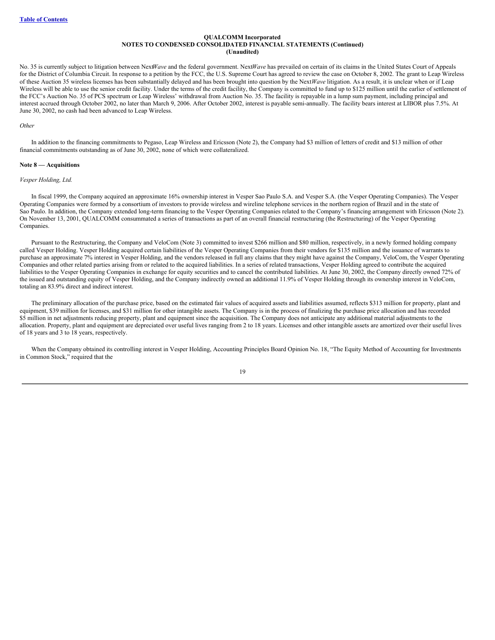No. 35 is currently subject to litigation between Next*Wave* and the federal government. Next*Wave* has prevailed on certain of its claims in the United States Court of Appeals for the District of Columbia Circuit. In response to a petition by the FCC, the U.S. Supreme Court has agreed to review the case on October 8, 2002. The grant to Leap Wireless of these Auction 35 wireless licenses has been substantially delayed and has been brought into question by the Next*Wave* litigation. As a result, it is unclear when or if Leap Wireless will be able to use the senior credit facility. Under the terms of the credit facility, the Company is committed to fund up to \$125 million until the earlier of settlement of the FCC's Auction No. 35 of PCS spectrum or Leap Wireless' withdrawal from Auction No. 35. The facility is repayable in a lump sum payment, including principal and interest accrued through October 2002, no later than March 9, 2006. After October 2002, interest is payable semi-annually. The facility bears interest at LIBOR plus 7.5%. At June 30, 2002, no cash had been advanced to Leap Wireless.

#### *Other*

In addition to the financing commitments to Pegaso, Leap Wireless and Ericsson (Note 2), the Company had \$3 million of letters of credit and \$13 million of other financial commitments outstanding as of June 30, 2002, none of which were collateralized.

#### **Note 8 — Acquisitions**

#### *Vesper Holding, Ltd.*

In fiscal 1999, the Company acquired an approximate 16% ownership interest in Vesper Sao Paulo S.A. and Vesper S.A. (the Vesper Operating Companies). The Vesper Operating Companies were formed by a consortium of investors to provide wireless and wireline telephone services in the northern region of Brazil and in the state of Sao Paulo. In addition, the Company extended long-term financing to the Vesper Operating Companies related to the Company's financing arrangement with Ericsson (Note 2). On November 13, 2001, QUALCOMM consummated a series of transactions as part of an overall financial restructuring (the Restructuring) of the Vesper Operating Companies.

Pursuant to the Restructuring, the Company and VeloCom (Note 3) committed to invest \$266 million and \$80 million, respectively, in a newly formed holding company called Vesper Holding. Vesper Holding acquired certain liabilities of the Vesper Operating Companies from their vendors for \$135 million and the issuance of warrants to purchase an approximate 7% interest in Vesper Holding, and the vendors released in full any claims that they might have against the Company, VeloCom, the Vesper Operating Companies and other related parties arising from or related to the acquired liabilities. In a series of related transactions, Vesper Holding agreed to contribute the acquired liabilities to the Vesper Operating Companies in exchange for equity securities and to cancel the contributed liabilities. At June 30, 2002, the Company directly owned 72% of the issued and outstanding equity of Vesper Holding, and the Company indirectly owned an additional 11.9% of Vesper Holding through its ownership interest in VeloCom, totaling an 83.9% direct and indirect interest.

The preliminary allocation of the purchase price, based on the estimated fair values of acquired assets and liabilities assumed, reflects \$313 million for property, plant and equipment, \$39 million for licenses, and \$31 million for other intangible assets. The Company is in the process of finalizing the purchase price allocation and has recorded \$5 million in net adjustments reducing property, plant and equipment since the acquisition. The Company does not anticipate any additional material adjustments to the allocation. Property, plant and equipment are depreciated over useful lives ranging from 2 to 18 years. Licenses and other intangible assets are amortized over their useful lives of 18 years and 3 to 18 years, respectively.

When the Company obtained its controlling interest in Vesper Holding, Accounting Principles Board Opinion No. 18, "The Equity Method of Accounting for Investments in Common Stock," required that the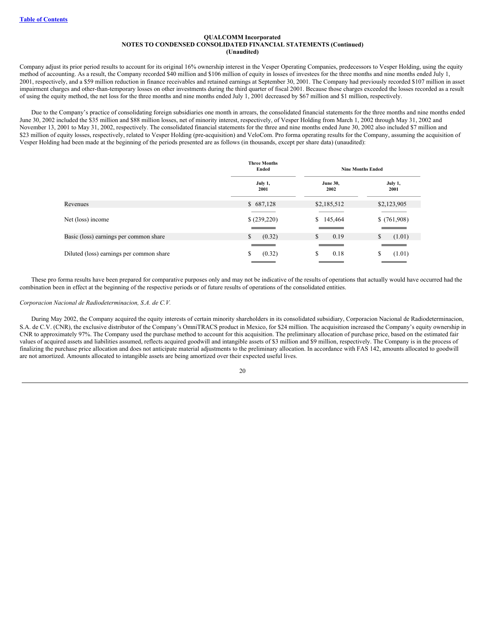Company adjust its prior period results to account for its original 16% ownership interest in the Vesper Operating Companies, predecessors to Vesper Holding, using the equity method of accounting. As a result, the Company recorded \$40 million and \$106 million of equity in losses of investees for the three months and nine months ended July 1, 2001, respectively, and a \$59 million reduction in finance receivables and retained earnings at September 30, 2001. The Company had previously recorded \$107 million in asset impairment charges and other-than-temporary losses on other investments during the third quarter of fiscal 2001. Because those charges exceeded the losses recorded as a result of using the equity method, the net loss for the three months and nine months ended July 1, 2001 decreased by \$67 million and \$1 million, respectively.

Due to the Company's practice of consolidating foreign subsidiaries one month in arrears, the consolidated financial statements for the three months and nine months ended June 30, 2002 included the \$35 million and \$88 million losses, net of minority interest, respectively, of Vesper Holding from March 1, 2002 through May 31, 2002 and November 13, 2001 to May 31, 2002, respectively. The consolidated financial statements for the three and nine months ended June 30, 2002 also included \$7 million and \$23 million of equity losses, respectively, related to Vesper Holding (pre-acquisition) and VeloCom. Pro forma operating results for the Company, assuming the acquisition of Vesper Holding had been made at the beginning of the periods presented are as follows (in thousands, except per share data) (unaudited):

|                                          | <b>Three Months</b><br>Ended | <b>Nine Months Ended</b> |               |  |
|------------------------------------------|------------------------------|--------------------------|---------------|--|
|                                          | July 1,                      | <b>June 30,</b>          | July 1,       |  |
|                                          | 2001                         | 2002                     | 2001          |  |
| Revenues                                 | \$687,128                    | \$2,185,512              | \$2,123,905   |  |
| Net (loss) income                        | (239,220)                    | \$145,464                | \$(761,908)   |  |
| Basic (loss) earnings per common share   | \$                           | $\mathbb{S}$             | <sup>\$</sup> |  |
|                                          | (0.32)                       | 0.19                     | (1.01)        |  |
| Diluted (loss) earnings per common share | (0.32)                       | S                        | (1.01)        |  |
|                                          | S.                           | 0.18                     | S             |  |

These pro forma results have been prepared for comparative purposes only and may not be indicative of the results of operations that actually would have occurred had the combination been in effect at the beginning of the respective periods or of future results of operations of the consolidated entities.

## *Corporacion Nacional de Radiodeterminacion, S.A. de C.V.*

During May 2002, the Company acquired the equity interests of certain minority shareholders in its consolidated subsidiary, Corporacion Nacional de Radiodeterminacion, S.A. de C.V. (CNR), the exclusive distributor of the Company's OmniTRACS product in Mexico, for \$24 million. The acquisition increased the Company's equity ownership in CNR to approximately 97%. The Company used the purchase method to account for this acquisition. The preliminary allocation of purchase price, based on the estimated fair values of acquired assets and liabilities assumed, reflects acquired goodwill and intangible assets of \$3 million and \$9 million, respectively. The Company is in the process of finalizing the purchase price allocation and does not anticipate material adjustments to the preliminary allocation. In accordance with FAS 142, amounts allocated to goodwill are not amortized. Amounts allocated to intangible assets are being amortized over their expected useful lives.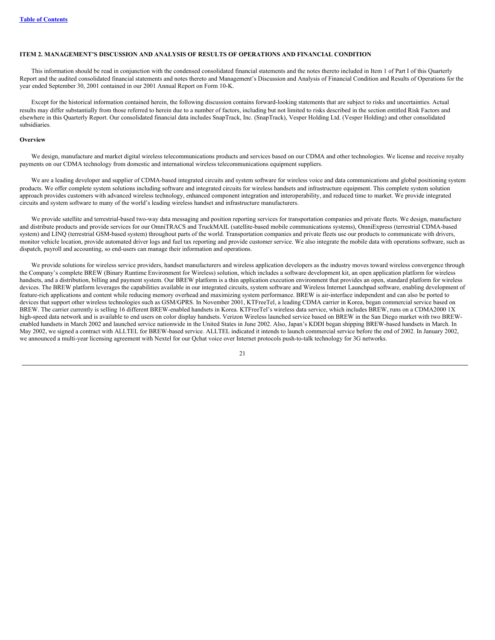## <span id="page-21-0"></span>**ITEM 2. MANAGEMENT'S DISCUSSION AND ANALYSIS OF RESULTS OF OPERATIONS AND FINANCIAL CONDITION**

This information should be read in conjunction with the condensed consolidated financial statements and the notes thereto included in Item 1 of Part I of this Quarterly Report and the audited consolidated financial statements and notes thereto and Management's Discussion and Analysis of Financial Condition and Results of Operations for the year ended September 30, 2001 contained in our 2001 Annual Report on Form 10-K.

Except for the historical information contained herein, the following discussion contains forward-looking statements that are subject to risks and uncertainties. Actual results may differ substantially from those referred to herein due to a number of factors, including but not limited to risks described in the section entitled Risk Factors and elsewhere in this Quarterly Report. Our consolidated financial data includes SnapTrack, Inc. (SnapTrack), Vesper Holding Ltd. (Vesper Holding) and other consolidated subsidiaries.

#### **Overview**

We design, manufacture and market digital wireless telecommunications products and services based on our CDMA and other technologies. We license and receive royalty payments on our CDMA technology from domestic and international wireless telecommunications equipment suppliers.

We are a leading developer and supplier of CDMA-based integrated circuits and system software for wireless voice and data communications and global positioning system products. We offer complete system solutions including software and integrated circuits for wireless handsets and infrastructure equipment. This complete system solution approach provides customers with advanced wireless technology, enhanced component integration and interoperability, and reduced time to market. We provide integrated circuits and system software to many of the world's leading wireless handset and infrastructure manufacturers.

We provide satellite and terrestrial-based two-way data messaging and position reporting services for transportation companies and private fleets. We design, manufacture and distribute products and provide services for our OmniTRACS and TruckMAIL (satellite-based mobile communications systems), OmniExpress (terrestrial CDMA-based system) and LINQ (terrestrial GSM-based system) throughout parts of the world. Transportation companies and private fleets use our products to communicate with drivers, monitor vehicle location, provide automated driver logs and fuel tax reporting and provide customer service. We also integrate the mobile data with operations software, such as dispatch, payroll and accounting, so end-users can manage their information and operations.

We provide solutions for wireless service providers, handset manufacturers and wireless application developers as the industry moves toward wireless convergence through the Company's complete BREW (Binary Runtime Environment for Wireless) solution, which includes a software development kit, an open application platform for wireless handsets, and a distribution, billing and payment system. Our BREW platform is a thin application execution environment that provides an open, standard platform for wireless devices. The BREW platform leverages the capabilities available in our integrated circuits, system software and Wireless Internet Launchpad software, enabling development of feature-rich applications and content while reducing memory overhead and maximizing system performance. BREW is air-interface independent and can also be ported to devices that support other wireless technologies such as GSM/GPRS. In November 2001, KTFreeTel, a leading CDMA carrier in Korea, began commercial service based on BREW. The carrier currently is selling 16 different BREW-enabled handsets in Korea. KTFreeTel's wireless data service, which includes BREW, runs on a CDMA2000 1X high-speed data network and is available to end users on color display handsets. Verizon Wireless launched service based on BREW in the San Diego market with two BREWenabled handsets in March 2002 and launched service nationwide in the United States in June 2002. Also, Japan's KDDI began shipping BREW-based handsets in March. In May 2002, we signed a contract with ALLTEL for BREW-based service. ALLTEL indicated it intends to launch commercial service before the end of 2002. In January 2002, we announced a multi-year licensing agreement with Nextel for our Qchat voice over Internet protocols push-to-talk technology for 3G networks.

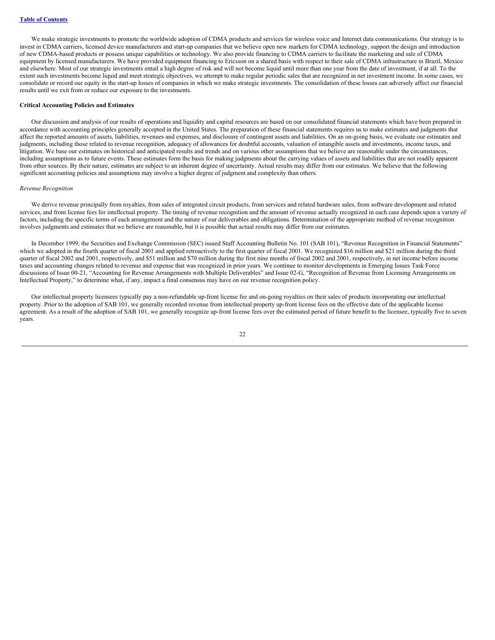We make strategic investments to promote the worldwide adoption of CDMA products and services for wireless voice and Internet data communications. Our strategy is to invest in CDMA carriers, licensed device manufacturers and start-up companies that we believe open new markets for CDMA technology, support the design and introduction of new CDMA-based products or possess unique capabilities or technology. We also provide financing to CDMA carriers to facilitate the marketing and sale of CDMA equipment by licensed manufacturers. We have provided equipment financing to Ericsson on a shared basis with respect to their sale of CDMA infrastructure in Brazil, Mexico and elsewhere. Most of our strategic investments entail a high degree of risk and will not become liquid until more than one year from the date of investment, if at all. To the extent such investments become liquid and meet strategic objectives, we attempt to make regular periodic sales that are recognized in net investment income. In some cases, we consolidate or record our equity in the start-up losses of companies in which we make strategic investments. The consolidation of these losses can adversely affect our financial results until we exit from or reduce our exposure to the investments.

#### **Critical Accounting Policies and Estimates**

Our discussion and analysis of our results of operations and liquidity and capital resources are based on our consolidated financial statements which have been prepared in accordance with accounting principles generally accepted in the United States. The preparation of these financial statements requires us to make estimates and judgments that affect the reported amounts of assets, liabilities, revenues and expenses, and disclosure of contingent assets and liabilities. On an on-going basis, we evaluate our estimates and judgments, including those related to revenue recognition, adequacy of allowances for doubtful accounts, valuation of intangible assets and investments, income taxes, and litigation. We base our estimates on historical and anticipated results and trends and on various other assumptions that we believe are reasonable under the circumstances, including assumptions as to future events. These estimates form the basis for making judgments about the carrying values of assets and liabilities that are not readily apparent from other sources. By their nature, estimates are subject to an inherent degree of uncertainty. Actual results may differ from our estimates. We believe that the following significant accounting policies and assumptions may involve a higher degree of judgment and complexity than others.

#### *Revenue Recognition*

We derive revenue principally from royalties, from sales of integrated circuit products, from services and related hardware sales, from software development and related services, and from license fees for intellectual property. The timing of revenue recognition and the amount of revenue actually recognized in each case depends upon a variety of factors, including the specific terms of each arrangement and the nature of our deliverables and obligations. Determination of the appropriate method of revenue recognition involves judgments and estimates that we believe are reasonable, but it is possible that actual results may differ from our estimates.

In December 1999, the Securities and Exchange Commission (SEC) issued Staff Accounting Bulletin No. 101 (SAB 101), "Revenue Recognition in Financial Statements" which we adopted in the fourth quarter of fiscal 2001 and applied retroactively to the first quarter of fiscal 2001. We recognized \$16 million and \$21 million during the third quarter of fiscal 2002 and 2001, respectively, and \$51 million and \$70 million during the first nine months of fiscal 2002 and 2001, respectively, in net income before income taxes and accounting changes related to revenue and expense that was recognized in prior years. We continue to monitor developments in Emerging Issues Task Force discussions of Issue 00-21, "Accounting for Revenue Arrangements with Multiple Deliverables" and Issue 02-G, "Recognition of Revenue from Licensing Arrangements on Intellectual Property," to determine what, if any, impact a final consensus may have on our revenue recognition policy.

Our intellectual property licensees typically pay a non-refundable up-front license fee and on-going royalties on their sales of products incorporating our intellectual property. Prior to the adoption of SAB 101, we generally recorded revenue from intellectual property up-front license fees on the effective date of the applicable license agreement. As a result of the adoption of SAB 101, we generally recognize up-front license fees over the estimated period of future benefit to the licensee, typically five to seven years.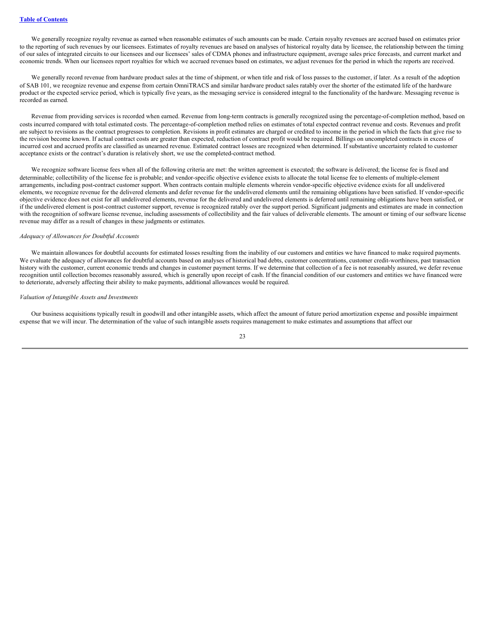We generally recognize royalty revenue as earned when reasonable estimates of such amounts can be made. Certain royalty revenues are accrued based on estimates prior to the reporting of such revenues by our licensees. Estimates of royalty revenues are based on analyses of historical royalty data by licensee, the relationship between the timing of our sales of integrated circuits to our licensees and our licensees' sales of CDMA phones and infrastructure equipment, average sales price forecasts, and current market and economic trends. When our licensees report royalties for which we accrued revenues based on estimates, we adjust revenues for the period in which the reports are received.

We generally record revenue from hardware product sales at the time of shipment, or when title and risk of loss passes to the customer, if later. As a result of the adoption of SAB 101, we recognize revenue and expense from certain OmniTRACS and similar hardware product sales ratably over the shorter of the estimated life of the hardware product or the expected service period, which is typically five years, as the messaging service is considered integral to the functionality of the hardware. Messaging revenue is recorded as earned.

Revenue from providing services is recorded when earned. Revenue from long-term contracts is generally recognized using the percentage-of-completion method, based on costs incurred compared with total estimated costs. The percentage-of-completion method relies on estimates of total expected contract revenue and costs. Revenues and profit are subject to revisions as the contract progresses to completion. Revisions in profit estimates are charged or credited to income in the period in which the facts that give rise to the revision become known. If actual contract costs are greater than expected, reduction of contract profit would be required. Billings on uncompleted contracts in excess of incurred cost and accrued profits are classified as unearned revenue. Estimated contract losses are recognized when determined. If substantive uncertainty related to customer acceptance exists or the contract's duration is relatively short, we use the completed-contract method.

We recognize software license fees when all of the following criteria are met: the written agreement is executed; the software is delivered; the license fee is fixed and determinable; collectibility of the license fee is probable; and vendor-specific objective evidence exists to allocate the total license fee to elements of multiple-element arrangements, including post-contract customer support. When contracts contain multiple elements wherein vendor-specific objective evidence exists for all undelivered elements, we recognize revenue for the delivered elements and defer revenue for the undelivered elements until the remaining obligations have been satisfied. If vendor-specific objective evidence does not exist for all undelivered elements, revenue for the delivered and undelivered elements is deferred until remaining obligations have been satisfied, or if the undelivered element is post-contract customer support, revenue is recognized ratably over the support period. Significant judgments and estimates are made in connection with the recognition of software license revenue, including assessments of collectibility and the fair values of deliverable elements. The amount or timing of our software license revenue may differ as a result of changes in these judgments or estimates.

#### *Adequacy of Allowances for Doubtful Accounts*

We maintain allowances for doubtful accounts for estimated losses resulting from the inability of our customers and entities we have financed to make required payments. We evaluate the adequacy of allowances for doubtful accounts based on analyses of historical bad debts, customer concentrations, customer credit-worthiness, past transaction history with the customer, current economic trends and changes in customer payment terms. If we determine that collection of a fee is not reasonably assured, we defer revenue recognition until collection becomes reasonably assured, which is generally upon receipt of cash. If the financial condition of our customers and entities we have financed were to deteriorate, adversely affecting their ability to make payments, additional allowances would be required.

#### *Valuation of Intangible Assets and Investments*

Our business acquisitions typically result in goodwill and other intangible assets, which affect the amount of future period amortization expense and possible impairment expense that we will incur. The determination of the value of such intangible assets requires management to make estimates and assumptions that affect our

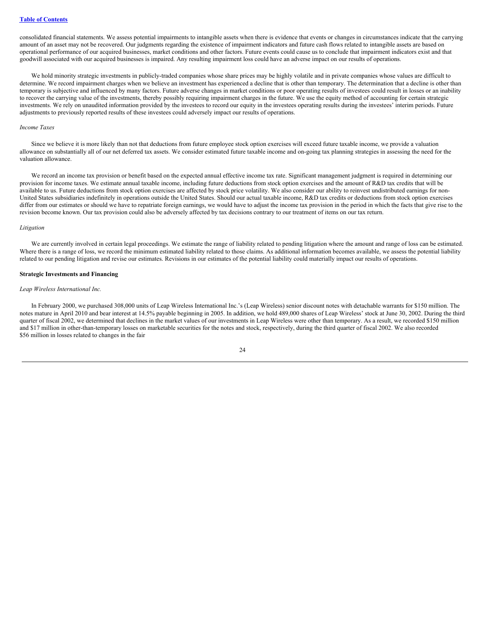consolidated financial statements. We assess potential impairments to intangible assets when there is evidence that events or changes in circumstances indicate that the carrying amount of an asset may not be recovered. Our judgments regarding the existence of impairment indicators and future cash flows related to intangible assets are based on operational performance of our acquired businesses, market conditions and other factors. Future events could cause us to conclude that impairment indicators exist and that goodwill associated with our acquired businesses is impaired. Any resulting impairment loss could have an adverse impact on our results of operations.

We hold minority strategic investments in publicly-traded companies whose share prices may be highly volatile and in private companies whose values are difficult to determine. We record impairment charges when we believe an investment has experienced a decline that is other than temporary. The determination that a decline is other than temporary is subjective and influenced by many factors. Future adverse changes in market conditions or poor operating results of investees could result in losses or an inability to recover the carrying value of the investments, thereby possibly requiring impairment charges in the future. We use the equity method of accounting for certain strategic investments. We rely on unaudited information provided by the investees to record our equity in the investees operating results during the investees' interim periods. Future adjustments to previously reported results of these investees could adversely impact our results of operations.

#### *Income Taxes*

Since we believe it is more likely than not that deductions from future employee stock option exercises will exceed future taxable income, we provide a valuation allowance on substantially all of our net deferred tax assets. We consider estimated future taxable income and on-going tax planning strategies in assessing the need for the valuation allowance.

We record an income tax provision or benefit based on the expected annual effective income tax rate. Significant management judgment is required in determining our provision for income taxes. We estimate annual taxable income, including future deductions from stock option exercises and the amount of R&D tax credits that will be available to us. Future deductions from stock option exercises are affected by stock price volatility. We also consider our ability to reinvest undistributed earnings for non-United States subsidiaries indefinitely in operations outside the United States. Should our actual taxable income, R&D tax credits or deductions from stock option exercises differ from our estimates or should we have to repatriate foreign earnings, we would have to adjust the income tax provision in the period in which the facts that give rise to the revision become known. Our tax provision could also be adversely affected by tax decisions contrary to our treatment of items on our tax return.

#### *Litigation*

We are currently involved in certain legal proceedings. We estimate the range of liability related to pending litigation where the amount and range of loss can be estimated. Where there is a range of loss, we record the minimum estimated liability related to those claims. As additional information becomes available, we assess the potential liability related to our pending litigation and revise our estimates. Revisions in our estimates of the potential liability could materially impact our results of operations.

#### **Strategic Investments and Financing**

#### *Leap Wireless International Inc.*

In February 2000, we purchased 308,000 units of Leap Wireless International Inc.'s (Leap Wireless) senior discount notes with detachable warrants for \$150 million. The notes mature in April 2010 and bear interest at 14.5% payable beginning in 2005. In addition, we hold 489,000 shares of Leap Wireless' stock at June 30, 2002. During the third quarter of fiscal 2002, we determined that declines in the market values of our investments in Leap Wireless were other than temporary. As a result, we recorded \$150 million and \$17 million in other-than-temporary losses on marketable securities for the notes and stock, respectively, during the third quarter of fiscal 2002. We also recorded \$56 million in losses related to changes in the fair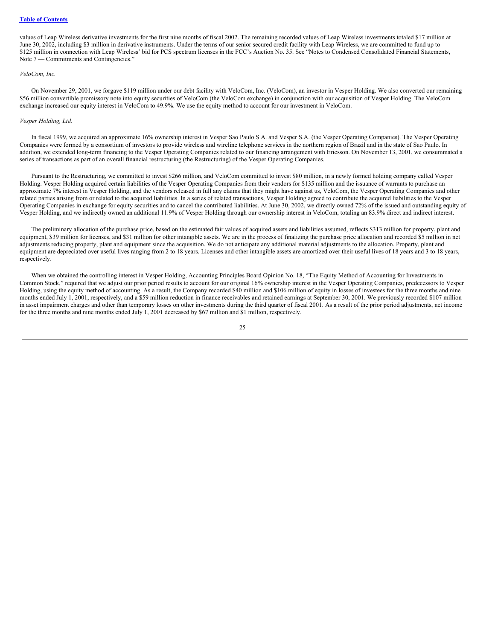#### **Table of [Contents](#page-0-0)**

values of Leap Wireless derivative investments for the first nine months of fiscal 2002. The remaining recorded values of Leap Wireless investments totaled \$17 million at June 30, 2002, including \$3 million in derivative instruments. Under the terms of our senior secured credit facility with Leap Wireless, we are committed to fund up to \$125 million in connection with Leap Wireless' bid for PCS spectrum licenses in the FCC's Auction No. 35. See "Notes to Condensed Consolidated Financial Statements, Note 7 — Commitments and Contingencies."

## *VeloCom, Inc.*

On November 29, 2001, we forgave \$119 million under our debt facility with VeloCom, Inc. (VeloCom), an investor in Vesper Holding. We also converted our remaining \$56 million convertible promissory note into equity securities of VeloCom (the VeloCom exchange) in conjunction with our acquisition of Vesper Holding. The VeloCom exchange increased our equity interest in VeloCom to 49.9%. We use the equity method to account for our investment in VeloCom.

#### *Vesper Holding, Ltd.*

In fiscal 1999, we acquired an approximate 16% ownership interest in Vesper Sao Paulo S.A. and Vesper S.A. (the Vesper Operating Companies). The Vesper Operating Companies were formed by a consortium of investors to provide wireless and wireline telephone services in the northern region of Brazil and in the state of Sao Paulo. In addition, we extended long-term financing to the Vesper Operating Companies related to our financing arrangement with Ericsson. On November 13, 2001, we consummated a series of transactions as part of an overall financial restructuring (the Restructuring) of the Vesper Operating Companies.

Pursuant to the Restructuring, we committed to invest \$266 million, and VeloCom committed to invest \$80 million, in a newly formed holding company called Vesper Holding. Vesper Holding acquired certain liabilities of the Vesper Operating Companies from their vendors for \$135 million and the issuance of warrants to purchase an approximate 7% interest in Vesper Holding, and the vendors released in full any claims that they might have against us, VeloCom, the Vesper Operating Companies and other related parties arising from or related to the acquired liabilities. In a series of related transactions, Vesper Holding agreed to contribute the acquired liabilities to the Vesper Operating Companies in exchange for equity securities and to cancel the contributed liabilities. At June 30, 2002, we directly owned 72% of the issued and outstanding equity of Vesper Holding, and we indirectly owned an additional 11.9% of Vesper Holding through our ownership interest in VeloCom, totaling an 83.9% direct and indirect interest.

The preliminary allocation of the purchase price, based on the estimated fair values of acquired assets and liabilities assumed, reflects \$313 million for property, plant and equipment, \$39 million for licenses, and \$31 million for other intangible assets. We are in the process of finalizing the purchase price allocation and recorded \$5 million in net adjustments reducing property, plant and equipment since the acquisition. We do not anticipate any additional material adjustments to the allocation. Property, plant and equipment are depreciated over useful lives ranging from 2 to 18 years. Licenses and other intangible assets are amortized over their useful lives of 18 years and 3 to 18 years, respectively.

When we obtained the controlling interest in Vesper Holding, Accounting Principles Board Opinion No. 18, "The Equity Method of Accounting for Investments in Common Stock," required that we adjust our prior period results to account for our original 16% ownership interest in the Vesper Operating Companies, predecessors to Vesper Holding, using the equity method of accounting. As a result, the Company recorded \$40 million and \$106 million of equity in losses of investees for the three months and nine months ended July 1, 2001, respectively, and a \$59 million reduction in finance receivables and retained earnings at September 30, 2001. We previously recorded \$107 million in asset impairment charges and other than temporary losses on other investments during the third quarter of fiscal 2001. As a result of the prior period adjustments, net income for the three months and nine months ended July 1, 2001 decreased by \$67 million and \$1 million, respectively.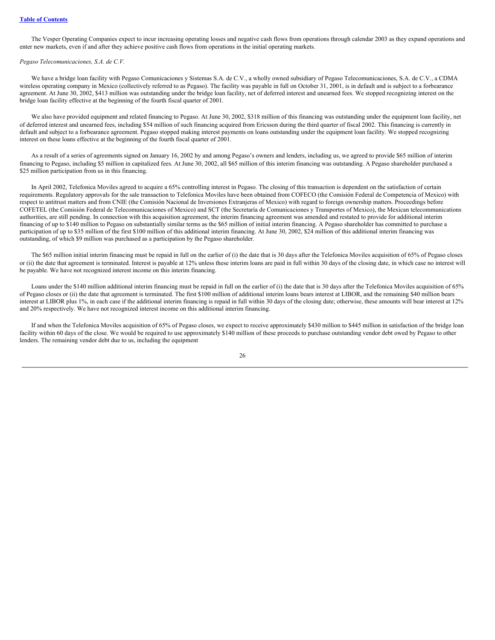The Vesper Operating Companies expect to incur increasing operating losses and negative cash flows from operations through calendar 2003 as they expand operations and enter new markets, even if and after they achieve positive cash flows from operations in the initial operating markets.

## *Pegaso Telecomunicaciones, S.A. de C.V.*

We have a bridge loan facility with Pegaso Comunicaciones y Sistemas S.A. de C.V., a wholly owned subsidiary of Pegaso Telecomunicaciones, S.A. de C.V., a CDMA wireless operating company in Mexico (collectively referred to as Pegaso). The facility was payable in full on October 31, 2001, is in default and is subject to a forbearance agreement. At June 30, 2002, \$413 million was outstanding under the bridge loan facility, net of deferred interest and unearned fees. We stopped recognizing interest on the bridge loan facility effective at the beginning of the fourth fiscal quarter of 2001.

We also have provided equipment and related financing to Pegaso. At June 30, 2002, \$318 million of this financing was outstanding under the equipment loan facility, net of deferred interest and unearned fees, including \$54 million of such financing acquired from Ericsson during the third quarter of fiscal 2002. This financing is currently in default and subject to a forbearance agreement. Pegaso stopped making interest payments on loans outstanding under the equipment loan facility. We stopped recognizing interest on these loans effective at the beginning of the fourth fiscal quarter of 2001.

As a result of a series of agreements signed on January 16, 2002 by and among Pegaso's owners and lenders, including us, we agreed to provide \$65 million of interim financing to Pegaso, including \$5 million in capitalized fees. At June 30, 2002, all \$65 million of this interim financing was outstanding. A Pegaso shareholder purchased a \$25 million participation from us in this financing.

In April 2002, Telefonica Moviles agreed to acquire a 65% controlling interest in Pegaso. The closing of this transaction is dependent on the satisfaction of certain requirements. Regulatory approvals for the sale transaction to Telefonica Moviles have been obtained from COFECO (the Comisión Federal de Competencia of Mexico) with respect to antitrust matters and from CNIE (the Comisión Nacional de Inversiones Extranjeras of Mexico) with regard to foreign ownership matters. Proceedings before COFETEL (the Comisión Federal de Telecomunicaciones of Mexico) and SCT (the Secretaría de Comunicaciones y Transportes of Mexico), the Mexican telecommunications authorities, are still pending. In connection with this acquisition agreement, the interim financing agreement was amended and restated to provide for additional interim financing of up to \$140 million to Pegaso on substantially similar terms as the \$65 million of initial interim financing. A Pegaso shareholder has committed to purchase a participation of up to \$35 million of the first \$100 million of this additional interim financing. At June 30, 2002, \$24 million of this additional interim financing was outstanding, of which \$9 million was purchased as a participation by the Pegaso shareholder.

The \$65 million initial interim financing must be repaid in full on the earlier of (i) the date that is 30 days after the Telefonica Moviles acquisition of 65% of Pegaso closes or (ii) the date that agreement is terminated. Interest is payable at 12% unless these interim loans are paid in full within 30 days of the closing date, in which case no interest will be payable. We have not recognized interest income on this interim financing.

Loans under the \$140 million additional interim financing must be repaid in full on the earlier of (i) the date that is 30 days after the Telefonica Moviles acquisition of 65% of Pegaso closes or (ii) the date that agreement is terminated. The first \$100 million of additional interim loans bears interest at LIBOR, and the remaining \$40 million bears interest at LIBOR plus 1%, in each case if the additional interim financing is repaid in full within 30 days of the closing date; otherwise, these amounts will bear interest at 12% and 20% respectively. We have not recognized interest income on this additional interim financing.

If and when the Telefonica Moviles acquisition of 65% of Pegaso closes, we expect to receive approximately \$430 million to \$445 million in satisfaction of the bridge loan facility within 60 days of the close. We would be required to use approximately \$140 million of these proceeds to purchase outstanding vendor debt owed by Pegaso to other lenders. The remaining vendor debt due to us, including the equipment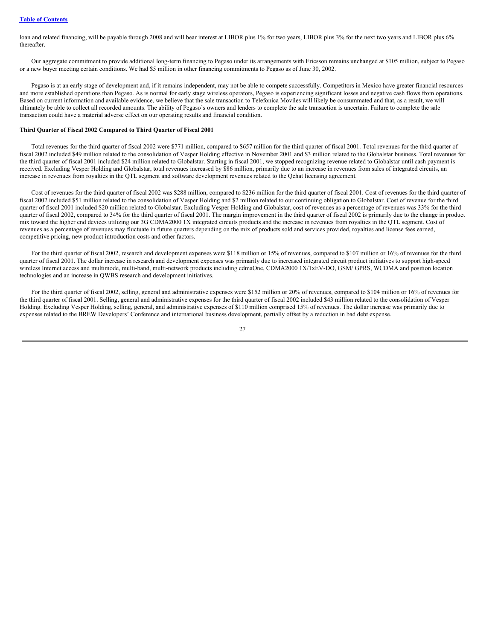loan and related financing, will be payable through 2008 and will bear interest at LIBOR plus 1% for two years, LIBOR plus 3% for the next two years and LIBOR plus 6% thereafter.

Our aggregate commitment to provide additional long-term financing to Pegaso under its arrangements with Ericsson remains unchanged at \$105 million, subject to Pegaso or a new buyer meeting certain conditions. We had \$5 million in other financing commitments to Pegaso as of June 30, 2002.

Pegaso is at an early stage of development and, if it remains independent, may not be able to compete successfully. Competitors in Mexico have greater financial resources and more established operations than Pegaso. As is normal for early stage wireless operators, Pegaso is experiencing significant losses and negative cash flows from operations. Based on current information and available evidence, we believe that the sale transaction to Telefonica Moviles will likely be consummated and that, as a result, we will ultimately be able to collect all recorded amounts. The ability of Pegaso's owners and lenders to complete the sale transaction is uncertain. Failure to complete the sale transaction could have a material adverse effect on our operating results and financial condition.

#### **Third Quarter of Fiscal 2002 Compared to Third Quarter of Fiscal 2001**

Total revenues for the third quarter of fiscal 2002 were \$771 million, compared to \$657 million for the third quarter of fiscal 2001. Total revenues for the third quarter of fiscal 2002 included \$49 million related to the consolidation of Vesper Holding effective in November 2001 and \$3 million related to the Globalstar business. Total revenues for the third quarter of fiscal 2001 included \$24 million related to Globalstar. Starting in fiscal 2001, we stopped recognizing revenue related to Globalstar until cash payment is received. Excluding Vesper Holding and Globalstar, total revenues increased by \$86 million, primarily due to an increase in revenues from sales of integrated circuits, an increase in revenues from royalties in the QTL segment and software development revenues related to the Qchat licensing agreement.

Cost of revenues for the third quarter of fiscal 2002 was \$288 million, compared to \$236 million for the third quarter of fiscal 2001. Cost of revenues for the third quarter of fiscal 2002 included \$51 million related to the consolidation of Vesper Holding and \$2 million related to our continuing obligation to Globalstar. Cost of revenue for the third quarter of fiscal 2001 included \$20 million related to Globalstar. Excluding Vesper Holding and Globalstar, cost of revenues as a percentage of revenues was 33% for the third quarter of fiscal 2002, compared to 34% for the third quarter of fiscal 2001. The margin improvement in the third quarter of fiscal 2002 is primarily due to the change in product mix toward the higher end devices utilizing our 3G CDMA2000 1X integrated circuits products and the increase in revenues from royalties in the QTL segment. Cost of revenues as a percentage of revenues may fluctuate in future quarters depending on the mix of products sold and services provided, royalties and license fees earned, competitive pricing, new product introduction costs and other factors.

For the third quarter of fiscal 2002, research and development expenses were \$118 million or 15% of revenues, compared to \$107 million or 16% of revenues for the third quarter of fiscal 2001. The dollar increase in research and development expenses was primarily due to increased integrated circuit product initiatives to support high-speed wireless Internet access and multimode, multi-band, multi-network products including cdmaOne, CDMA2000 1X/1xEV-DO, GSM/ GPRS, WCDMA and position location technologies and an increase in QWBS research and development initiatives.

For the third quarter of fiscal 2002, selling, general and administrative expenses were \$152 million or 20% of revenues, compared to \$104 million or 16% of revenues for the third quarter of fiscal 2001. Selling, general and administrative expenses for the third quarter of fiscal 2002 included \$43 million related to the consolidation of Vesper Holding. Excluding Vesper Holding, selling, general, and administrative expenses of \$110 million comprised 15% of revenues. The dollar increase was primarily due to expenses related to the BREW Developers' Conference and international business development, partially offset by a reduction in bad debt expense.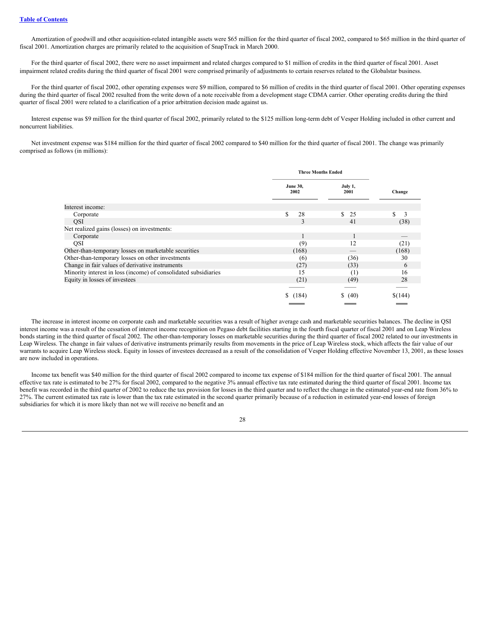Amortization of goodwill and other acquisition-related intangible assets were \$65 million for the third quarter of fiscal 2002, compared to \$65 million in the third quarter of fiscal 2001. Amortization charges are primarily related to the acquisition of SnapTrack in March 2000.

For the third quarter of fiscal 2002, there were no asset impairment and related charges compared to \$1 million of credits in the third quarter of fiscal 2001. Asset impairment related credits during the third quarter of fiscal 2001 were comprised primarily of adjustments to certain reserves related to the Globalstar business.

For the third quarter of fiscal 2002, other operating expenses were \$9 million, compared to \$6 million of credits in the third quarter of fiscal 2001. Other operating expenses during the third quarter of fiscal 2002 resulted from the write down of a note receivable from a development stage CDMA carrier. Other operating credits during the third quarter of fiscal 2001 were related to a clarification of a prior arbitration decision made against us.

Interest expense was \$9 million for the third quarter of fiscal 2002, primarily related to the \$125 million long-term debt of Vesper Holding included in other current and noncurrent liabilities.

Net investment expense was \$184 million for the third quarter of fiscal 2002 compared to \$40 million for the third quarter of fiscal 2001. The change was primarily comprised as follows (in millions):

|                                                                 | <b>Three Months Ended</b> |                     |         |  |
|-----------------------------------------------------------------|---------------------------|---------------------|---------|--|
|                                                                 | <b>June 30,</b><br>2002   | July 1,<br>2001     | Change  |  |
| Interest income:                                                |                           |                     |         |  |
| Corporate                                                       | S.<br>28                  | <sup>\$</sup><br>25 | S<br>3  |  |
| QSI                                                             | 3                         | 41                  | (38)    |  |
| Net realized gains (losses) on investments:                     |                           |                     |         |  |
| Corporate                                                       | ш                         |                     |         |  |
| <b>OSI</b>                                                      | (9)                       | 12                  | (21)    |  |
| Other-than-temporary losses on marketable securities            | (168)                     |                     | (168)   |  |
| Other-than-temporary losses on other investments                | (6)                       | (36)                | 30      |  |
| Change in fair values of derivative instruments                 | (27)                      | (33)                | 6       |  |
| Minority interest in loss (income) of consolidated subsidiaries | 15                        | (1)                 | 16      |  |
| Equity in losses of investees                                   | (21)                      | (49)                | 28      |  |
|                                                                 |                           |                     |         |  |
|                                                                 | (184)                     | \$ (40)             | \$(144) |  |

The increase in interest income on corporate cash and marketable securities was a result of higher average cash and marketable securities balances. The decline in QSI interest income was a result of the cessation of interest income recognition on Pegaso debt facilities starting in the fourth fiscal quarter of fiscal 2001 and on Leap Wireless bonds starting in the third quarter of fiscal 2002. The other-than-temporary losses on marketable securities during the third quarter of fiscal 2002 related to our investments in Leap Wireless. The change in fair values of derivative instruments primarily results from movements in the price of Leap Wireless stock, which affects the fair value of our warrants to acquire Leap Wireless stock. Equity in losses of investees decreased as a result of the consolidation of Vesper Holding effective November 13, 2001, as these losses are now included in operations.

Income tax benefit was \$40 million for the third quarter of fiscal 2002 compared to income tax expense of \$184 million for the third quarter of fiscal 2001. The annual effective tax rate is estimated to be 27% for fiscal 2002, compared to the negative 3% annual effective tax rate estimated during the third quarter of fiscal 2001. Income tax benefit was recorded in the third quarter of 2002 to reduce the tax provision for losses in the third quarter and to reflect the change in the estimated year-end rate from 36% to 27%. The current estimated tax rate is lower than the tax rate estimated in the second quarter primarily because of a reduction in estimated year-end losses of foreign subsidiaries for which it is more likely than not we will receive no benefit and an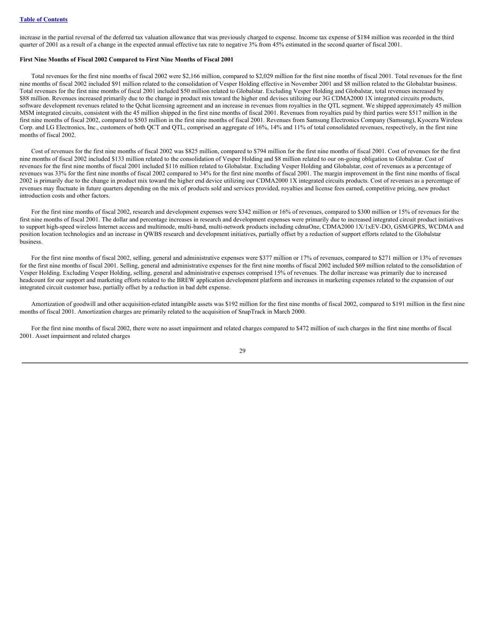increase in the partial reversal of the deferred tax valuation allowance that was previously charged to expense. Income tax expense of \$184 million was recorded in the third quarter of 2001 as a result of a change in the expected annual effective tax rate to negative 3% from 45% estimated in the second quarter of fiscal 2001.

#### **First Nine Months of Fiscal 2002 Compared to First Nine Months of Fiscal 2001**

Total revenues for the first nine months of fiscal 2002 were \$2,166 million, compared to \$2,029 million for the first nine months of fiscal 2001. Total revenues for the first nine months of fiscal 2002 included \$91 million related to the consolidation of Vesper Holding effective in November 2001 and \$8 million related to the Globalstar business. Total revenues for the first nine months of fiscal 2001 included \$50 million related to Globalstar. Excluding Vesper Holding and Globalstar, total revenues increased by \$88 million. Revenues increased primarily due to the change in product mix toward the higher end devises utilizing our 3G CDMA2000 1X integrated circuits products, software development revenues related to the Qchat licensing agreement and an increase in revenues from royalties in the QTL segment. We shipped approximately 45 million MSM integrated circuits, consistent with the 45 million shipped in the first nine months of fiscal 2001. Revenues from royalties paid by third parties were \$517 million in the first nine months of fiscal 2002, compared to \$503 million in the first nine months of fiscal 2001. Revenues from Samsung Electronics Company (Samsung), Kyocera Wireless Corp. and LG Electronics, Inc., customers of both QCT and QTL, comprised an aggregate of 16%, 14% and 11% of total consolidated revenues, respectively, in the first nine months of fiscal 2002.

Cost of revenues for the first nine months of fiscal 2002 was \$825 million, compared to \$794 million for the first nine months of fiscal 2001. Cost of revenues for the first nine months of fiscal 2002 included \$133 million related to the consolidation of Vesper Holding and \$8 million related to our on-going obligation to Globalstar. Cost of revenues for the first nine months of fiscal 2001 included \$116 million related to Globalstar. Excluding Vesper Holding and Globalstar, cost of revenues as a percentage of revenues was 33% for the first nine months of fiscal 2002 compared to 34% for the first nine months of fiscal 2001. The margin improvement in the first nine months of fiscal 2002 is primarily due to the change in product mix toward the higher end device utilizing our CDMA2000 1X integrated circuits products. Cost of revenues as a percentage of revenues may fluctuate in future quarters depending on the mix of products sold and services provided, royalties and license fees earned, competitive pricing, new product introduction costs and other factors.

For the first nine months of fiscal 2002, research and development expenses were \$342 million or 16% of revenues, compared to \$300 million or 15% of revenues for the first nine months of fiscal 2001. The dollar and percentage increases in research and development expenses were primarily due to increased integrated circuit product initiatives to support high-speed wireless Internet access and multimode, multi-band, multi-network products including cdmaOne, CDMA2000 1X/1xEV-DO, GSM/GPRS, WCDMA and position location technologies and an increase in QWBS research and development initiatives, partially offset by a reduction of support efforts related to the Globalstar business.

For the first nine months of fiscal 2002, selling, general and administrative expenses were \$377 million or 17% of revenues, compared to \$271 million or 13% of revenues for the first nine months of fiscal 2001. Selling, general and administrative expenses for the first nine months of fiscal 2002 included \$69 million related to the consolidation of Vesper Holding. Excluding Vesper Holding, selling, general and administrative expenses comprised 15% of revenues. The dollar increase was primarily due to increased headcount for our support and marketing efforts related to the BREW application development platform and increases in marketing expenses related to the expansion of our integrated circuit customer base, partially offset by a reduction in bad debt expense.

Amortization of goodwill and other acquisition-related intangible assets was \$192 million for the first nine months of fiscal 2002, compared to \$191 million in the first nine months of fiscal 2001. Amortization charges are primarily related to the acquisition of SnapTrack in March 2000.

For the first nine months of fiscal 2002, there were no asset impairment and related charges compared to \$472 million of such charges in the first nine months of fiscal 2001. Asset impairment and related charges

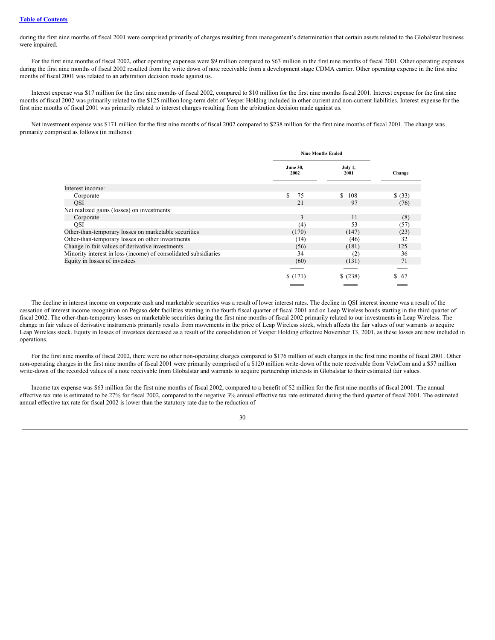during the first nine months of fiscal 2001 were comprised primarily of charges resulting from management's determination that certain assets related to the Globalstar business were impaired.

For the first nine months of fiscal 2002, other operating expenses were \$9 million compared to \$63 million in the first nine months of fiscal 2001. Other operating expenses during the first nine months of fiscal 2002 resulted from the write down of note receivable from a development stage CDMA carrier. Other operating expense in the first nine months of fiscal 2001 was related to an arbitration decision made against us.

Interest expense was \$17 million for the first nine months of fiscal 2002, compared to \$10 million for the first nine months fiscal 2001. Interest expense for the first nine months of fiscal 2002 was primarily related to the \$125 million long-term debt of Vesper Holding included in other current and non-current liabilities. Interest expense for the first nine months of fiscal 2001 was primarily related to interest charges resulting from the arbitration decision made against us.

Net investment expense was \$171 million for the first nine months of fiscal 2002 compared to \$238 million for the first nine months of fiscal 2001. The change was primarily comprised as follows (in millions):

|                                                                 | <b>Nine Months Ended</b> |                      |         |  |
|-----------------------------------------------------------------|--------------------------|----------------------|---------|--|
|                                                                 | <b>June 30,</b><br>2002  | July 1,<br>2001      | Change  |  |
| Interest income:                                                |                          |                      |         |  |
| Corporate                                                       | S<br>75                  | <sup>\$</sup><br>108 | \$ (33) |  |
| <b>QSI</b>                                                      | 21                       | 97                   | (76)    |  |
| Net realized gains (losses) on investments:                     |                          |                      |         |  |
| Corporate                                                       | 3                        | 11                   | (8)     |  |
| <b>QSI</b>                                                      | (4)                      | 53                   | (57)    |  |
| Other-than-temporary losses on marketable securities            | (170)                    | (147)                | (23)    |  |
| Other-than-temporary losses on other investments                | (14)                     | (46)                 | 32      |  |
| Change in fair values of derivative investments                 | (56)                     | (181)                | 125     |  |
| Minority interest in loss (income) of consolidated subsidiaries | 34                       | (2)                  | 36      |  |
| Equity in losses of investees                                   | (60)                     | (131)                | 71      |  |
|                                                                 |                          |                      |         |  |
|                                                                 | \$(171)                  | $$^{(238)}$          | -67     |  |
|                                                                 |                          |                      |         |  |

The decline in interest income on corporate cash and marketable securities was a result of lower interest rates. The decline in QSI interest income was a result of the cessation of interest income recognition on Pegaso debt facilities starting in the fourth fiscal quarter of fiscal 2001 and on Leap Wireless bonds starting in the third quarter of fiscal 2002. The other-than-temporary losses on marketable securities during the first nine months of fiscal 2002 primarily related to our investments in Leap Wireless. The change in fair values of derivative instruments primarily results from movements in the price of Leap Wireless stock, which affects the fair values of our warrants to acquire Leap Wireless stock. Equity in losses of investees decreased as a result of the consolidation of Vesper Holding effective November 13, 2001, as these losses are now included in operations.

For the first nine months of fiscal 2002, there were no other non-operating charges compared to \$176 million of such charges in the first nine months of fiscal 2001. Other non-operating charges in the first nine months of fiscal 2001 were primarily comprised of a \$120 million write-down of the note receivable from VeloCom and a \$57 million write-down of the recorded values of a note receivable from Globalstar and warrants to acquire partnership interests in Globalstar to their estimated fair values.

Income tax expense was \$63 million for the first nine months of fiscal 2002, compared to a benefit of \$2 million for the first nine months of fiscal 2001. The annual effective tax rate is estimated to be 27% for fiscal 2002, compared to the negative 3% annual effective tax rate estimated during the third quarter of fiscal 2001. The estimated annual effective tax rate for fiscal 2002 is lower than the statutory rate due to the reduction of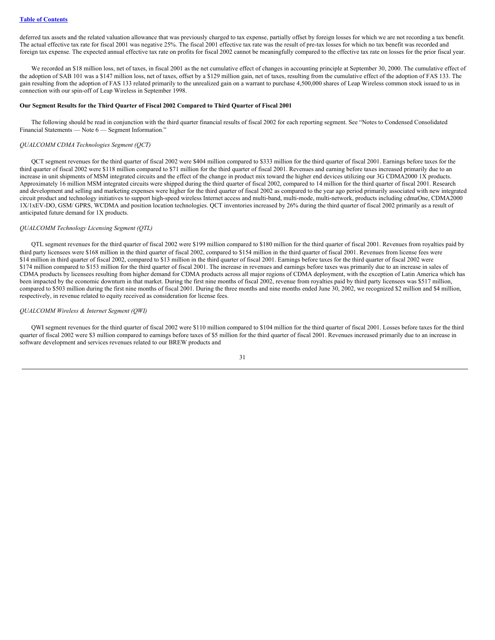deferred tax assets and the related valuation allowance that was previously charged to tax expense, partially offset by foreign losses for which we are not recording a tax benefit. The actual effective tax rate for fiscal 2001 was negative 25%. The fiscal 2001 effective tax rate was the result of pre-tax losses for which no tax benefit was recorded and foreign tax expense. The expected annual effective tax rate on profits for fiscal 2002 cannot be meaningfully compared to the effective tax rate on losses for the prior fiscal year.

We recorded an \$18 million loss, net of taxes, in fiscal 2001 as the net cumulative effect of changes in accounting principle at September 30, 2000. The cumulative effect of the adoption of SAB 101 was a \$147 million loss, net of taxes, offset by a \$129 million gain, net of taxes, resulting from the cumulative effect of the adoption of FAS 133. The gain resulting from the adoption of FAS 133 related primarily to the unrealized gain on a warrant to purchase 4,500,000 shares of Leap Wireless common stock issued to us in connection with our spin-off of Leap Wireless in September 1998.

#### **Our Segment Results for the Third Quarter of Fiscal 2002 Compared to Third Quarter of Fiscal 2001**

The following should be read in conjunction with the third quarter financial results of fiscal 2002 for each reporting segment. See "Notes to Condensed Consolidated Financial Statements — Note 6 — Segment Information."

## *QUALCOMM CDMA Technologies Segment (QCT)*

QCT segment revenues for the third quarter of fiscal 2002 were \$404 million compared to \$333 million for the third quarter of fiscal 2001. Earnings before taxes for the third quarter of fiscal 2002 were \$118 million compared to \$71 million for the third quarter of fiscal 2001. Revenues and earning before taxes increased primarily due to an increase in unit shipments of MSM integrated circuits and the effect of the change in product mix toward the higher end devices utilizing our 3G CDMA2000 1X products. Approximately 16 million MSM integrated circuits were shipped during the third quarter of fiscal 2002, compared to 14 million for the third quarter of fiscal 2001. Research and development and selling and marketing expenses were higher for the third quarter of fiscal 2002 as compared to the year ago period primarily associated with new integrated circuit product and technology initiatives to support high-speed wireless Internet access and multi-band, multi-mode, multi-network, products including cdmaOne, CDMA2000 1X/1xEV-DO, GSM/ GPRS, WCDMA and position location technologies. QCT inventories increased by 26% during the third quarter of fiscal 2002 primarily as a result of anticipated future demand for 1X products.

#### *QUALCOMM Technology Licensing Segment (QTL)*

QTL segment revenues for the third quarter of fiscal 2002 were \$199 million compared to \$180 million for the third quarter of fiscal 2001. Revenues from royalties paid by third party licensees were \$168 million in the third quarter of fiscal 2002, compared to \$154 million in the third quarter of fiscal 2001. Revenues from license fees were \$14 million in third quarter of fiscal 2002, compared to \$13 million in the third quarter of fiscal 2001. Earnings before taxes for the third quarter of fiscal 2002 were \$174 million compared to \$153 million for the third quarter of fiscal 2001. The increase in revenues and earnings before taxes was primarily due to an increase in sales of CDMA products by licensees resulting from higher demand for CDMA products across all major regions of CDMA deployment, with the exception of Latin America which has been impacted by the economic downturn in that market. During the first nine months of fiscal 2002, revenue from royalties paid by third party licensees was \$517 million, compared to \$503 million during the first nine months of fiscal 2001. During the three months and nine months ended June 30, 2002, we recognized \$2 million and \$4 million, respectively, in revenue related to equity received as consideration for license fees.

#### *QUALCOMM Wireless & Internet Segment (QWI)*

QWI segment revenues for the third quarter of fiscal 2002 were \$110 million compared to \$104 million for the third quarter of fiscal 2001. Losses before taxes for the third quarter of fiscal 2002 were \$3 million compared to earnings before taxes of \$5 million for the third quarter of fiscal 2001. Revenues increased primarily due to an increase in software development and services revenues related to our BREW products and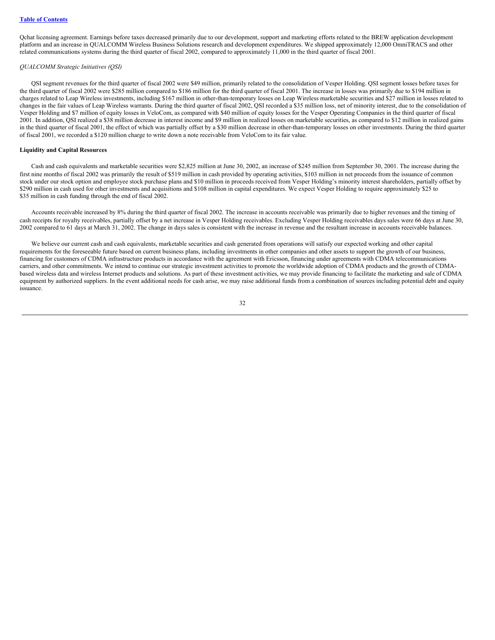Qchat licensing agreement. Earnings before taxes decreased primarily due to our development, support and marketing efforts related to the BREW application development platform and an increase in QUALCOMM Wireless Business Solutions research and development expenditures. We shipped approximately 12,000 OmniTRACS and other related communications systems during the third quarter of fiscal 2002, compared to approximately 11,000 in the third quarter of fiscal 2001.

#### *QUALCOMM Strategic Initiatives (QSI)*

QSI segment revenues for the third quarter of fiscal 2002 were \$49 million, primarily related to the consolidation of Vesper Holding. QSI segment losses before taxes for the third quarter of fiscal 2002 were \$285 million compared to \$186 million for the third quarter of fiscal 2001. The increase in losses was primarily due to \$194 million in charges related to Leap Wireless investments, including \$167 million in other-than-temporary losses on Leap Wireless marketable securities and \$27 million in losses related to changes in the fair values of Leap Wireless warrants. During the third quarter of fiscal 2002, QSI recorded a \$35 million loss, net of minority interest, due to the consolidation of Vesper Holding and \$7 million of equity losses in VeloCom, as compared with \$40 million of equity losses for the Vesper Operating Companies in the third quarter of fiscal 2001. In addition, QSI realized a \$38 million decrease in interest income and \$9 million in realized losses on marketable securities, as compared to \$12 million in realized gains in the third quarter of fiscal 2001, the effect of which was partially offset by a \$30 million decrease in other-than-temporary losses on other investments. During the third quarter of fiscal 2001, we recorded a \$120 million charge to write down a note receivable from VeloCom to its fair value.

## **Liquidity and Capital Resources**

Cash and cash equivalents and marketable securities were \$2,825 million at June 30, 2002, an increase of \$245 million from September 30, 2001. The increase during the first nine months of fiscal 2002 was primarily the result of \$519 million in cash provided by operating activities, \$103 million in net proceeds from the issuance of common stock under our stock option and employee stock purchase plans and \$10 million in proceeds received from Vesper Holding's minority interest shareholders, partially offset by \$290 million in cash used for other investments and acquisitions and \$108 million in capital expenditures. We expect Vesper Holding to require approximately \$25 to \$35 million in cash funding through the end of fiscal 2002.

Accounts receivable increased by 8% during the third quarter of fiscal 2002. The increase in accounts receivable was primarily due to higher revenues and the timing of cash receipts for royalty receivables, partially offset by a net increase in Vesper Holding receivables. Excluding Vesper Holding receivables days sales were 66 days at June 30, 2002 compared to 61 days at March 31, 2002. The change in days sales is consistent with the increase in revenue and the resultant increase in accounts receivable balances.

We believe our current cash and cash equivalents, marketable securities and cash generated from operations will satisfy our expected working and other capital requirements for the foreseeable future based on current business plans, including investments in other companies and other assets to support the growth of our business, financing for customers of CDMA infrastructure products in accordance with the agreement with Ericsson, financing under agreements with CDMA telecommunications carriers, and other commitments. We intend to continue our strategic investment activities to promote the worldwide adoption of CDMA products and the growth of CDMAbased wireless data and wireless Internet products and solutions. As part of these investment activities, we may provide financing to facilitate the marketing and sale of CDMA equipment by authorized suppliers. In the event additional needs for cash arise, we may raise additional funds from a combination of sources including potential debt and equity issuance.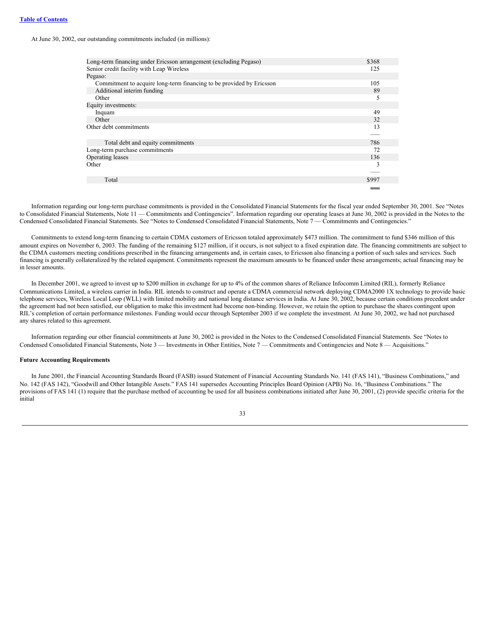#### **Table of [Contents](#page-0-0)**

#### At June 30, 2002, our outstanding commitments included (in millions):

| Long-term financing under Ericsson arrangement (excluding Pegaso)    | \$368 |
|----------------------------------------------------------------------|-------|
| Senior credit facility with Leap Wireless                            | 125   |
| Pegaso:                                                              |       |
| Commitment to acquire long-term financing to be provided by Ericsson | 105   |
| Additional interim funding                                           | 89    |
| Other                                                                | 5     |
| Equity investments:                                                  |       |
| Inquam                                                               | 49    |
| Other                                                                | 32    |
| Other debt commitments                                               | 13    |
|                                                                      |       |
| Total debt and equity commitments                                    | 786   |
| Long-term purchase commitments                                       | 72    |
| Operating leases                                                     | 136   |
| Other                                                                | 3     |
|                                                                      |       |
| Total                                                                | \$997 |
|                                                                      |       |

Information regarding our long-term purchase commitments is provided in the Consolidated Financial Statements for the fiscal year ended September 30, 2001. See "Notes to Consolidated Financial Statements, Note 11 — Commitments and Contingencies". Information regarding our operating leases at June 30, 2002 is provided in the Notes to the Condensed Consolidated Financial Statements. See "Notes to Condensed Consolidated Financial Statements, Note 7 — Commitments and Contingencies."

Commitments to extend long-term financing to certain CDMA customers of Ericsson totaled approximately \$473 million. The commitment to fund \$346 million of this amount expires on November 6, 2003. The funding of the remaining \$127 million, if it occurs, is not subject to a fixed expiration date. The financing commitments are subject to the CDMA customers meeting conditions prescribed in the financing arrangements and, in certain cases, to Ericsson also financing a portion of such sales and services. Such financing is generally collateralized by the related equipment. Commitments represent the maximum amounts to be financed under these arrangements; actual financing may be in lesser amounts.

In December 2001, we agreed to invest up to \$200 million in exchange for up to 4% of the common shares of Reliance Infocomm Limited (RIL), formerly Reliance Communications Limited, a wireless carrier in India. RIL intends to construct and operate a CDMA commercial network deploying CDMA2000 1X technology to provide basic telephone services, Wireless Local Loop (WLL) with limited mobility and national long distance services in India. At June 30, 2002, because certain conditions precedent under the agreement had not been satisfied, our obligation to make this investment had become non-binding. However, we retain the option to purchase the shares contingent upon RIL's completion of certain performance milestones. Funding would occur through September 2003 if we complete the investment. At June 30, 2002, we had not purchased any shares related to this agreement.

Information regarding our other financial commitments at June 30, 2002 is provided in the Notes to the Condensed Consolidated Financial Statements. See "Notes to Condensed Consolidated Financial Statements, Note 3 — Investments in Other Entities, Note 7 — Commitments and Contingencies and Note 8 — Acquisitions."

#### **Future Accounting Requirements**

In June 2001, the Financial Accounting Standards Board (FASB) issued Statement of Financial Accounting Standards No. 141 (FAS 141), "Business Combinations," and No. 142 (FAS 142), "Goodwill and Other Intangible Assets." FAS 141 supersedes Accounting Principles Board Opinion (APB) No. 16, "Business Combinations." The provisions of FAS 141 (1) require that the purchase method of accounting be used for all business combinations initiated after June 30, 2001, (2) provide specific criteria for the initial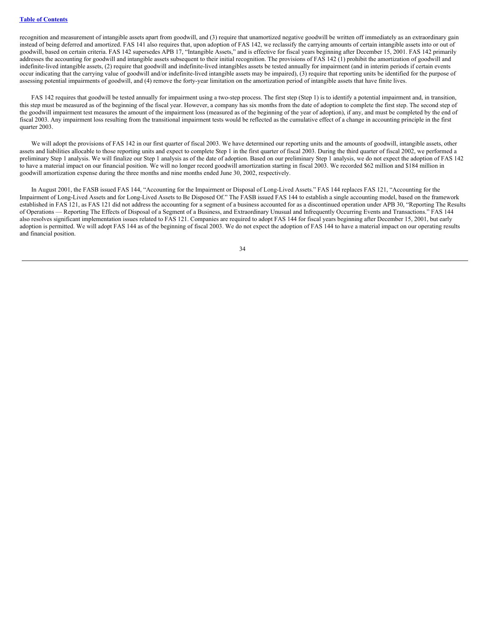recognition and measurement of intangible assets apart from goodwill, and (3) require that unamortized negative goodwill be written off immediately as an extraordinary gain instead of being deferred and amortized. FAS 141 also requires that, upon adoption of FAS 142, we reclassify the carrying amounts of certain intangible assets into or out of goodwill, based on certain criteria. FAS 142 supersedes APB 17, "Intangible Assets," and is effective for fiscal years beginning after December 15, 2001. FAS 142 primarily addresses the accounting for goodwill and intangible assets subsequent to their initial recognition. The provisions of FAS 142 (1) prohibit the amortization of goodwill and indefinite-lived intangible assets, (2) require that goodwill and indefinite-lived intangibles assets be tested annually for impairment (and in interim periods if certain events occur indicating that the carrying value of goodwill and/or indefinite-lived intangible assets may be impaired), (3) require that reporting units be identified for the purpose of assessing potential impairments of goodwill, and (4) remove the forty-year limitation on the amortization period of intangible assets that have finite lives.

FAS 142 requires that goodwill be tested annually for impairment using a two-step process. The first step (Step 1) is to identify a potential impairment and, in transition, this step must be measured as of the beginning of the fiscal year. However, a company has six months from the date of adoption to complete the first step. The second step of the goodwill impairment test measures the amount of the impairment loss (measured as of the beginning of the year of adoption), if any, and must be completed by the end of fiscal 2003. Any impairment loss resulting from the transitional impairment tests would be reflected as the cumulative effect of a change in accounting principle in the first quarter 2003.

We will adopt the provisions of FAS 142 in our first quarter of fiscal 2003. We have determined our reporting units and the amounts of goodwill, intangible assets, other assets and liabilities allocable to those reporting units and expect to complete Step 1 in the first quarter of fiscal 2003. During the third quarter of fiscal 2002, we performed a preliminary Step 1 analysis. We will finalize our Step 1 analysis as of the date of adoption. Based on our preliminary Step 1 analysis, we do not expect the adoption of FAS 142 to have a material impact on our financial position. We will no longer record goodwill amortization starting in fiscal 2003. We recorded \$62 million and \$184 million in goodwill amortization expense during the three months and nine months ended June 30, 2002, respectively.

In August 2001, the FASB issued FAS 144, "Accounting for the Impairment or Disposal of Long-Lived Assets." FAS 144 replaces FAS 121, "Accounting for the Impairment of Long-Lived Assets and for Long-Lived Assets to Be Disposed Of." The FASB issued FAS 144 to establish a single accounting model, based on the framework established in FAS 121, as FAS 121 did not address the accounting for a segment of a business accounted for as a discontinued operation under APB 30, "Reporting The Results of Operations — Reporting The Effects of Disposal of a Segment of a Business, and Extraordinary Unusual and Infrequently Occurring Events and Transactions." FAS 144 also resolves significant implementation issues related to FAS 121. Companies are required to adopt FAS 144 for fiscal years beginning after December 15, 2001, but early adoption is permitted. We will adopt FAS 144 as of the beginning of fiscal 2003. We do not expect the adoption of FAS 144 to have a material impact on our operating results and financial position.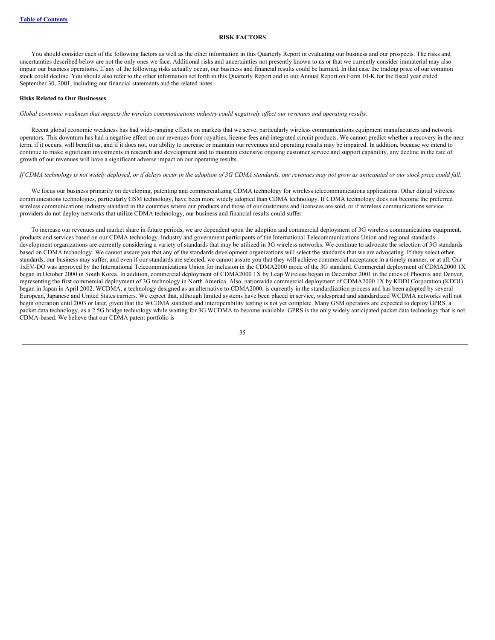#### **RISK FACTORS**

You should consider each of the following factors as well as the other information in this Quarterly Report in evaluating our business and our prospects. The risks and uncertainties described below are not the only ones we face. Additional risks and uncertainties not presently known to us or that we currently consider immaterial may also impair our business operations. If any of the following risks actually occur, our business and financial results could be harmed. In that case the trading price of our common stock could decline. You should also refer to the other information set forth in this Quarterly Report and in our Annual Report on Form 10-K for the fiscal year ended September 30, 2001, including our financial statements and the related notes.

#### **Risks Related to Our Businesses**

Global economic weakness that impacts the wireless communications industry could negatively affect our revenues and operating results.

Recent global economic weakness has had wide-ranging effects on markets that we serve, particularly wireless communications equipment manufacturers and network operators. This downturn has had a negative effect on our revenues from royalties, license fees and integrated circuit products. We cannot predict whether a recovery in the near term, if it occurs, will benefit us, and if it does not, our ability to increase or maintain our revenues and operating results may be impaired. In addition, because we intend to continue to make significant investments in research and development and to maintain extensive ongoing customer service and support capability, any decline in the rate of growth of our revenues will have a significant adverse impact on our operating results.

#### If CDMA technology is not widely deployed, or if delays occur in the adoption of 3G CDMA standards, our revenues may not grow as anticipated or our stock price could fall.

We focus our business primarily on developing, patenting and commercializing CDMA technology for wireless telecommunications applications. Other digital wireless communications technologies, particularly GSM technology, have been more widely adopted than CDMA technology. If CDMA technology does not become the preferred wireless communications industry standard in the countries where our products and those of our customers and licensees are sold, or if wireless communications service providers do not deploy networks that utilize CDMA technology, our business and financial results could suffer.

To increase our revenues and market share in future periods, we are dependent upon the adoption and commercial deployment of 3G wireless communications equipment, products and services based on our CDMA technology. Industry and government participants of the International Telecommunications Union and regional standards development organizations are currently considering a variety of standards that may be utilized in 3G wireless networks. We continue to advocate the selection of 3G standards based on CDMA technology. We cannot assure you that any of the standards development organizations will select the standards that we are advocating. If they select other standards, our business may suffer, and even if our standards are selected, we cannot assure you that they will achieve commercial acceptance in a timely manner, or at all. Our 1xEV-DO was approved by the International Telecommunications Union for inclusion in the CDMA2000 mode of the 3G standard. Commercial deployment of CDMA2000 1X began in October 2000 in South Korea. In addition, commercial deployment of CDMA2000 1X by Leap Wireless began in December 2001 in the cities of Phoenix and Denver, representing the first commercial deployment of 3G technology in North America. Also, nationwide commercial deployment of CDMA2000 1X by KDDI Corporation (KDDI) began in Japan in April 2002. WCDMA, a technology designed as an alternative to CDMA2000, is currently in the standardization process and has been adopted by several European, Japanese and United States carriers. We expect that, although limited systems have been placed in service, widespread and standardized WCDMA networks will not begin operation until 2003 or later, given that the WCDMA standard and interoperability testing is not yet complete. Many GSM operators are expected to deploy GPRS, a packet data technology, as a 2.5G bridge technology while waiting for 3G WCDMA to become available. GPRS is the only widely anticipated packet data technology that is not CDMA-based. We believe that our CDMA patent portfolio is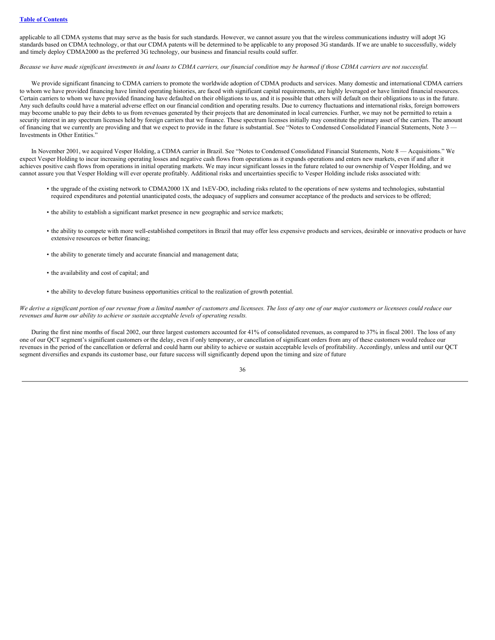applicable to all CDMA systems that may serve as the basis for such standards. However, we cannot assure you that the wireless communications industry will adopt 3G standards based on CDMA technology, or that our CDMA patents will be determined to be applicable to any proposed 3G standards. If we are unable to successfully, widely and timely deploy CDMA2000 as the preferred 3G technology, our business and financial results could suffer.

# Because we have made significant investments in and loans to CDMA carriers, our financial condition may be harmed if those CDMA carriers are not successful.

We provide significant financing to CDMA carriers to promote the worldwide adoption of CDMA products and services. Many domestic and international CDMA carriers to whom we have provided financing have limited operating histories, are faced with significant capital requirements, are highly leveraged or have limited financial resources. Certain carriers to whom we have provided financing have defaulted on their obligations to us, and it is possible that others will default on their obligations to us in the future. Any such defaults could have a material adverse effect on our financial condition and operating results. Due to currency fluctuations and international risks, foreign borrowers may become unable to pay their debts to us from revenues generated by their projects that are denominated in local currencies. Further, we may not be permitted to retain a security interest in any spectrum licenses held by foreign carriers that we finance. These spectrum licenses initially may constitute the primary asset of the carriers. The amount of financing that we currently are providing and that we expect to provide in the future is substantial. See "Notes to Condensed Consolidated Financial Statements, Note 3 -Investments in Other Entities."

In November 2001, we acquired Vesper Holding, a CDMA carrier in Brazil. See "Notes to Condensed Consolidated Financial Statements, Note 8 — Acquisitions." We expect Vesper Holding to incur increasing operating losses and negative cash flows from operations as it expands operations and enters new markets, even if and after it achieves positive cash flows from operations in initial operating markets. We may incur significant losses in the future related to our ownership of Vesper Holding, and we cannot assure you that Vesper Holding will ever operate profitably. Additional risks and uncertainties specific to Vesper Holding include risks associated with:

- the upgrade of the existing network to CDMA2000 1X and 1xEV-DO, including risks related to the operations of new systems and technologies, substantial required expenditures and potential unanticipated costs, the adequacy of suppliers and consumer acceptance of the products and services to be offered;
- the ability to establish a significant market presence in new geographic and service markets;
- the ability to compete with more well-established competitors in Brazil that may offer less expensive products and services, desirable or innovative products or have extensive resources or better financing;
- the ability to generate timely and accurate financial and management data;
- the availability and cost of capital; and
- the ability to develop future business opportunities critical to the realization of growth potential.

We derive a significant portion of our revenue from a limited number of customers and licensees. The loss of any one of our major customers or licensees could reduce our *revenues and harm our ability to achieve or sustain acceptable levels of operating results.*

During the first nine months of fiscal 2002, our three largest customers accounted for 41% of consolidated revenues, as compared to 37% in fiscal 2001. The loss of any one of our QCT segment's significant customers or the delay, even if only temporary, or cancellation of significant orders from any of these customers would reduce our revenues in the period of the cancellation or deferral and could harm our ability to achieve or sustain acceptable levels of profitability. Accordingly, unless and until our QCT segment diversifies and expands its customer base, our future success will significantly depend upon the timing and size of future

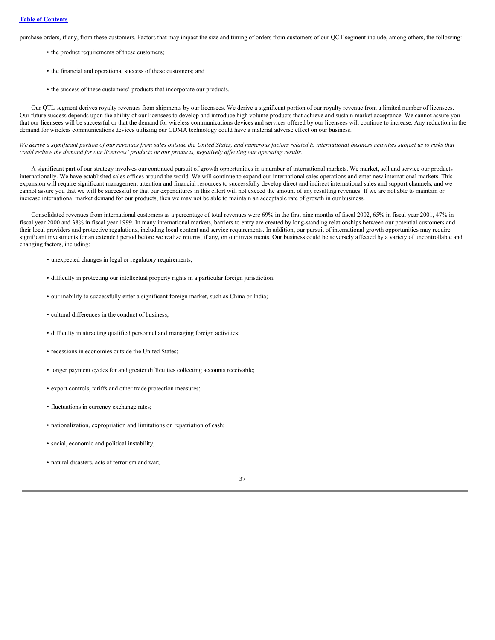purchase orders, if any, from these customers. Factors that may impact the size and timing of orders from customers of our QCT segment include, among others, the following:

- the product requirements of these customers;
- the financial and operational success of these customers; and
- the success of these customers' products that incorporate our products.

Our QTL segment derives royalty revenues from shipments by our licensees. We derive a significant portion of our royalty revenue from a limited number of licensees. Our future success depends upon the ability of our licensees to develop and introduce high volume products that achieve and sustain market acceptance. We cannot assure you that our licensees will be successful or that the demand for wireless communications devices and services offered by our licensees will continue to increase. Any reduction in the demand for wireless communications devices utilizing our CDMA technology could have a material adverse effect on our business.

We derive a significant portion of our revenues from sales outside the United States, and numerous factors related to international business activities subject us to risks that could reduce the demand for our licensees' products or our products, negatively affecting our operating results.

A significant part of our strategy involves our continued pursuit of growth opportunities in a number of international markets. We market, sell and service our products internationally. We have established sales offices around the world. We will continue to expand our international sales operations and enter new international markets. This expansion will require significant management attention and financial resources to successfully develop direct and indirect international sales and support channels, and we cannot assure you that we will be successful or that our expenditures in this effort will not exceed the amount of any resulting revenues. If we are not able to maintain or increase international market demand for our products, then we may not be able to maintain an acceptable rate of growth in our business.

Consolidated revenues from international customers as a percentage of total revenues were 69% in the first nine months of fiscal 2002, 65% in fiscal year 2001, 47% in fiscal year 2000 and 38% in fiscal year 1999. In many international markets, barriers to entry are created by long-standing relationships between our potential customers and their local providers and protective regulations, including local content and service requirements. In addition, our pursuit of international growth opportunities may require significant investments for an extended period before we realize returns, if any, on our investments. Our business could be adversely affected by a variety of uncontrollable and changing factors, including:

- unexpected changes in legal or regulatory requirements;
- difficulty in protecting our intellectual property rights in a particular foreign jurisdiction;
- our inability to successfully enter a significant foreign market, such as China or India;
- cultural differences in the conduct of business;
- difficulty in attracting qualified personnel and managing foreign activities;
- recessions in economies outside the United States;
- longer payment cycles for and greater difficulties collecting accounts receivable;
- export controls, tariffs and other trade protection measures;
- fluctuations in currency exchange rates;
- nationalization, expropriation and limitations on repatriation of cash;
- social, economic and political instability;
- natural disasters, acts of terrorism and war;

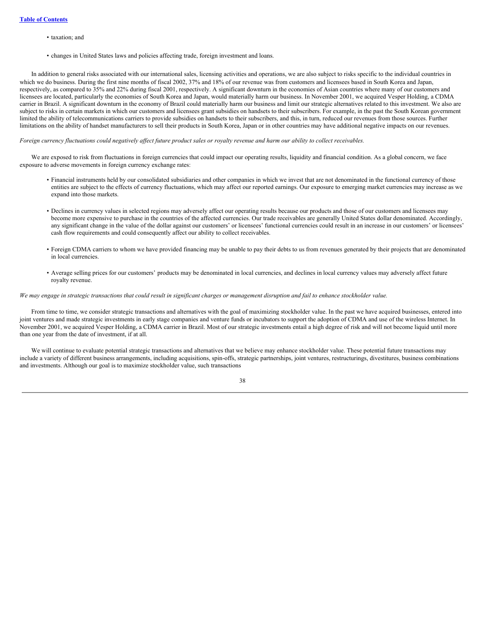- taxation; and
- changes in United States laws and policies affecting trade, foreign investment and loans.

In addition to general risks associated with our international sales, licensing activities and operations, we are also subject to risks specific to the individual countries in which we do business. During the first nine months of fiscal 2002, 37% and 18% of our revenue was from customers and licensees based in South Korea and Japan, respectively, as compared to 35% and 22% during fiscal 2001, respectively. A significant downturn in the economies of Asian countries where many of our customers and licensees are located, particularly the economies of South Korea and Japan, would materially harm our business. In November 2001, we acquired Vesper Holding, a CDMA carrier in Brazil. A significant downturn in the economy of Brazil could materially harm our business and limit our strategic alternatives related to this investment. We also are subject to risks in certain markets in which our customers and licensees grant subsidies on handsets to their subscribers. For example, in the past the South Korean government limited the ability of telecommunications carriers to provide subsidies on handsets to their subscribers, and this, in turn, reduced our revenues from those sources. Further limitations on the ability of handset manufacturers to sell their products in South Korea, Japan or in other countries may have additional negative impacts on our revenues.

### Foreign currency fluctuations could negatively affect future product sales or royalty revenue and harm our ability to collect receivables.

We are exposed to risk from fluctuations in foreign currencies that could impact our operating results, liquidity and financial condition. As a global concern, we face exposure to adverse movements in foreign currency exchange rates:

- Financial instruments held by our consolidated subsidiaries and other companies in which we invest that are not denominated in the functional currency of those entities are subject to the effects of currency fluctuations, which may affect our reported earnings. Our exposure to emerging market currencies may increase as we expand into those markets.
- Declines in currency values in selected regions may adversely affect our operating results because our products and those of our customers and licensees may become more expensive to purchase in the countries of the affected currencies. Our trade receivables are generally United States dollar denominated. Accordingly, any significant change in the value of the dollar against our customers' or licensees' functional currencies could result in an increase in our customers' or licensees' cash flow requirements and could consequently affect our ability to collect receivables.
- Foreign CDMA carriers to whom we have provided financing may be unable to pay their debts to us from revenues generated by their projects that are denominated in local currencies.
- Average selling prices for our customers' products may be denominated in local currencies, and declines in local currency values may adversely affect future royalty revenue.

#### We may engage in strategic transactions that could result in significant charges or management disruption and fail to enhance stockholder value.

From time to time, we consider strategic transactions and alternatives with the goal of maximizing stockholder value. In the past we have acquired businesses, entered into joint ventures and made strategic investments in early stage companies and venture funds or incubators to support the adoption of CDMA and use of the wireless Internet. In November 2001, we acquired Vesper Holding, a CDMA carrier in Brazil. Most of our strategic investments entail a high degree of risk and will not become liquid until more than one year from the date of investment, if at all.

We will continue to evaluate potential strategic transactions and alternatives that we believe may enhance stockholder value. These potential future transactions may include a variety of different business arrangements, including acquisitions, spin-offs, strategic partnerships, joint ventures, restructurings, divestitures, business combinations and investments. Although our goal is to maximize stockholder value, such transactions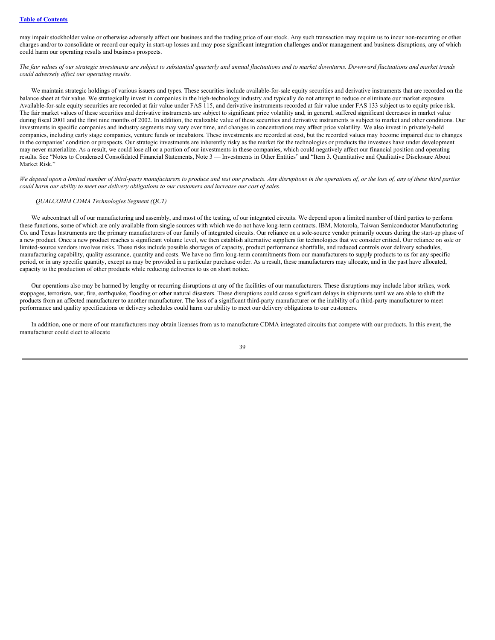#### **Table of [Contents](#page-0-0)**

may impair stockholder value or otherwise adversely affect our business and the trading price of our stock. Any such transaction may require us to incur non-recurring or other charges and/or to consolidate or record our equity in start-up losses and may pose significant integration challenges and/or management and business disruptions, any of which could harm our operating results and business prospects.

The fair values of our strategic investments are subject to substantial quarterly and annual fluctuations and to market downturns. Downward fluctuations and market trends *could adversely af ect our operating results.*

We maintain strategic holdings of various issuers and types. These securities include available-for-sale equity securities and derivative instruments that are recorded on the balance sheet at fair value. We strategically invest in companies in the high-technology industry and typically do not attempt to reduce or eliminate our market exposure. Available-for-sale equity securities are recorded at fair value under FAS 115, and derivative instruments recorded at fair value under FAS 133 subject us to equity price risk. The fair market values of these securities and derivative instruments are subject to significant price volatility and, in general, suffered significant decreases in market value during fiscal 2001 and the first nine months of 2002. In addition, the realizable value of these securities and derivative instruments is subject to market and other conditions. Our investments in specific companies and industry segments may vary over time, and changes in concentrations may affect price volatility. We also invest in privately-held companies, including early stage companies, venture funds or incubators. These investments are recorded at cost, but the recorded values may become impaired due to changes in the companies' condition or prospects. Our strategic investments are inherently risky as the market for the technologies or products the investees have under development may never materialize. As a result, we could lose all or a portion of our investments in these companies, which could negatively affect our financial position and operating results. See "Notes to Condensed Consolidated Financial Statements, Note 3 — Investments in Other Entities" and "Item 3. Quantitative and Qualitative Disclosure About Market Risk."

We depend upon a limited number of third-party manufacturers to produce and test our products. Any disruptions in the operations of, or the loss of, any of these third parties could harm our ability to meet our delivery obligations to our customers and increase our cost of sales.

#### *QUALCOMM CDMA Technologies Segment (QCT)*

We subcontract all of our manufacturing and assembly, and most of the testing, of our integrated circuits. We depend upon a limited number of third parties to perform these functions, some of which are only available from single sources with which we do not have long-term contracts. IBM, Motorola, Taiwan Semiconductor Manufacturing Co. and Texas Instruments are the primary manufacturers of our family of integrated circuits. Our reliance on a sole-source vendor primarily occurs during the start-up phase of a new product. Once a new product reaches a significant volume level, we then establish alternative suppliers for technologies that we consider critical. Our reliance on sole or limited-source vendors involves risks. These risks include possible shortages of capacity, product performance shortfalls, and reduced controls over delivery schedules, manufacturing capability, quality assurance, quantity and costs. We have no firm long-term commitments from our manufacturers to supply products to us for any specific period, or in any specific quantity, except as may be provided in a particular purchase order. As a result, these manufacturers may allocate, and in the past have allocated, capacity to the production of other products while reducing deliveries to us on short notice.

Our operations also may be harmed by lengthy or recurring disruptions at any of the facilities of our manufacturers. These disruptions may include labor strikes, work stoppages, terrorism, war, fire, earthquake, flooding or other natural disasters. These disruptions could cause significant delays in shipments until we are able to shift the products from an affected manufacturer to another manufacturer. The loss of a significant third-party manufacturer or the inability of a third-party manufacturer to meet performance and quality specifications or delivery schedules could harm our ability to meet our delivery obligations to our customers.

In addition, one or more of our manufacturers may obtain licenses from us to manufacture CDMA integrated circuits that compete with our products. In this event, the manufacturer could elect to allocate

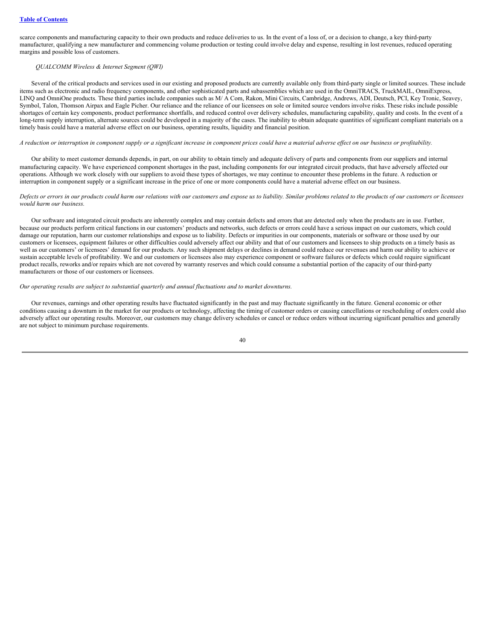scarce components and manufacturing capacity to their own products and reduce deliveries to us. In the event of a loss of, or a decision to change, a key third-party manufacturer, qualifying a new manufacturer and commencing volume production or testing could involve delay and expense, resulting in lost revenues, reduced operating margins and possible loss of customers.

# *QUALCOMM Wireless & Internet Segment (QWI)*

Several of the critical products and services used in our existing and proposed products are currently available only from third-party single or limited sources. These include items such as electronic and radio frequency components, and other sophisticated parts and subassemblies which are used in the OmniTRACS, TruckMAIL, OmniExpress, LINQ and OmniOne products. These third parties include companies such as M/A Com, Rakon, Mini Circuits, Cambridge, Andrews, ADI, Deutsch, PCI, Key Tronic, Seavey, Symbol, Talon, Thomson Airpax and Eagle Picher. Our reliance and the reliance of our licensees on sole or limited source vendors involve risks. These risks include possible shortages of certain key components, product performance shortfalls, and reduced control over delivery schedules, manufacturing capability, quality and costs. In the event of a long-term supply interruption, alternate sources could be developed in a majority of the cases. The inability to obtain adequate quantities of significant compliant materials on a timely basis could have a material adverse effect on our business, operating results, liquidity and financial position.

A reduction or interruption in component supply or a significant increase in component prices could have a material adverse effect on our business or profitability.

Our ability to meet customer demands depends, in part, on our ability to obtain timely and adequate delivery of parts and components from our suppliers and internal manufacturing capacity. We have experienced component shortages in the past, including components for our integrated circuit products, that have adversely affected our operations. Although we work closely with our suppliers to avoid these types of shortages, we may continue to encounter these problems in the future. A reduction or interruption in component supply or a significant increase in the price of one or more components could have a material adverse effect on our business.

#### Defects or errors in our products could harm our relations with our customers and expose us to liability. Similar problems related to the products of our customers or licensees *would harm our business.*

Our software and integrated circuit products are inherently complex and may contain defects and errors that are detected only when the products are in use. Further, because our products perform critical functions in our customers' products and networks, such defects or errors could have a serious impact on our customers, which could damage our reputation, harm our customer relationships and expose us to liability. Defects or impurities in our components, materials or software or those used by our customers or licensees, equipment failures or other difficulties could adversely affect our ability and that of our customers and licensees to ship products on a timely basis as well as our customers' or licensees' demand for our products. Any such shipment delays or declines in demand could reduce our revenues and harm our ability to achieve or sustain acceptable levels of profitability. We and our customers or licensees also may experience component or software failures or defects which could require significant product recalls, reworks and/or repairs which are not covered by warranty reserves and which could consume a substantial portion of the capacity of our third-party manufacturers or those of our customers or licensees.

### *Our operating results are subject to substantial quarterly and annual fluctuations and to market downturns.*

Our revenues, earnings and other operating results have fluctuated significantly in the past and may fluctuate significantly in the future. General economic or other conditions causing a downturn in the market for our products or technology, affecting the timing of customer orders or causing cancellations or rescheduling of orders could also adversely affect our operating results. Moreover, our customers may change delivery schedules or cancel or reduce orders without incurring significant penalties and generally are not subject to minimum purchase requirements.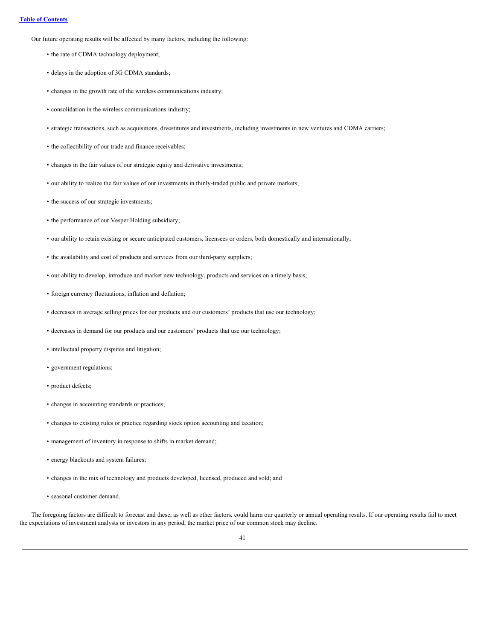Our future operating results will be affected by many factors, including the following:

- the rate of CDMA technology deployment;
- delays in the adoption of 3G CDMA standards;
- changes in the growth rate of the wireless communications industry;
- consolidation in the wireless communications industry;
- strategic transactions, such as acquisitions, divestitures and investments, including investments in new ventures and CDMA carriers;
- the collectibility of our trade and finance receivables;
- changes in the fair values of our strategic equity and derivative investments;
- our ability to realize the fair values of our investments in thinly-traded public and private markets;
- the success of our strategic investments;
- the performance of our Vesper Holding subsidiary;
- our ability to retain existing or secure anticipated customers, licensees or orders, both domestically and internationally;
- the availability and cost of products and services from our third-party suppliers;
- our ability to develop, introduce and market new technology, products and services on a timely basis;
- foreign currency fluctuations, inflation and deflation;
- decreases in average selling prices for our products and our customers' products that use our technology;
- decreases in demand for our products and our customers' products that use our technology;
- intellectual property disputes and litigation;
- government regulations;
- product defects;
- changes in accounting standards or practices;
- changes to existing rules or practice regarding stock option accounting and taxation;
- management of inventory in response to shifts in market demand;
- energy blackouts and system failures;
- changes in the mix of technology and products developed, licensed, produced and sold; and
- seasonal customer demand.

The foregoing factors are difficult to forecast and these, as well as other factors, could harm our quarterly or annual operating results. If our operating results fail to meet the expectations of investment analysts or investors in any period, the market price of our common stock may decline.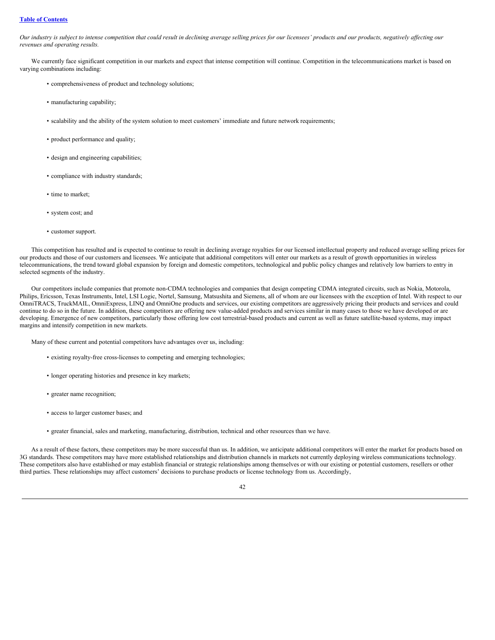# **Table of [Contents](#page-0-0)**

Our industry is subject to intense competition that could result in declining average selling prices for our licensees' products and our products, negatively affecting our *revenues and operating results.*

We currently face significant competition in our markets and expect that intense competition will continue. Competition in the telecommunications market is based on varying combinations including:

- comprehensiveness of product and technology solutions;
- manufacturing capability;
- scalability and the ability of the system solution to meet customers' immediate and future network requirements;
- product performance and quality;
- design and engineering capabilities;
- compliance with industry standards;
- time to market;
- system cost; and
- customer support.

This competition has resulted and is expected to continue to result in declining average royalties for our licensed intellectual property and reduced average selling prices for our products and those of our customers and licensees. We anticipate that additional competitors will enter our markets as a result of growth opportunities in wireless telecommunications, the trend toward global expansion by foreign and domestic competitors, technological and public policy changes and relatively low barriers to entry in selected segments of the industry.

Our competitors include companies that promote non-CDMA technologies and companies that design competing CDMA integrated circuits, such as Nokia, Motorola, Philips, Ericsson, Texas Instruments, Intel, LSI Logic, Nortel, Samsung, Matsushita and Siemens, all of whom are our licensees with the exception of Intel. With respect to our OmniTRACS, TruckMAIL, OmniExpress, LINQ and OmniOne products and services, our existing competitors are aggressively pricing their products and services and could continue to do so in the future. In addition, these competitors are offering new value-added products and services similar in many cases to those we have developed or are developing. Emergence of new competitors, particularly those offering low cost terrestrial-based products and current as well as future satellite-based systems, may impact margins and intensify competition in new markets.

Many of these current and potential competitors have advantages over us, including:

- existing royalty-free cross-licenses to competing and emerging technologies;
- longer operating histories and presence in key markets;
- greater name recognition;
- access to larger customer bases; and
- greater financial, sales and marketing, manufacturing, distribution, technical and other resources than we have.

As a result of these factors, these competitors may be more successful than us. In addition, we anticipate additional competitors will enter the market for products based on 3G standards. These competitors may have more established relationships and distribution channels in markets not currently deploying wireless communications technology. These competitors also have established or may establish financial or strategic relationships among themselves or with our existing or potential customers, resellers or other third parties. These relationships may affect customers' decisions to purchase products or license technology from us. Accordingly,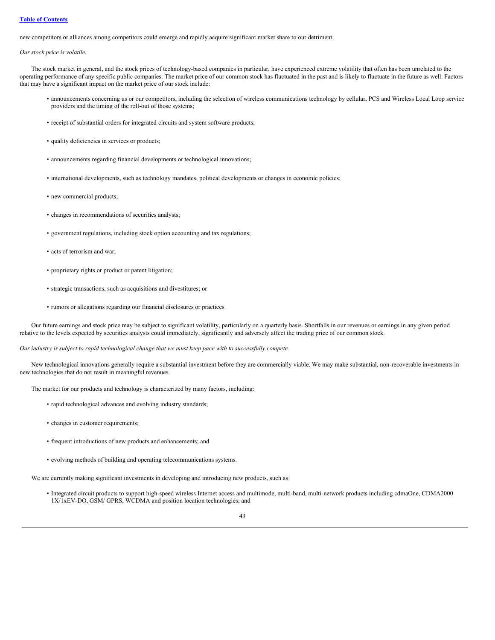# **Table of [Contents](#page-0-0)**

new competitors or alliances among competitors could emerge and rapidly acquire significant market share to our detriment.

*Our stock price is volatile.*

The stock market in general, and the stock prices of technology-based companies in particular, have experienced extreme volatility that often has been unrelated to the operating performance of any specific public companies. The market price of our common stock has fluctuated in the past and is likely to fluctuate in the future as well. Factors that may have a significant impact on the market price of our stock include:

- announcements concerning us or our competitors, including the selection of wireless communications technology by cellular, PCS and Wireless Local Loop service providers and the timing of the roll-out of those systems;
- receipt of substantial orders for integrated circuits and system software products;
- quality deficiencies in services or products;
- announcements regarding financial developments or technological innovations;
- international developments, such as technology mandates, political developments or changes in economic policies;
- new commercial products;
- changes in recommendations of securities analysts;
- government regulations, including stock option accounting and tax regulations;
- acts of terrorism and war;
- proprietary rights or product or patent litigation;
- strategic transactions, such as acquisitions and divestitures; or
- rumors or allegations regarding our financial disclosures or practices.

Our future earnings and stock price may be subject to significant volatility, particularly on a quarterly basis. Shortfalls in our revenues or earnings in any given period relative to the levels expected by securities analysts could immediately, significantly and adversely affect the trading price of our common stock.

Our industry is subject to rapid technological change that we must keep pace with to successfully compete.

New technological innovations generally require a substantial investment before they are commercially viable. We may make substantial, non-recoverable investments in new technologies that do not result in meaningful revenues.

The market for our products and technology is characterized by many factors, including:

- rapid technological advances and evolving industry standards;
- changes in customer requirements;
- frequent introductions of new products and enhancements; and
- evolving methods of building and operating telecommunications systems.

We are currently making significant investments in developing and introducing new products, such as:

• Integrated circuit products to support high-speed wireless Internet access and multimode, multi-band, multi-network products including cdmaOne, CDMA2000 1X/1xEV-DO, GSM/ GPRS, WCDMA and position location technologies; and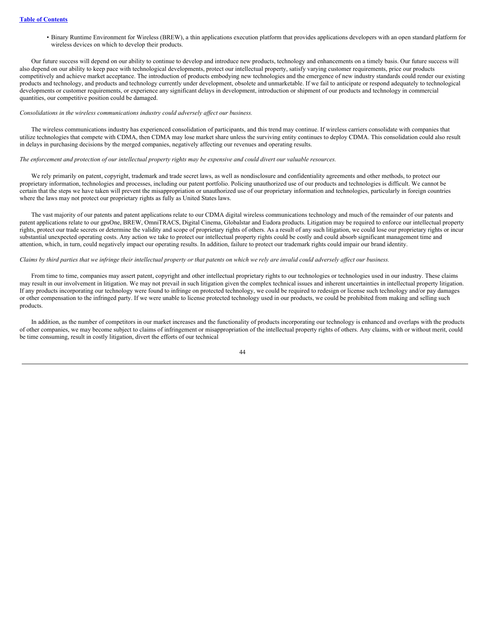• Binary Runtime Environment for Wireless (BREW), a thin applications execution platform that provides applications developers with an open standard platform for wireless devices on which to develop their products.

Our future success will depend on our ability to continue to develop and introduce new products, technology and enhancements on a timely basis. Our future success will also depend on our ability to keep pace with technological developments, protect our intellectual property, satisfy varying customer requirements, price our products competitively and achieve market acceptance. The introduction of products embodying new technologies and the emergence of new industry standards could render our existing products and technology, and products and technology currently under development, obsolete and unmarketable. If we fail to anticipate or respond adequately to technological developments or customer requirements, or experience any significant delays in development, introduction or shipment of our products and technology in commercial quantities, our competitive position could be damaged.

#### *Consolidations in the wireless communications industry could adversely af ect our business.*

The wireless communications industry has experienced consolidation of participants, and this trend may continue. If wireless carriers consolidate with companies that utilize technologies that compete with CDMA, then CDMA may lose market share unless the surviving entity continues to deploy CDMA. This consolidation could also result in delays in purchasing decisions by the merged companies, negatively affecting our revenues and operating results.

### The enforcement and protection of our intellectual property rights may be expensive and could divert our valuable resources.

We rely primarily on patent, copyright, trademark and trade secret laws, as well as nondisclosure and confidentiality agreements and other methods, to protect our proprietary information, technologies and processes, including our patent portfolio. Policing unauthorized use of our products and technologies is difficult. We cannot be certain that the steps we have taken will prevent the misappropriation or unauthorized use of our proprietary information and technologies, particularly in foreign countries where the laws may not protect our proprietary rights as fully as United States laws.

The vast majority of our patents and patent applications relate to our CDMA digital wireless communications technology and much of the remainder of our patents and patent applications relate to our gpsOne, BREW, OmniTRACS, Digital Cinema, Globalstar and Eudora products. Litigation may be required to enforce our intellectual property rights, protect our trade secrets or determine the validity and scope of proprietary rights of others. As a result of any such litigation, we could lose our proprietary rights or incur substantial unexpected operating costs. Any action we take to protect our intellectual property rights could be costly and could absorb significant management time and attention, which, in turn, could negatively impact our operating results. In addition, failure to protect our trademark rights could impair our brand identity.

#### Claims by third parties that we infringe their intellectual property or that patents on which we rely are invalid could adversely affect our business.

From time to time, companies may assert patent, copyright and other intellectual proprietary rights to our technologies or technologies used in our industry. These claims may result in our involvement in litigation. We may not prevail in such litigation given the complex technical issues and inherent uncertainties in intellectual property litigation. If any products incorporating our technology were found to infringe on protected technology, we could be required to redesign or license such technology and/or pay damages or other compensation to the infringed party. If we were unable to license protected technology used in our products, we could be prohibited from making and selling such products.

In addition, as the number of competitors in our market increases and the functionality of products incorporating our technology is enhanced and overlaps with the products of other companies, we may become subject to claims of infringement or misappropriation of the intellectual property rights of others. Any claims, with or without merit, could be time consuming, result in costly litigation, divert the efforts of our technical

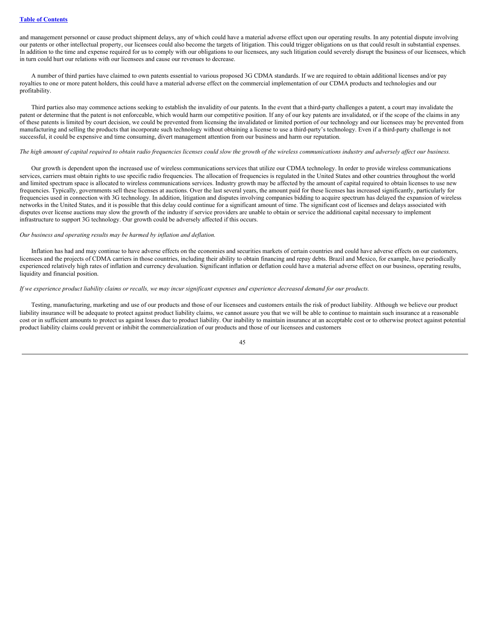and management personnel or cause product shipment delays, any of which could have a material adverse effect upon our operating results. In any potential dispute involving our patents or other intellectual property, our licensees could also become the targets of litigation. This could trigger obligations on us that could result in substantial expenses. In addition to the time and expense required for us to comply with our obligations to our licensees, any such litigation could severely disrupt the business of our licensees, which in turn could hurt our relations with our licensees and cause our revenues to decrease.

A number of third parties have claimed to own patents essential to various proposed 3G CDMA standards. If we are required to obtain additional licenses and/or pay royalties to one or more patent holders, this could have a material adverse effect on the commercial implementation of our CDMA products and technologies and our profitability.

Third parties also may commence actions seeking to establish the invalidity of our patents. In the event that a third-party challenges a patent, a court may invalidate the patent or determine that the patent is not enforceable, which would harm our competitive position. If any of our key patents are invalidated, or if the scope of the claims in any of these patents is limited by court decision, we could be prevented from licensing the invalidated or limited portion of our technology and our licensees may be prevented from manufacturing and selling the products that incorporate such technology without obtaining a license to use a third-party's technology. Even if a third-party challenge is not successful, it could be expensive and time consuming, divert management attention from our business and harm our reputation.

# The high amount of capital required to obtain radio frequencies licenses could slow the growth of the wireless communications industry and adversely affect our business.

Our growth is dependent upon the increased use of wireless communications services that utilize our CDMA technology. In order to provide wireless communications services, carriers must obtain rights to use specific radio frequencies. The allocation of frequencies is regulated in the United States and other countries throughout the world and limited spectrum space is allocated to wireless communications services. Industry growth may be affected by the amount of capital required to obtain licenses to use new frequencies. Typically, governments sell these licenses at auctions. Over the last several years, the amount paid for these licenses has increased significantly, particularly for frequencies used in connection with 3G technology. In addition, litigation and disputes involving companies bidding to acquire spectrum has delayed the expansion of wireless networks in the United States, and it is possible that this delay could continue for a significant amount of time. The significant cost of licenses and delays associated with disputes over license auctions may slow the growth of the industry if service providers are unable to obtain or service the additional capital necessary to implement infrastructure to support 3G technology. Our growth could be adversely affected if this occurs.

# *Our business and operating results may be harmed by inflation and deflation.*

Inflation has had and may continue to have adverse effects on the economies and securities markets of certain countries and could have adverse effects on our customers, licensees and the projects of CDMA carriers in those countries, including their ability to obtain financing and repay debts. Brazil and Mexico, for example, have periodically experienced relatively high rates of inflation and currency devaluation. Significant inflation or deflation could have a material adverse effect on our business, operating results, liquidity and financial position.

### If we experience product liability claims or recalls, we may incur significant expenses and experience decreased demand for our products.

Testing, manufacturing, marketing and use of our products and those of our licensees and customers entails the risk of product liability. Although we believe our product liability insurance will be adequate to protect against product liability claims, we cannot assure you that we will be able to continue to maintain such insurance at a reasonable cost or in sufficient amounts to protect us against losses due to product liability. Our inability to maintain insurance at an acceptable cost or to otherwise protect against potential product liability claims could prevent or inhibit the commercialization of our products and those of our licensees and customers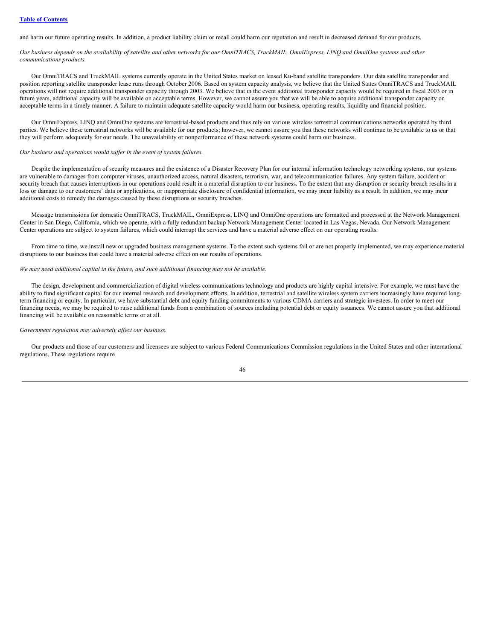and harm our future operating results. In addition, a product liability claim or recall could harm our reputation and result in decreased demand for our products.

Our business depends on the availability of satellite and other networks for our OmniTRACS, TruckMAIL, OmniExpress, LINQ and OmniOne systems and other *communications products.*

Our OmniTRACS and TruckMAIL systems currently operate in the United States market on leased Ku-band satellite transponders. Our data satellite transponder and position reporting satellite transponder lease runs through October 2006. Based on system capacity analysis, we believe that the United States OmniTRACS and TruckMAIL operations will not require additional transponder capacity through 2003. We believe that in the event additional transponder capacity would be required in fiscal 2003 or in future years, additional capacity will be available on acceptable terms. However, we cannot assure you that we will be able to acquire additional transponder capacity on acceptable terms in a timely manner. A failure to maintain adequate satellite capacity would harm our business, operating results, liquidity and financial position.

Our OmniExpress, LINQ and OmniOne systems are terrestrial-based products and thus rely on various wireless terrestrial communications networks operated by third parties. We believe these terrestrial networks will be available for our products; however, we cannot assure you that these networks will continue to be available to us or that they will perform adequately for our needs. The unavailability or nonperformance of these network systems could harm our business.

#### *Our business and operations would suf er in the event of system failures.*

Despite the implementation of security measures and the existence of a Disaster Recovery Plan for our internal information technology networking systems, our systems are vulnerable to damages from computer viruses, unauthorized access, natural disasters, terrorism, war, and telecommunication failures. Any system failure, accident or security breach that causes interruptions in our operations could result in a material disruption to our business. To the extent that any disruption or security breach results in a loss or damage to our customers' data or applications, or inappropriate disclosure of confidential information, we may incur liability as a result. In addition, we may incur additional costs to remedy the damages caused by these disruptions or security breaches.

Message transmissions for domestic OmniTRACS, TruckMAIL, OmniExpress, LINQ and OmniOne operations are formatted and processed at the Network Management Center in San Diego, California, which we operate, with a fully redundant backup Network Management Center located in Las Vegas, Nevada. Our Network Management Center operations are subject to system failures, which could interrupt the services and have a material adverse effect on our operating results.

From time to time, we install new or upgraded business management systems. To the extent such systems fail or are not properly implemented, we may experience material disruptions to our business that could have a material adverse effect on our results of operations.

### *We may need additional capital in the future, and such additional financing may not be available.*

The design, development and commercialization of digital wireless communications technology and products are highly capital intensive. For example, we must have the ability to fund significant capital for our internal research and development efforts. In addition, terrestrial and satellite wireless system carriers increasingly have required longterm financing or equity. In particular, we have substantial debt and equity funding commitments to various CDMA carriers and strategic investees. In order to meet our financing needs, we may be required to raise additional funds from a combination of sources including potential debt or equity issuances. We cannot assure you that additional financing will be available on reasonable terms or at all.

#### *Government regulation may adversely af ect our business.*

Our products and those of our customers and licensees are subject to various Federal Communications Commission regulations in the United States and other international regulations. These regulations require

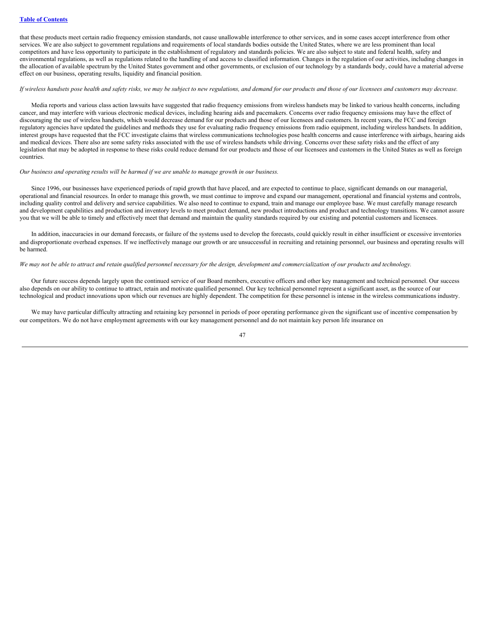that these products meet certain radio frequency emission standards, not cause unallowable interference to other services, and in some cases accept interference from other services. We are also subject to government regulations and requirements of local standards bodies outside the United States, where we are less prominent than local competitors and have less opportunity to participate in the establishment of regulatory and standards policies. We are also subject to state and federal health, safety and environmental regulations, as well as regulations related to the handling of and access to classified information. Changes in the regulation of our activities, including changes in the allocation of available spectrum by the United States government and other governments, or exclusion of our technology by a standards body, could have a material adverse effect on our business, operating results, liquidity and financial position.

# If wireless handsets pose health and safety risks, we may be subject to new regulations, and demand for our products and those of our licensees and customers may decrease.

Media reports and various class action lawsuits have suggested that radio frequency emissions from wireless handsets may be linked to various health concerns, including cancer, and may interfere with various electronic medical devices, including hearing aids and pacemakers. Concerns over radio frequency emissions may have the effect of discouraging the use of wireless handsets, which would decrease demand for our products and those of our licensees and customers. In recent years, the FCC and foreign regulatory agencies have updated the guidelines and methods they use for evaluating radio frequency emissions from radio equipment, including wireless handsets. In addition, interest groups have requested that the FCC investigate claims that wireless communications technologies pose health concerns and cause interference with airbags, hearing aids and medical devices. There also are some safety risks associated with the use of wireless handsets while driving. Concerns over these safety risks and the effect of any legislation that may be adopted in response to these risks could reduce demand for our products and those of our licensees and customers in the United States as well as foreign countries.

# Our business and operating results will be harmed if we are unable to manage growth in our business.

Since 1996, our businesses have experienced periods of rapid growth that have placed, and are expected to continue to place, significant demands on our managerial, operational and financial resources. In order to manage this growth, we must continue to improve and expand our management, operational and financial systems and controls, including quality control and delivery and service capabilities. We also need to continue to expand, train and manage our employee base. We must carefully manage research and development capabilities and production and inventory levels to meet product demand, new product introductions and product and technology transitions. We cannot assure you that we will be able to timely and effectively meet that demand and maintain the quality standards required by our existing and potential customers and licensees.

In addition, inaccuracies in our demand forecasts, or failure of the systems used to develop the forecasts, could quickly result in either insufficient or excessive inventories and disproportionate overhead expenses. If we ineffectively manage our growth or are unsuccessful in recruiting and retaining personnel, our business and operating results will be harmed.

### We may not be able to attract and retain qualified personnel necessary for the design, development and commercialization of our products and technology.

Our future success depends largely upon the continued service of our Board members, executive officers and other key management and technical personnel. Our success also depends on our ability to continue to attract, retain and motivate qualified personnel. Our key technical personnel represent a significant asset, as the source of our technological and product innovations upon which our revenues are highly dependent. The competition for these personnel is intense in the wireless communications industry.

We may have particular difficulty attracting and retaining key personnel in periods of poor operating performance given the significant use of incentive compensation by our competitors. We do not have employment agreements with our key management personnel and do not maintain key person life insurance on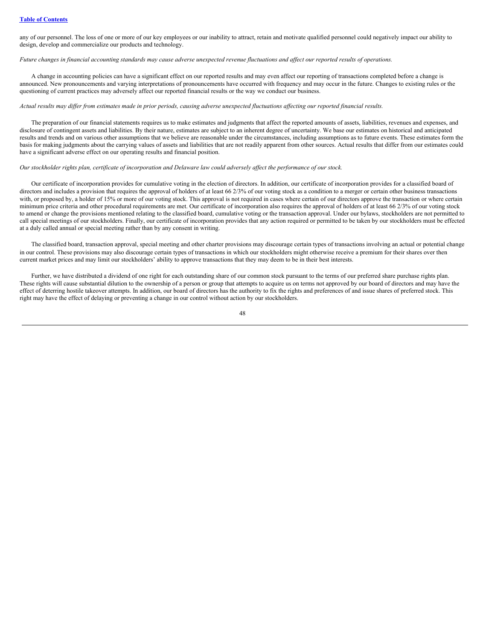any of our personnel. The loss of one or more of our key employees or our inability to attract, retain and motivate qualified personnel could negatively impact our ability to design, develop and commercialize our products and technology.

# Future changes in financial accounting standards may cause adverse unexpected revenue fluctuations and affect our reported results of operations.

A change in accounting policies can have a significant effect on our reported results and may even affect our reporting of transactions completed before a change is announced. New pronouncements and varying interpretations of pronouncements have occurred with frequency and may occur in the future. Changes to existing rules or the questioning of current practices may adversely affect our reported financial results or the way we conduct our business.

### Actual results may differ from estimates made in prior periods, causing adverse unexpected fluctuations affecting our reported financial results.

The preparation of our financial statements requires us to make estimates and judgments that affect the reported amounts of assets, liabilities, revenues and expenses, and disclosure of contingent assets and liabilities. By their nature, estimates are subject to an inherent degree of uncertainty. We base our estimates on historical and anticipated results and trends and on various other assumptions that we believe are reasonable under the circumstances, including assumptions as to future events. These estimates form the basis for making judgments about the carrying values of assets and liabilities that are not readily apparent from other sources. Actual results that differ from our estimates could have a significant adverse effect on our operating results and financial position.

## Our stockholder rights plan, certificate of incorporation and Delaware law could adversely affect the performance of our stock.

Our certificate of incorporation provides for cumulative voting in the election of directors. In addition, our certificate of incorporation provides for a classified board of directors and includes a provision that requires the approval of holders of at least 66 2/3% of our voting stock as a condition to a merger or certain other business transactions with, or proposed by, a holder of 15% or more of our voting stock. This approval is not required in cases where certain of our directors approve the transaction or where certain minimum price criteria and other procedural requirements are met. Our certificate of incorporation also requires the approval of holders of at least 66 2/3% of our voting stock to amend or change the provisions mentioned relating to the classified board, cumulative voting or the transaction approval. Under our bylaws, stockholders are not permitted to call special meetings of our stockholders. Finally, our certificate of incorporation provides that any action required or permitted to be taken by our stockholders must be effected at a duly called annual or special meeting rather than by any consent in writing.

The classified board, transaction approval, special meeting and other charter provisions may discourage certain types of transactions involving an actual or potential change in our control. These provisions may also discourage certain types of transactions in which our stockholders might otherwise receive a premium for their shares over then current market prices and may limit our stockholders' ability to approve transactions that they may deem to be in their best interests.

Further, we have distributed a dividend of one right for each outstanding share of our common stock pursuant to the terms of our preferred share purchase rights plan. These rights will cause substantial dilution to the ownership of a person or group that attempts to acquire us on terms not approved by our board of directors and may have the effect of deterring hostile takeover attempts. In addition, our board of directors has the authority to fix the rights and preferences of and issue shares of preferred stock. This right may have the effect of delaying or preventing a change in our control without action by our stockholders.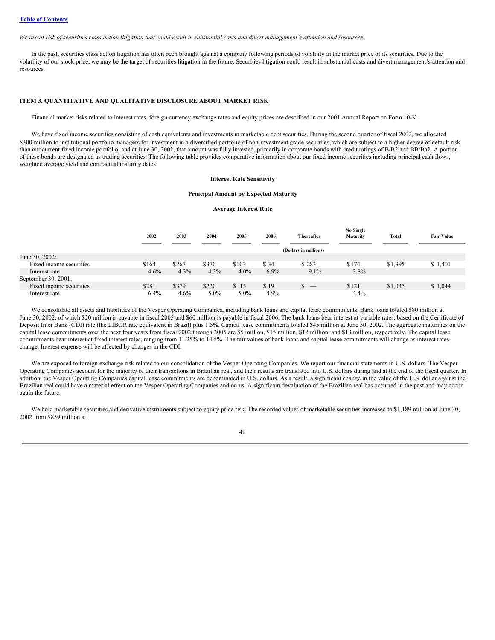We are at risk of securities class action litigation that could result in substantial costs and divert management's attention and resources.

In the past, securities class action litigation has often been brought against a company following periods of volatility in the market price of its securities. Due to the volatility of our stock price, we may be the target of securities litigation in the future. Securities litigation could result in substantial costs and divert management's attention and resources.

# **ITEM 3. QUANTITATIVE AND QUALITATIVE DISCLOSURE ABOUT MARKET RISK**

Financial market risks related to interest rates, foreign currency exchange rates and equity prices are described in our 2001 Annual Report on Form 10-K.

We have fixed income securities consisting of cash equivalents and investments in marketable debt securities. During the second quarter of fiscal 2002, we allocated \$300 million to institutional portfolio managers for investment in a diversified portfolio of non-investment grade securities, which are subject to a higher degree of default risk than our current fixed income portfolio, and at June 30, 2002, that amount was fully invested, primarily in corporate bonds with credit ratings of B/B2 and BB/Ba2. A portion of these bonds are designated as trading securities. The following table provides comparative information about our fixed income securities including principal cash flows, weighted average yield and contractual maturity dates:

# **Interest Rate Sensitivity**

## **Principal Amount by Expected Maturity**

## **Average Interest Rate**

|                         | 2002  | 2003                  | 2004    | 2005    | 2006 | <b>Thereafter</b>                    | <b>No Single</b><br>Maturity | Total   | <b>Fair Value</b> |
|-------------------------|-------|-----------------------|---------|---------|------|--------------------------------------|------------------------------|---------|-------------------|
|                         |       | (Dollars in millions) |         |         |      |                                      |                              |         |                   |
| June 30, 2002:          |       |                       |         |         |      |                                      |                              |         |                   |
| Fixed income securities | \$164 | \$267                 | \$370   | \$103   | \$34 | \$283                                | \$174                        | \$1,395 | \$1,401           |
| Interest rate           | 4.6%  | $4.3\%$               | 4.3%    | $4.0\%$ | 6.9% | $9.1\%$                              | $3.8\%$                      |         |                   |
| September 30, 2001:     |       |                       |         |         |      |                                      |                              |         |                   |
| Fixed income securities | \$281 | \$379                 | \$220   | \$15    | \$19 | S<br>$\hspace{0.1mm}-\hspace{0.1mm}$ | \$121                        | \$1,035 | \$1,044           |
| Interest rate           | 6.4%  | 4.6%                  | $5.0\%$ | $5.0\%$ | 4.9% |                                      | 4.4%                         |         |                   |

We consolidate all assets and liabilities of the Vesper Operating Companies, including bank loans and capital lease commitments. Bank loans totaled \$80 million at June 30, 2002, of which \$20 million is payable in fiscal 2005 and \$60 million is payable in fiscal 2006. The bank loans bear interest at variable rates, based on the Certificate of Deposit Inter Bank (CDI) rate (the LIBOR rate equivalent in Brazil) plus 1.5%. Capital lease commitments totaled \$45 million at June 30, 2002. The aggregate maturities on the capital lease commitments over the next four years from fiscal 2002 through 2005 are \$5 million, \$15 million, \$12 million, and \$13 million, respectively. The capital lease commitments bear interest at fixed interest rates, ranging from 11.25% to 14.5%. The fair values of bank loans and capital lease commitments will change as interest rates change. Interest expense will be affected by changes in the CDI.

We are exposed to foreign exchange risk related to our consolidation of the Vesper Operating Companies. We report our financial statements in U.S. dollars. The Vesper Operating Companies account for the majority of their transactions in Brazilian real, and their results are translated into U.S. dollars during and at the end of the fiscal quarter. In addition, the Vesper Operating Companies capital lease commitments are denominated in U.S. dollars. As a result, a significant change in the value of the U.S. dollar against the Brazilian real could have a material effect on the Vesper Operating Companies and on us. A significant devaluation of the Brazilian real has occurred in the past and may occur again the future.

We hold marketable securities and derivative instruments subject to equity price risk. The recorded values of marketable securities increased to \$1,189 million at June 30, 2002 from \$859 million at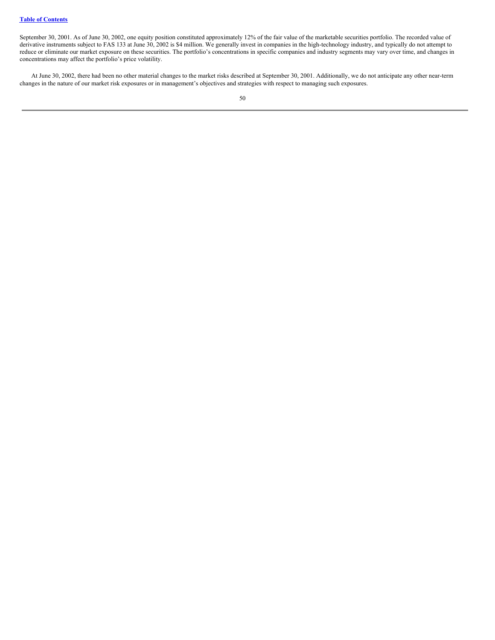September 30, 2001. As of June 30, 2002, one equity position constituted approximately 12% of the fair value of the marketable securities portfolio. The recorded value of derivative instruments subject to FAS 133 at June 30, 2002 is \$4 million. We generally invest in companies in the high-technology industry, and typically do not attempt to reduce or eliminate our market exposure on these securities. The portfolio's concentrations in specific companies and industry segments may vary over time, and changes in concentrations may affect the portfolio's price volatility.

At June 30, 2002, there had been no other material changes to the market risks described at September 30, 2001. Additionally, we do not anticipate any other near-term changes in the nature of our market risk exposures or in management's objectives and strategies with respect to managing such exposures.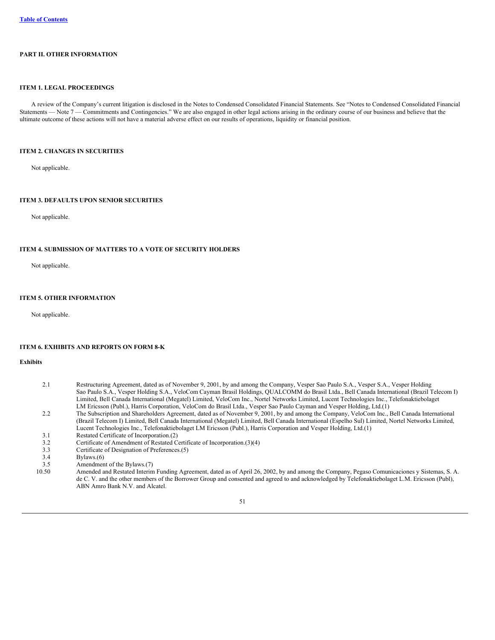# **PART II. OTHER INFORMATION**

# **ITEM 1. LEGAL PROCEEDINGS**

A review of the Company's current litigation is disclosed in the Notes to Condensed Consolidated Financial Statements. See "Notes to Condensed Consolidated Financial Statements — Note 7 — Commitments and Contingencies." We are also engaged in other legal actions arising in the ordinary course of our business and believe that the ultimate outcome of these actions will not have a material adverse effect on our results of operations, liquidity or financial position.

### **ITEM 2. CHANGES IN SECURITIES**

Not applicable.

# **ITEM 3. DEFAULTS UPON SENIOR SECURITIES**

Not applicable.

## **ITEM 4. SUBMISSION OF MATTERS TO A VOTE OF SECURITY HOLDERS**

Not applicable.

## **ITEM 5. OTHER INFORMATION**

Not applicable.

# **ITEM 6. EXHIBITS AND REPORTS ON FORM 8-K**

#### **Exhibits**

- 2.1 Restructuring Agreement, dated as of November 9, 2001, by and among the Company, Vesper Sao Paulo S.A., Vesper S.A., Vesper Holding Sao Paulo S.A., Vesper Holding S.A., VeloCom Cayman Brasil Holdings, QUALCOMM do Brasil Ltda., Bell Canada International (Brazil Telecom I) Limited, Bell Canada International (Megatel) Limited, VeloCom Inc., Nortel Networks Limited, Lucent Technologies Inc., Telefonaktiebolaget LM Ericsson (Publ.), Harris Corporation, VeloCom do Brasil Ltda., Vesper Sao Paulo Cayman and Vesper Holding, Ltd.(1)
- 2.2 The Subscription and Shareholders Agreement, dated as of November 9, 2001, by and among the Company, VeloCom Inc., Bell Canada International (Brazil Telecom I) Limited, Bell Canada International (Megatel) Limited, Bell Canada International (Espelho Sul) Limited, Nortel Networks Limited, Lucent Technologies Inc., Telefonaktiebolaget LM Ericsson (Publ.), Harris Corporation and Vesper Holding, Ltd.(1)
- 3.1 Restated Certificate of Incorporation.(2)
- 3.2 Certificate of Amendment of Restated Certificate of Incorporation.(3)(4)<br>3.3 Certificate of Designation of Preferences.(5)
- 3.3 Certificate of Designation of Preferences.(5)<br>3.4 Bylaws (6)
- $Bylaws.(6)$
- 3.5 Amendment of the Bylaws.(7)<br>10.50 Amended and Restated Interin
	- 10.50 Amended and Restated Interim Funding Agreement, dated as of April 26, 2002, by and among the Company, Pegaso Comunicaciones y Sistemas, S. A. de C. V. and the other members of the Borrower Group and consented and agreed to and acknowledged by Telefonaktiebolaget L.M. Ericsson (Publ), ABN Amro Bank N.V. and Alcatel.

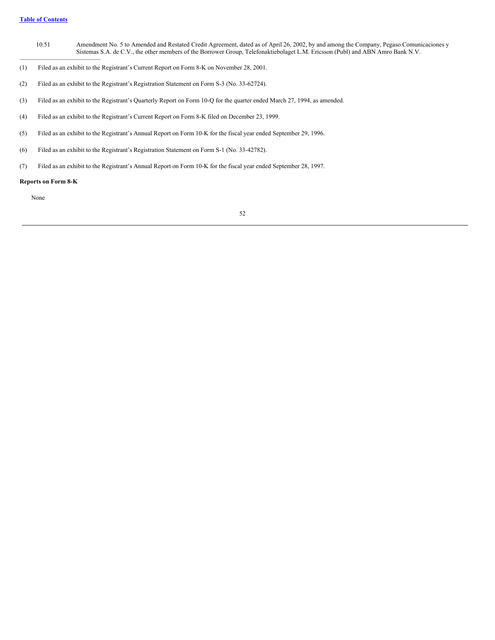- 10.51 Amendment No. 5 to Amended and Restated Credit Agreement, dated as of April 26, 2002, by and among the Company, Pegaso Comunicaciones y Sistemas S.A. de C.V., the other members of the Borrower Group, Telefonaktiebolaget L.M. Ericsson (Publ) and ABN Amro Bank N.V.
- (1) Filed as an exhibit to the Registrant's Current Report on Form 8-K on November 28, 2001.
- (2) Filed as an exhibit to the Registrant's Registration Statement on Form S-3 (No. 33-62724).
- (3) Filed as an exhibit to the Registrant's Quarterly Report on Form 10-Q for the quarter ended March 27, 1994, as amended.
- (4) Filed as an exhibit to the Registrant's Current Report on Form 8-K filed on December 23, 1999.
- (5) Filed as an exhibit to the Registrant's Annual Report on Form 10-K for the fiscal year ended September 29, 1996.
- (6) Filed as an exhibit to the Registrant's Registration Statement on Form S-1 (No. 33-42782).
- (7) Filed as an exhibit to the Registrant's Annual Report on Form 10-K for the fiscal year ended September 28, 1997.

# **Reports on Form 8-K**

None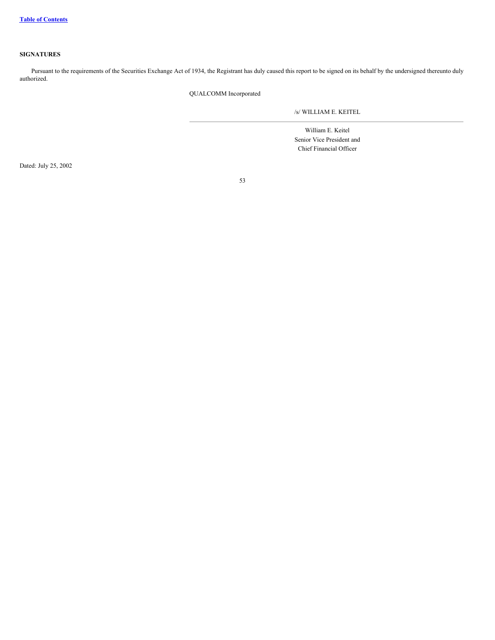# **SIGNATURES**

Pursuant to the requirements of the Securities Exchange Act of 1934, the Registrant has duly caused this report to be signed on its behalf by the undersigned thereunto duly authorized.

QUALCOMM Incorporated

/s/ WILLIAM E. KEITEL

William E. Keitel Senior Vice President and Chief Financial Officer

Dated: July 25, 2002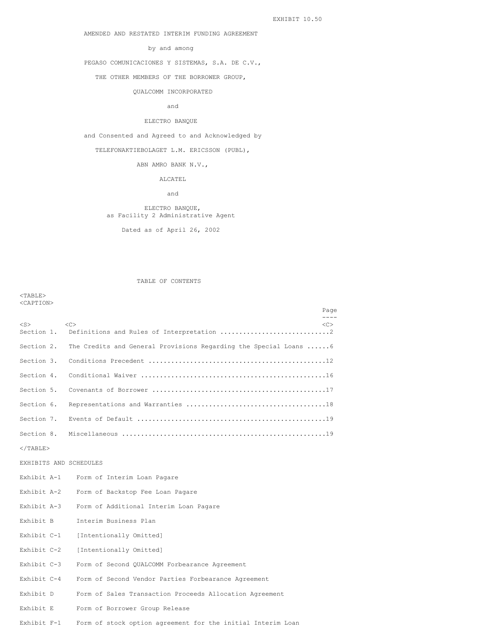AMENDED AND RESTATED INTERIM FUNDING AGREEMENT

# by and among

PEGASO COMUNICACIONES Y SISTEMAS, S.A. DE C.V.,

THE OTHER MEMBERS OF THE BORROWER GROUP,

#### QUALCOMM INCORPORATED

and

# ELECTRO BANQUE

and Consented and Agreed to and Acknowledged by

TELEFONAKTIEBOLAGET L.M. ERICSSON (PUBL),

# ABN AMRO BANK N.V.,

ALCATEL

and

# ELECTRO BANQUE, as Facility 2 Administrative Agent

Dated as of April 26, 2002

### TABLE OF CONTENTS

<TABLE> <CAPTION>

|                         |                                                                   | Page                |
|-------------------------|-------------------------------------------------------------------|---------------------|
| $<$ S $>$<br>Section 1. | $\langle C \rangle$                                               | $\langle C \rangle$ |
|                         |                                                                   |                     |
| Section 2.              | The Credits and General Provisions Regarding the Special Loans  6 |                     |
| Section 3.              |                                                                   |                     |
| Section 4.              |                                                                   |                     |
| Section 5.              |                                                                   |                     |
| Section 6.              |                                                                   |                     |
| Section 7.              |                                                                   |                     |
| Section 8.              |                                                                   |                     |
| $\langle$ /TABLE>       |                                                                   |                     |
| EXHIBITS AND SCHEDULES  |                                                                   |                     |
| Exhibit A-1             | Form of Interim Loan Pagare                                       |                     |
| Exhibit A-2             | Form of Backstop Fee Loan Pagare                                  |                     |
| Exhibit A-3             | Form of Additional Interim Loan Pagare                            |                     |
| Exhibit B               | Interim Business Plan                                             |                     |
| Exhibit C-1             | [Intentionally Omitted]                                           |                     |
| Exhibit C-2             | [Intentionally Omitted]                                           |                     |
| Exhibit C-3             | Form of Second QUALCOMM Forbearance Agreement                     |                     |
| Exhibit C-4             | Form of Second Vendor Parties Forbearance Agreement               |                     |
| Exhibit D               | Form of Sales Transaction Proceeds Allocation Agreement           |                     |
| Exhibit E               | Form of Borrower Group Release                                    |                     |
| $Exhibit$ $F-1$         | Form of stock option agreement for the initial Interim Loan       |                     |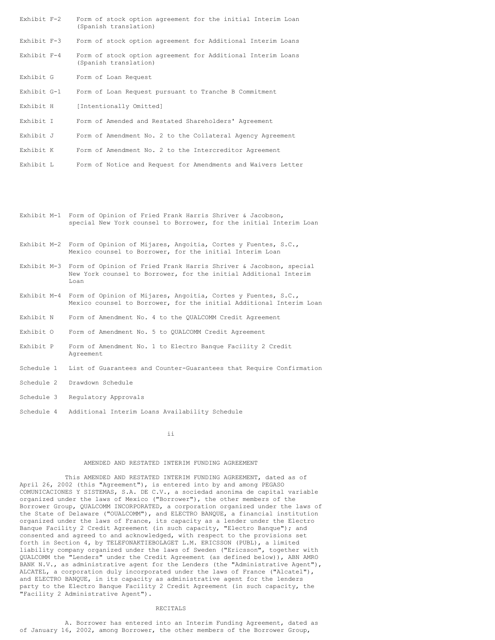| Exhibit F-2           |  |  |  |  | Form of stock option agreement for the initial Interim Loan |  |  |  |
|-----------------------|--|--|--|--|-------------------------------------------------------------|--|--|--|
| (Spanish translation) |  |  |  |  |                                                             |  |  |  |

Exhibit F-3 Form of stock option agreement for Additional Interim Loans

- Exhibit F-4 Form of stock option agreement for Additional Interim Loans (Spanish translation)
- Exhibit G Form of Loan Request
- Exhibit G-1 Form of Loan Request pursuant to Tranche B Commitment
- Exhibit H [Intentionally Omitted]
- Exhibit I Form of Amended and Restated Shareholders' Agreement
- Exhibit J Form of Amendment No. 2 to the Collateral Agency Agreement
- Exhibit K Form of Amendment No. 2 to the Intercreditor Agreement
- Exhibit L Form of Notice and Request for Amendments and Waivers Letter
- Exhibit M-1 Form of Opinion of Fried Frank Harris Shriver & Jacobson, special New York counsel to Borrower, for the initial Interim Loan
- Exhibit M-2 Form of Opinion of Mijares, Angoitia, Cortes y Fuentes, S.C., Mexico counsel to Borrower, for the initial Interim Loan
- Exhibit M-3 Form of Opinion of Fried Frank Harris Shriver & Jacobson, special New York counsel to Borrower, for the initial Additional Interim Loan
- Exhibit M-4 Form of Opinion of Mijares, Angoitia, Cortes y Fuentes, S.C., Mexico counsel to Borrower, for the initial Additional Interim Loan
- Exhibit N Form of Amendment No. 4 to the QUALCOMM Credit Agreement
- Exhibit O Form of Amendment No. 5 to QUALCOMM Credit Agreement
- Exhibit P Form of Amendment No. 1 to Electro Banque Facility 2 Credit Agreement
- Schedule 1 List of Guarantees and Counter-Guarantees that Require Confirmation
- Schedule 2 Drawdown Schedule
- Schedule 3 Regulatory Approvals
- Schedule 4 Additional Interim Loans Availability Schedule

ii

# AMENDED AND RESTATED INTERIM FUNDING AGREEMENT

This AMENDED AND RESTATED INTERIM FUNDING AGREEMENT, dated as of April 26, 2002 (this "Agreement"), is entered into by and among PEGASO COMUNICACIONES Y SISTEMAS, S.A. DE C.V., a sociedad anonima de capital variable organized under the laws of Mexico ("Borrower"), the other members of the Borrower Group, QUALCOMM INCORPORATED, a corporation organized under the laws of the State of Delaware ("OUALCOMM"), and ELECTRO BANQUE, a financial institution organized under the laws of France, its capacity as a lender under the Electro Banque Facility 2 Credit Agreement (in such capacity, "Electro Banque"); and consented and agreed to and acknowledged, with respect to the provisions set forth in Section 4, by TELEFONAKTIEBOLAGET L.M. ERICSSON (PUBL), a limited liability company organized under the laws of Sweden ("Ericsson", together with QUALCOMM the "Lenders" under the Credit Agreement (as defined below)), ABN AMRO BANK N.V., as administrative agent for the Lenders (the "Administrative Agent"), ALCATEL, a corporation duly incorporated under the laws of France ("Alcatel"), and ELECTRO BANQUE, in its capacity as administrative agent for the lenders party to the Electro Banque Facility 2 Credit Agreement (in such capacity, the "Facility 2 Administrative Agent").

# RECITALS

A. Borrower has entered into an Interim Funding Agreement, dated as of January 16, 2002, among Borrower, the other members of the Borrower Group,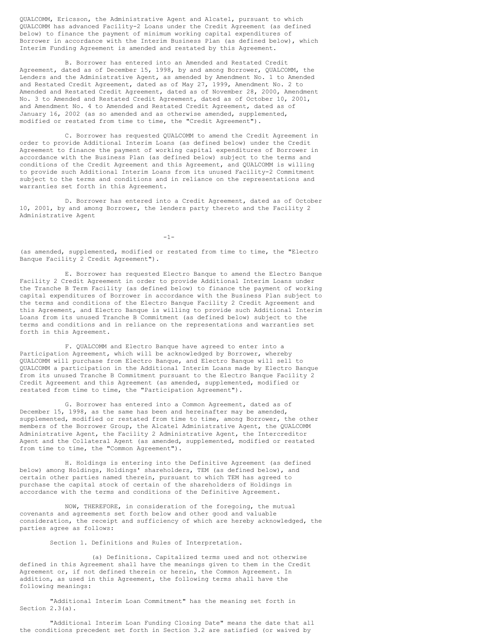QUALCOMM, Ericsson, the Administrative Agent and Alcatel, pursuant to which QUALCOMM has advanced Facility-2 Loans under the Credit Agreement (as defined below) to finance the payment of minimum working capital expenditures of Borrower in accordance with the Interim Business Plan (as defined below), which Interim Funding Agreement is amended and restated by this Agreement.

B. Borrower has entered into an Amended and Restated Credit Agreement, dated as of December 15, 1998, by and among Borrower, QUALCOMM, the Lenders and the Administrative Agent, as amended by Amendment No. 1 to Amended and Restated Credit Agreement, dated as of May 27, 1999, Amendment No. 2 to Amended and Restated Credit Agreement, dated as of November 28, 2000, Amendment No. 3 to Amended and Restated Credit Agreement, dated as of October 10, 2001, and Amendment No. 4 to Amended and Restated Credit Agreement, dated as of January 16, 2002 (as so amended and as otherwise amended, supplemented, modified or restated from time to time, the "Credit Agreement").

C. Borrower has requested QUALCOMM to amend the Credit Agreement in order to provide Additional Interim Loans (as defined below) under the Credit Agreement to finance the payment of working capital expenditures of Borrower in accordance with the Business Plan (as defined below) subject to the terms and conditions of the Credit Agreement and this Agreement, and QUALCOMM is willing to provide such Additional Interim Loans from its unused Facility-2 Commitment subject to the terms and conditions and in reliance on the representations and warranties set forth in this Agreement.

D. Borrower has entered into a Credit Agreement, dated as of October 10, 2001, by and among Borrower, the lenders party thereto and the Facility 2 Administrative Agent

-1-

(as amended, supplemented, modified or restated from time to time, the "Electro Banque Facility 2 Credit Agreement").

E. Borrower has requested Electro Banque to amend the Electro Banque Facility 2 Credit Agreement in order to provide Additional Interim Loans under the Tranche B Term Facility (as defined below) to finance the payment of working capital expenditures of Borrower in accordance with the Business Plan subject to the terms and conditions of the Electro Banque Facility 2 Credit Agreement and this Agreement, and Electro Banque is willing to provide such Additional Interim Loans from its unused Tranche B Commitment (as defined below) subject to the terms and conditions and in reliance on the representations and warranties set forth in this Agreement.

F. QUALCOMM and Electro Banque have agreed to enter into a Participation Agreement, which will be acknowledged by Borrower, whereby QUALCOMM will purchase from Electro Banque, and Electro Banque will sell to QUALCOMM a participation in the Additional Interim Loans made by Electro Banque from its unused Tranche B Commitment pursuant to the Electro Banque Facility 2 Credit Agreement and this Agreement (as amended, supplemented, modified or restated from time to time, the "Participation Agreement").

G. Borrower has entered into a Common Agreement, dated as of December 15, 1998, as the same has been and hereinafter may be amended, supplemented, modified or restated from time to time, among Borrower, the other members of the Borrower Group, the Alcatel Administrative Agent, the QUALCOMM Administrative Agent, the Facility 2 Administrative Agent, the Intercreditor Agent and the Collateral Agent (as amended, supplemented, modified or restated from time to time, the "Common Agreement").

H. Holdings is entering into the Definitive Agreement (as defined below) among Holdings, Holdings' shareholders, TEM (as defined below), and certain other parties named therein, pursuant to which TEM has agreed to purchase the capital stock of certain of the shareholders of Holdings in accordance with the terms and conditions of the Definitive Agreement.

NOW, THEREFORE, in consideration of the foregoing, the mutual covenants and agreements set forth below and other good and valuable consideration, the receipt and sufficiency of which are hereby acknowledged, the parties agree as follows:

Section 1. Definitions and Rules of Interpretation.

(a) Definitions. Capitalized terms used and not otherwise defined in this Agreement shall have the meanings given to them in the Credit Agreement or, if not defined therein or herein, the Common Agreement. In addition, as used in this Agreement, the following terms shall have the following meanings:

"Additional Interim Loan Commitment" has the meaning set forth in Section 2.3(a).

"Additional Interim Loan Funding Closing Date" means the date that all the conditions precedent set forth in Section 3.2 are satisfied (or waived by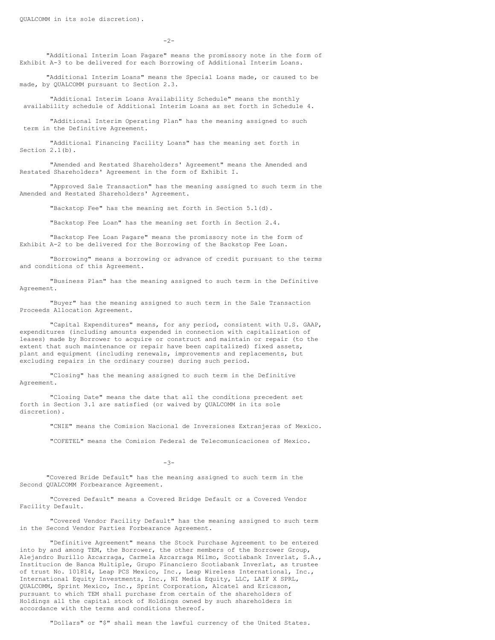$-2-$ 

"Additional Interim Loan Pagare" means the promissory note in the form of Exhibit A-3 to be delivered for each Borrowing of Additional Interim Loans.

"Additional Interim Loans" means the Special Loans made, or caused to be made, by QUALCOMM pursuant to Section 2.3.

"Additional Interim Loans Availability Schedule" means the monthly availability schedule of Additional Interim Loans as set forth in Schedule 4.

"Additional Interim Operating Plan" has the meaning assigned to such term in the Definitive Agreement.

"Additional Financing Facility Loans" has the meaning set forth in Section 2.1(b).

"Amended and Restated Shareholders' Agreement" means the Amended and Restated Shareholders' Agreement in the form of Exhibit I.

"Approved Sale Transaction" has the meaning assigned to such term in the Amended and Restated Shareholders' Agreement.

"Backstop Fee" has the meaning set forth in Section 5.1(d).

"Backstop Fee Loan" has the meaning set forth in Section 2.4.

"Backstop Fee Loan Pagare" means the promissory note in the form of Exhibit A-2 to be delivered for the Borrowing of the Backstop Fee Loan.

"Borrowing" means a borrowing or advance of credit pursuant to the terms and conditions of this Agreement.

"Business Plan" has the meaning assigned to such term in the Definitive Agreement.

"Buyer" has the meaning assigned to such term in the Sale Transaction Proceeds Allocation Agreement.

"Capital Expenditures" means, for any period, consistent with U.S. GAAP, expenditures (including amounts expended in connection with capitalization of leases) made by Borrower to acquire or construct and maintain or repair (to the extent that such maintenance or repair have been capitalized) fixed assets, plant and equipment (including renewals, improvements and replacements, but excluding repairs in the ordinary course) during such period.

"Closing" has the meaning assigned to such term in the Definitive Agreement.

"Closing Date" means the date that all the conditions precedent set forth in Section 3.1 are satisfied (or waived by QUALCOMM in its sole discretion).

"CNIE" means the Comision Nacional de Inversiones Extranjeras of Mexico.

"COFETEL" means the Comision Federal de Telecomunicaciones of Mexico.

-3-

"Covered Bride Default" has the meaning assigned to such term in the Second QUALCOMM Forbearance Agreement.

"Covered Default" means a Covered Bridge Default or a Covered Vendor Facility Default.

"Covered Vendor Facility Default" has the meaning assigned to such term in the Second Vendor Parties Forbearance Agreement.

"Definitive Agreement" means the Stock Purchase Agreement to be entered into by and among TEM, the Borrower, the other members of the Borrower Group, Alejandro Burillo Azcarraga, Carmela Azcarraga Milmo, Scotiabank Inverlat, S.A., Institucion de Banca Multiple, Grupo Financiero Scotiabank Inverlat, as trustee of trust No. 101814, Leap PCS Mexico, Inc., Leap Wireless International, Inc., International Equity Investments, Inc., NI Media Equity, LLC, LAIF X SPRL, QUALCOMM, Sprint Mexico, Inc., Sprint Corporation, Alcatel and Ericsson, pursuant to which TEM shall purchase from certain of the shareholders of Holdings all the capital stock of Holdings owned by such shareholders in accordance with the terms and conditions thereof.

"Dollars" or "\$" shall mean the lawful currency of the United States.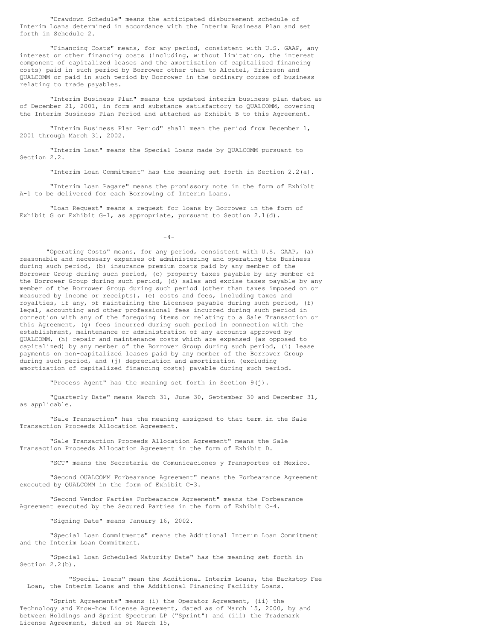"Drawdown Schedule" means the anticipated disbursement schedule of Interim Loans determined in accordance with the Interim Business Plan and set forth in Schedule 2.

"Financing Costs" means, for any period, consistent with U.S. GAAP, any interest or other financing costs (including, without limitation, the interest component of capitalized leases and the amortization of capitalized financing costs) paid in such period by Borrower other than to Alcatel, Ericsson and QUALCOMM or paid in such period by Borrower in the ordinary course of business relating to trade payables.

"Interim Business Plan" means the updated interim business plan dated as of December 21, 2001, in form and substance satisfactory to QUALCOMM, covering the Interim Business Plan Period and attached as Exhibit B to this Agreement.

"Interim Business Plan Period" shall mean the period from December 1, 2001 through March 31, 2002.

"Interim Loan" means the Special Loans made by QUALCOMM pursuant to Section 2.2.

"Interim Loan Commitment" has the meaning set forth in Section 2.2(a).

"Interim Loan Pagare" means the promissory note in the form of Exhibit A-1 to be delivered for each Borrowing of Interim Loans.

"Loan Request" means a request for loans by Borrower in the form of Exhibit G or Exhibit G-1, as appropriate, pursuant to Section 2.1(d).

 $-4-$ 

"Operating Costs" means, for any period, consistent with U.S. GAAP, (a) reasonable and necessary expenses of administering and operating the Business during such period, (b) insurance premium costs paid by any member of the Borrower Group during such period, (c) property taxes payable by any member of the Borrower Group during such period, (d) sales and excise taxes payable by any member of the Borrower Group during such period (other than taxes imposed on or measured by income or receipts), (e) costs and fees, including taxes and royalties, if any, of maintaining the Licenses payable during such period, (f) legal, accounting and other professional fees incurred during such period in connection with any of the foregoing items or relating to a Sale Transaction or this Agreement, (g) fees incurred during such period in connection with the establishment, maintenance or administration of any accounts approved by QUALCOMM, (h) repair and maintenance costs which are expensed (as opposed to capitalized) by any member of the Borrower Group during such period, (i) lease payments on non-capitalized leases paid by any member of the Borrower Group during such period, and (j) depreciation and amortization (excluding amortization of capitalized financing costs) payable during such period.

"Process Agent" has the meaning set forth in Section 9(j).

"Quarterly Date" means March 31, June 30, September 30 and December 31, as applicable.

"Sale Transaction" has the meaning assigned to that term in the Sale Transaction Proceeds Allocation Agreement.

"Sale Transaction Proceeds Allocation Agreement" means the Sale Transaction Proceeds Allocation Agreement in the form of Exhibit D.

"SCT" means the Secretaria de Comunicaciones y Transportes of Mexico.

"Second OUALCOMM Forbearance Agreement" means the Forbearance Agreement executed by QUALCOMM in the form of Exhibit C-3.

"Second Vendor Parties Forbearance Agreement" means the Forbearance Agreement executed by the Secured Parties in the form of Exhibit C-4.

"Signing Date" means January 16, 2002.

"Special Loan Commitments" means the Additional Interim Loan Commitment and the Interim Loan Commitment.

"Special Loan Scheduled Maturity Date" has the meaning set forth in Section 2.2(b).

"Special Loans" mean the Additional Interim Loans, the Backstop Fee Loan, the Interim Loans and the Additional Financing Facility Loans.

"Sprint Agreements" means (i) the Operator Agreement, (ii) the Technology and Know-how License Agreement, dated as of March 15, 2000, by and between Holdings and Sprint Spectrum LP ("Sprint") and (iii) the Trademark License Agreement, dated as of March 15,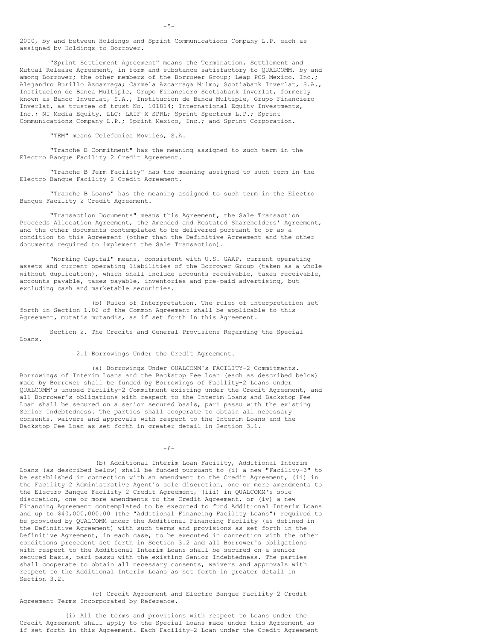2000, by and between Holdings and Sprint Communications Company L.P. each as assigned by Holdings to Borrower.

"Sprint Settlement Agreement" means the Termination, Settlement and Mutual Release Agreement, in form and substance satisfactory to QUALCOMM, by and among Borrower; the other members of the Borrower Group; Leap PCS Mexico, Inc.; Alejandro Burillo Azcarraga; Carmela Azcarraga Milmo; Scotiabank Inverlat, S.A., Institucion de Banca Multiple, Grupo Financiero Scotiabank Inverlat, formerly known as Banco Inverlat, S.A., Institucion de Banca Multiple, Grupo Financiero Inverlat, as trustee of trust No. 101814; International Equity Investments, Inc.; NI Media Equity, LLC; LAIF X SPRL; Sprint Spectrum L.P.; Sprint Communications Company L.P.; Sprint Mexico, Inc.; and Sprint Corporation.

"TEM" means Telefonica Moviles, S.A.

"Tranche B Commitment" has the meaning assigned to such term in the Electro Banque Facility 2 Credit Agreement.

"Tranche B Term Facility" has the meaning assigned to such term in the Electro Banque Facility 2 Credit Agreement.

"Tranche B Loans" has the meaning assigned to such term in the Electro Banque Facility 2 Credit Agreement.

"Transaction Documents" means this Agreement, the Sale Transaction Proceeds Allocation Agreement, the Amended and Restated Shareholders' Agreement, and the other documents contemplated to be delivered pursuant to or as a condition to this Agreement (other than the Definitive Agreement and the other documents required to implement the Sale Transaction).

"Working Capital" means, consistent with U.S. GAAP, current operating assets and current operating liabilities of the Borrower Group (taken as a whole without duplication), which shall include accounts receivable, taxes receivable, accounts payable, taxes payable, inventories and pre-paid advertising, but excluding cash and marketable securities.

(b) Rules of Interpretation. The rules of interpretation set forth in Section 1.02 of the Common Agreement shall be applicable to this Agreement, mutatis mutandis, as if set forth in this Agreement.

Section 2. The Credits and General Provisions Regarding the Special Loans.

2.1 Borrowings Under the Credit Agreement.

(a) Borrowings Under OUALCOMM's FACILITY-2 Commitments. Borrowings of Interim Loans and the Backstop Fee Loan (each as described below) made by Borrower shall be funded by Borrowings of Facility-2 Loans under QUALCOMM's unused Facility-2 Commitment existing under the Credit Agreement, and all Borrower's obligations with respect to the Interim Loans and Backstop Fee Loan shall be secured on a senior secured basis, pari passu with the existing Senior Indebtedness. The parties shall cooperate to obtain all necessary consents, waivers and approvals with respect to the Interim Loans and the Backstop Fee Loan as set forth in greater detail in Section 3.1.

-6-

(b) Additional Interim Loan Facility, Additional Interim Loans (as described below) shall be funded pursuant to (i) a new "Facility-3" to be established in connection with an amendment to the Credit Agreement, (ii) in the Facility 2 Administrative Agent's sole discretion, one or more amendments to the Electro Banque Facility 2 Credit Agreement, (iii) in QUALCOMM's sole discretion, one or more amendments to the Credit Agreement, or (iv) a new Financing Agreement contemplated to be executed to fund Additional Interim Loans and up to \$40,000,000.00 (the "Additional Financing Facility Loans") required to be provided by QUALCOMM under the Additional Financing Facility (as defined in the Definitive Agreement) with such terms and provisions as set forth in the Definitive Agreement, in each case, to be executed in connection with the other conditions precedent set forth in Section 3.2 and all Borrower's obligations with respect to the Additional Interim Loans shall be secured on a senior secured basis, pari passu with the existing Senior Indebtedness. The parties shall cooperate to obtain all necessary consents, waivers and approvals with respect to the Additional Interim Loans as set forth in greater detail in Section 3.2.

(c) Credit Agreement and Electro Banque Facility 2 Credit Agreement Terms Incorporated by Reference.

(i) All the terms and provisions with respect to Loans under the Credit Agreement shall apply to the Special Loans made under this Agreement as if set forth in this Agreement. Each Facility-2 Loan under the Credit Agreement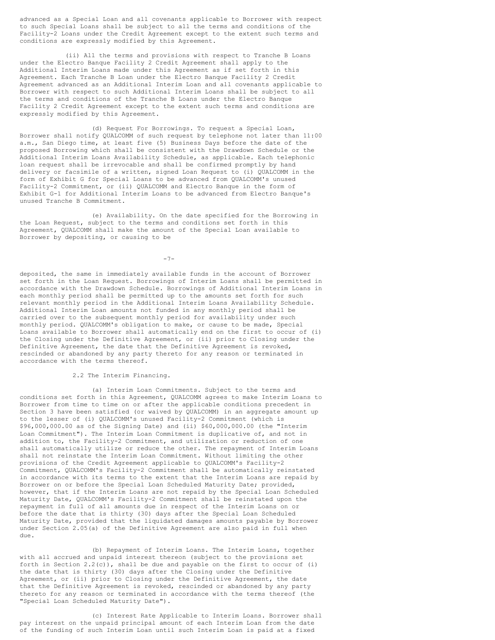advanced as a Special Loan and all covenants applicable to Borrower with respect to such Special Loans shall be subject to all the terms and conditions of the Facility-2 Loans under the Credit Agreement except to the extent such terms and conditions are expressly modified by this Agreement.

(ii) All the terms and provisions with respect to Tranche B Loans under the Electro Banque Facility 2 Credit Agreement shall apply to the Additional Interim Loans made under this Agreement as if set forth in this Agreement. Each Tranche B Loan under the Electro Banque Facility 2 Credit Agreement advanced as an Additional Interim Loan and all covenants applicable to Borrower with respect to such Additional Interim Loans shall be subject to all the terms and conditions of the Tranche B Loans under the Electro Banque Facility 2 Credit Agreement except to the extent such terms and conditions are expressly modified by this Agreement.

(d) Request For Borrowings. To request a Special Loan, Borrower shall notify QUALCOMM of such request by telephone not later than 11:00 a.m., San Diego time, at least five (5) Business Days before the date of the proposed Borrowing which shall be consistent with the Drawdown Schedule or the Additional Interim Loans Availability Schedule, as applicable. Each telephonic loan request shall be irrevocable and shall be confirmed promptly by hand delivery or facsimile of a written, signed Loan Request to (i) QUALCOMM in the form of Exhibit G for Special Loans to be advanced from QUALCOMM's unused Facility-2 Commitment, or (ii) QUALCOMM and Electro Banque in the form of Exhibit G-1 for Additional Interim Loans to be advanced from Electro Banque's unused Tranche B Commitment.

(e) Availability. On the date specified for the Borrowing in the Loan Request, subject to the terms and conditions set forth in this Agreement, QUALCOMM shall make the amount of the Special Loan available to Borrower by depositing, or causing to be

-7-

deposited, the same in immediately available funds in the account of Borrower set forth in the Loan Request. Borrowings of Interim Loans shall be permitted in accordance with the Drawdown Schedule. Borrowings of Additional Interim Loans in each monthly period shall be permitted up to the amounts set forth for such relevant monthly period in the Additional Interim Loans Availability Schedule. Additional Interim Loan amounts not funded in any monthly period shall be carried over to the subsequent monthly period for availability under such monthly period. QUALCOMM's obligation to make, or cause to be made, Special Loans available to Borrower shall automatically end on the first to occur of (i) the Closing under the Definitive Agreement, or (ii) prior to Closing under the Definitive Agreement, the date that the Definitive Agreement is revoked, rescinded or abandoned by any party thereto for any reason or terminated in accordance with the terms thereof.

2.2 The Interim Financing.

(a) Interim Loan Commitments. Subject to the terms and conditions set forth in this Agreement, QUALCOMM agrees to make Interim Loans to Borrower from time to time on or after the applicable conditions precedent in Section 3 have been satisfied (or waived by QUALCOMM) in an aggregate amount up to the lesser of (i) QUALCOMM's unused Facility-2 Commitment (which is \$96,000,000.00 as of the Signing Date) and (ii) \$60,000,000.00 (the "Interim Loan Commitment"). The Interim Loan Commitment is duplicative of, and not in addition to, the Facility-2 Commitment, and utilization or reduction of one shall automatically utilize or reduce the other. The repayment of Interim Loans shall not reinstate the Interim Loan Commitment. Without limiting the other provisions of the Credit Agreement applicable to QUALCOMM's Facility-2 Commitment, QUALCOMM's Facility-2 Commitment shall be automatically reinstated in accordance with its terms to the extent that the Interim Loans are repaid by Borrower on or before the Special Loan Scheduled Maturity Date; provided, however, that if the Interim Loans are not repaid by the Special Loan Scheduled Maturity Date, QUALCOMM's Facility-2 Commitment shall be reinstated upon the repayment in full of all amounts due in respect of the Interim Loans on or before the date that is thirty (30) days after the Special Loan Scheduled Maturity Date, provided that the liquidated damages amounts payable by Borrower under Section 2.05(a) of the Definitive Agreement are also paid in full when due.

(b) Repayment of Interim Loans. The Interim Loans, together with all accrued and unpaid interest thereon (subject to the provisions set forth in Section 2.2(c)), shall be due and payable on the first to occur of (i) the date that is thirty (30) days after the Closing under the Definitive Agreement, or (ii) prior to Closing under the Definitive Agreement, the date that the Definitive Agreement is revoked, rescinded or abandoned by any party thereto for any reason or terminated in accordance with the terms thereof (the "Special Loan Scheduled Maturity Date").

(c) Interest Rate Applicable to Interim Loans. Borrower shall pay interest on the unpaid principal amount of each Interim Loan from the date of the funding of such Interim Loan until such Interim Loan is paid at a fixed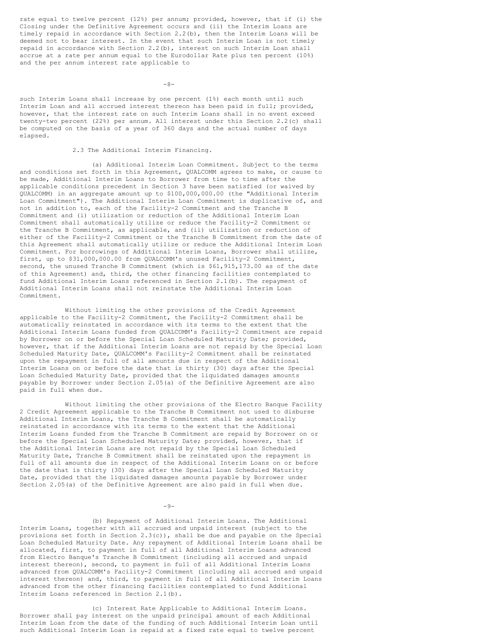rate equal to twelve percent (12%) per annum; provided, however, that if (i) the Closing under the Definitive Agreement occurs and (ii) the Interim Loans are timely repaid in accordance with Section 2.2(b), then the Interim Loans will be deemed not to bear interest. In the event that such Interim Loan is not timely repaid in accordance with Section 2.2(b), interest on such Interim Loan shall accrue at a rate per annum equal to the Eurodollar Rate plus ten percent (10%) and the per annum interest rate applicable to

 $-8-$ 

such Interim Loans shall increase by one percent (1%) each month until such Interim Loan and all accrued interest thereon has been paid in full; provided, however, that the interest rate on such Interim Loans shall in no event exceed twenty-two percent (22%) per annum. All interest under this Section 2.2(c) shall be computed on the basis of a year of 360 days and the actual number of days elapsed.

# 2.3 The Additional Interim Financing.

(a) Additional Interim Loan Commitment. Subject to the terms and conditions set forth in this Agreement, QUALCOMM agrees to make, or cause to be made, Additional Interim Loans to Borrower from time to time after the applicable conditions precedent in Section 3 have been satisfied (or waived by QUALCOMM) in an aggregate amount up to \$100,000,000.00 (the "Additional Interim Loan Commitment"). The Additional Interim Loan Commitment is duplicative of, and not in addition to, each of the Facility-2 Commitment and the Tranche B Commitment and (i) utilization or reduction of the Additional Interim Loan Commitment shall automatically utilize or reduce the Facility-2 Commitment or the Tranche B Commitment, as applicable, and (ii) utilization or reduction of either of the Facility-2 Commitment or the Tranche B Commitment from the date of this Agreement shall automatically utilize or reduce the Additional Interim Loan Commitment. For borrowings of Additional Interim Loans, Borrower shall utilize, first, up to \$31,000,000.00 from QUALCOMM's unused Facility-2 Commitment, second, the unused Tranche B Commitment (which is \$61,915,173.00 as of the date of this Agreement) and, third, the other financing facilities contemplated to fund Additional Interim Loans referenced in Section 2.1(b). The repayment of Additional Interim Loans shall not reinstate the Additional Interim Loan Commitment.

Without limiting the other provisions of the Credit Agreement applicable to the Facility-2 Commitment, the Facility-2 Commitment shall be automatically reinstated in accordance with its terms to the extent that the Additional Interim Loans funded from QUALCOMM's Facility-2 Commitment are repaid by Borrower on or before the Special Loan Scheduled Maturity Date; provided, however, that if the Additional Interim Loans are not repaid by the Special Loan Scheduled Maturity Date, QUALCOMM's Facility-2 Commitment shall be reinstated upon the repayment in full of all amounts due in respect of the Additional Interim Loans on or before the date that is thirty (30) days after the Special Loan Scheduled Maturity Date, provided that the liquidated damages amounts payable by Borrower under Section 2.05(a) of the Definitive Agreement are also paid in full when due.

Without limiting the other provisions of the Electro Banque Facility 2 Credit Agreement applicable to the Tranche B Commitment not used to disburse Additional Interim Loans, the Tranche B Commitment shall be automatically reinstated in accordance with its terms to the extent that the Additional Interim Loans funded from the Tranche B Commitment are repaid by Borrower on or before the Special Loan Scheduled Maturity Date; provided, however, that if the Additional Interim Loans are not repaid by the Special Loan Scheduled Maturity Date, Tranche B Commitment shall be reinstated upon the repayment in full of all amounts due in respect of the Additional Interim Loans on or before the date that is thirty (30) days after the Special Loan Scheduled Maturity Date, provided that the liquidated damages amounts payable by Borrower under Section 2.05(a) of the Definitive Agreement are also paid in full when due.

 $-9-$ 

(b) Repayment of Additional Interim Loans. The Additional Interim Loans, together with all accrued and unpaid interest (subject to the provisions set forth in Section  $2.3(c)$ ), shall be due and payable on the Special Loan Scheduled Maturity Date. Any repayment of Additional Interim Loans shall be allocated, first, to payment in full of all Additional Interim Loans advanced from Electro Banque's Tranche B Commitment (including all accrued and unpaid interest thereon), second, to payment in full of all Additional Interim Loans advanced from QUALCOMM's Facility-2 Commitment (including all accrued and unpaid interest thereon) and, third, to payment in full of all Additional Interim Loans advanced from the other financing facilities contemplated to fund Additional Interim Loans referenced in Section 2.1(b).

(c) Interest Rate Applicable to Additional Interim Loans. Borrower shall pay interest on the unpaid principal amount of each Additional Interim Loan from the date of the funding of such Additional Interim Loan until such Additional Interim Loan is repaid at a fixed rate equal to twelve percent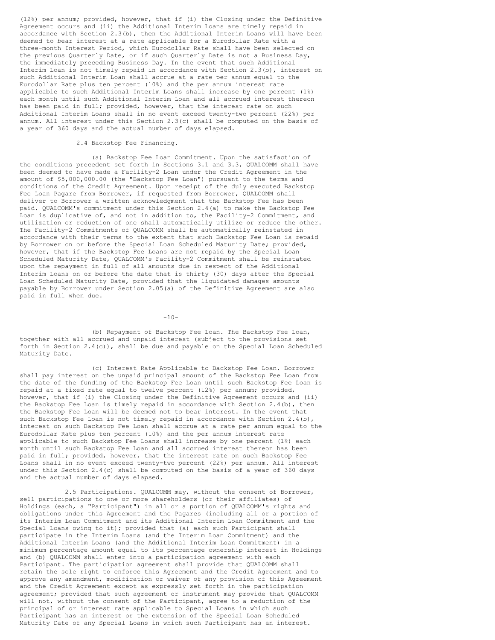(12%) per annum; provided, however, that if (i) the Closing under the Definitive Agreement occurs and (ii) the Additional Interim Loans are timely repaid in accordance with Section 2.3(b), then the Additional Interim Loans will have been deemed to bear interest at a rate applicable for a Eurodollar Rate with a three-month Interest Period, which Eurodollar Rate shall have been selected on the previous Quarterly Date, or if such Quarterly Date is not a Business Day, the immediately preceding Business Day. In the event that such Additional Interim Loan is not timely repaid in accordance with Section 2.3(b), interest on such Additional Interim Loan shall accrue at a rate per annum equal to the Eurodollar Rate plus ten percent (10%) and the per annum interest rate applicable to such Additional Interim Loans shall increase by one percent (1%) each month until such Additional Interim Loan and all accrued interest thereon has been paid in full; provided, however, that the interest rate on such Additional Interim Loans shall in no event exceed twenty-two percent (22%) per annum. All interest under this Section 2.3(c) shall be computed on the basis of a year of 360 days and the actual number of days elapsed.

# 2.4 Backstop Fee Financing.

(a) Backstop Fee Loan Commitment. Upon the satisfaction of the conditions precedent set forth in Sections 3.1 and 3.3, QUALCOMM shall have been deemed to have made a Facility-2 Loan under the Credit Agreement in the amount of \$5,000,000.00 (the "Backstop Fee Loan") pursuant to the terms and conditions of the Credit Agreement. Upon receipt of the duly executed Backstop Fee Loan Pagare from Borrower, if requested from Borrower, QUALCOMM shall deliver to Borrower a written acknowledgment that the Backstop Fee has been paid. QUALCOMM's commitment under this Section 2.4(a) to make the Backstop Fee Loan is duplicative of, and not in addition to, the Facility-2 Commitment, and utilization or reduction of one shall automatically utilize or reduce the other. The Facility-2 Commitments of QUALCOMM shall be automatically reinstated in accordance with their terms to the extent that such Backstop Fee Loan is repaid by Borrower on or before the Special Loan Scheduled Maturity Date; provided, however, that if the Backstop Fee Loans are not repaid by the Special Loan Scheduled Maturity Date, QUALCOMM's Facility-2 Commitment shall be reinstated upon the repayment in full of all amounts due in respect of the Additional Interim Loans on or before the date that is thirty (30) days after the Special Loan Scheduled Maturity Date, provided that the liquidated damages amounts payable by Borrower under Section 2.05(a) of the Definitive Agreement are also paid in full when due.

 $-10-$ 

(b) Repayment of Backstop Fee Loan. The Backstop Fee Loan, together with all accrued and unpaid interest (subject to the provisions set forth in Section 2.4(c)), shall be due and payable on the Special Loan Scheduled Maturity Date.

(c) Interest Rate Applicable to Backstop Fee Loan. Borrower shall pay interest on the unpaid principal amount of the Backstop Fee Loan from the date of the funding of the Backstop Fee Loan until such Backstop Fee Loan is repaid at a fixed rate equal to twelve percent (12%) per annum; provided, however, that if (i) the Closing under the Definitive Agreement occurs and (ii) the Backstop Fee Loan is timely repaid in accordance with Section 2.4(b), then the Backstop Fee Loan will be deemed not to bear interest. In the event that such Backstop Fee Loan is not timely repaid in accordance with Section 2.4(b), interest on such Backstop Fee Loan shall accrue at a rate per annum equal to the Eurodollar Rate plus ten percent (10%) and the per annum interest rate applicable to such Backstop Fee Loans shall increase by one percent (1%) each month until such Backstop Fee Loan and all accrued interest thereon has been paid in full; provided, however, that the interest rate on such Backstop Fee Loans shall in no event exceed twenty-two percent (22%) per annum. All interest under this Section 2.4(c) shall be computed on the basis of a year of 360 days and the actual number of days elapsed.

2.5 Participations. QUALCOMM may, without the consent of Borrower, sell participations to one or more shareholders (or their affiliates) of Holdings (each, a "Participant") in all or a portion of QUALCOMM's rights and obligations under this Agreement and the Pagares (including all or a portion of its Interim Loan Commitment and its Additional Interim Loan Commitment and the Special Loans owing to it); provided that (a) each such Participant shall participate in the Interim Loans (and the Interim Loan Commitment) and the Additional Interim Loans (and the Additional Interim Loan Commitment) in a minimum percentage amount equal to its percentage ownership interest in Holdings and (b) QUALCOMM shall enter into a participation agreement with each Participant. The participation agreement shall provide that QUALCOMM shall retain the sole right to enforce this Agreement and the Credit Agreement and to approve any amendment, modification or waiver of any provision of this Agreement and the Credit Agreement except as expressly set forth in the participation agreement; provided that such agreement or instrument may provide that QUALCOMM will not, without the consent of the Participant, agree to a reduction of the principal of or interest rate applicable to Special Loans in which such Participant has an interest or the extension of the Special Loan Scheduled Maturity Date of any Special Loans in which such Participant has an interest.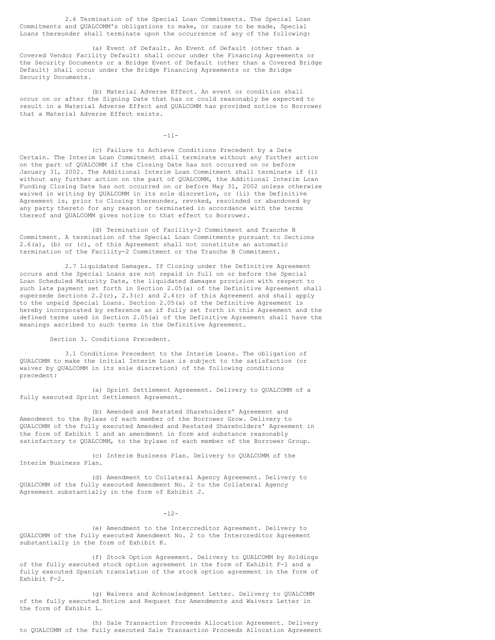2.6 Termination of the Special Loan Commitments. The Special Loan Commitments and QUALCOMM's obligations to make, or cause to be made, Special Loans thereunder shall terminate upon the occurrence of any of the following:

(a) Event of Default. An Event of Default (other than a Covered Vendor Facility Default) shall occur under the Financing Agreements or the Security Documents or a Bridge Event of Default (other than a Covered Bridge Default) shall occur under the Bridge Financing Agreements or the Bridge Security Documents.

(b) Material Adverse Effect. An event or condition shall occur on or after the Signing Date that has or could reasonably be expected to result in a Material Adverse Effect and QUALCOMM has provided notice to Borrower that a Material Adverse Effect exists.

-11-

(c) Failure to Achieve Conditions Precedent by a Date Certain. The Interim Loan Commitment shall terminate without any further action on the part of QUALCOMM if the Closing Date has not occurred on or before January 31, 2002. The Additional Interim Loan Commitment shall terminate if (i) without any further action on the part of QUALCOMM, the Additional Interim Loan Funding Closing Date has not occurred on or before May 31, 2002 unless otherwise waived in writing by QUALCOMM in its sole discretion, or (ii) the Definitive Agreement is, prior to Closing thereunder, revoked, rescinded or abandoned by any party thereto for any reason or terminated in accordance with the terms thereof and QUALCOMM gives notice to that effect to Borrower.

(d) Termination of Facility-2 Commitment and Tranche B Commitment. A termination of the Special Loan Commitments pursuant to Sections 2.6(a), (b) or (c), of this Agreement shall not constitute an automatic termination of the Facility-2 Commitment or the Tranche B Commitment.

2.7 Liquidated Damages. If Closing under the Definitive Agreement occurs and the Special Loans are not repaid in full on or before the Special Loan Scheduled Maturity Date, the liquidated damages provision with respect to such late payment set forth in Section 2.05(a) of the Definitive Agreement shall supersede Sections 2.2(c), 2.3(c) and 2.4(c) of this Agreement and shall apply to the unpaid Special Loans. Section 2.05(a) of the Definitive Agreement is hereby incorporated by reference as if fully set forth in this Agreement and the defined terms used in Section 2.05(a) of the Definitive Agreement shall have the meanings ascribed to such terms in the Definitive Agreement.

Section 3. Conditions Precedent.

3.1 Conditions Precedent to the Interim Loans. The obligation of QUALCOMM to make the initial Interim Loan is subject to the satisfaction (or waiver by QUALCOMM in its sole discretion) of the following conditions precedent:

(a) Sprint Settlement Agreement. Delivery to QUALCOMM of a fully executed Sprint Settlement Agreement.

(b) Amended and Restated Shareholders' Agreement and Amendment to the Bylaws of each member of the Borrower Grow. Delivery to QUALCOMM of the fully executed Amended and Restated Shareholders' Agreement in the form of Exhibit I and an amendment in form and substance reasonably satisfactory to QUALCOMM, to the bylaws of each member of the Borrower Group.

(c) Interim Business Plan. Delivery to QUALCOMM of the Interim Business Plan.

(d) Amendment to Collateral Agency Agreement. Delivery to QUALCOMM of the fully executed Amendment No. 2 to the Collateral Agency Agreement substantially in the form of Exhibit J.

 $-12-$ 

(e) Amendment to the Intercreditor Agreement. Delivery to QUALCOMM of the fully executed Amendment No. 2 to the Intercreditor Agreement substantially in the form of Exhibit K.

(f) Stock Option Agreement. Delivery to QUALCOMM by Holdings of the fully executed stock option agreement in the form of Exhibit F-1 and a fully executed Spanish translation of the stock option agreement in the form of Exhibit F-2.

(g) Waivers and Acknowledgment Letter. Delivery to QUALCOMM of the fully executed Notice and Request for Amendments and Waivers Letter in the form of Exhibit L.

(h) Sale Transaction Proceeds Allocation Agreement. Delivery to QUALCOMM of the fully executed Sale Transaction Proceeds Allocation Agreement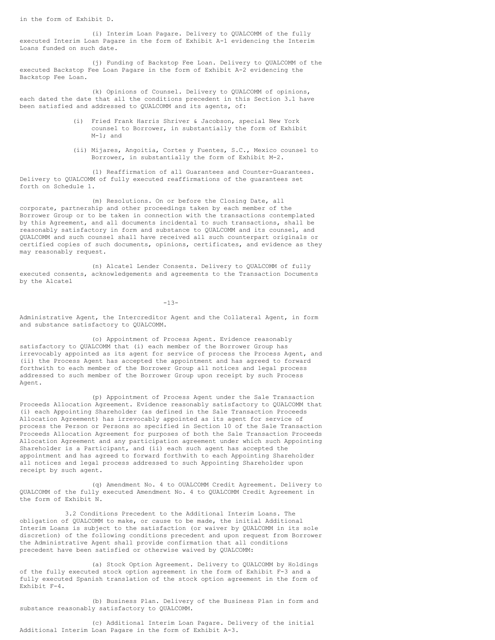in the form of Exhibit D.

(i) Interim Loan Pagare. Delivery to QUALCOMM of the fully executed Interim Loan Pagare in the form of Exhibit A-1 evidencing the Interim Loans funded on such date.

(j) Funding of Backstop Fee Loan. Delivery to QUALCOMM of the executed Backstop Fee Loan Pagare in the form of Exhibit A-2 evidencing the Backstop Fee Loan.

(k) Opinions of Counsel. Delivery to QUALCOMM of opinions, each dated the date that all the conditions precedent in this Section 3.1 have been satisfied and addressed to QUALCOMM and its agents, of:

- (i) Fried Frank Harris Shriver & Jacobson, special New York counsel to Borrower, in substantially the form of Exhibit M-1; and
- (ii) Mijares, Angoitia, Cortes y Fuentes, S.C., Mexico counsel to Borrower, in substantially the form of Exhibit M-2.

(1) Reaffirmation of all Guarantees and Counter-Guarantees. Delivery to QUALCOMM of fully executed reaffirmations of the guarantees set forth on Schedule 1.

(m) Resolutions. On or before the Closing Date, all corporate, partnership and other proceedings taken by each member of the Borrower Group or to be taken in connection with the transactions contemplated by this Agreement, and all documents incidental to such transactions, shall be reasonably satisfactory in form and substance to QUALCOMM and its counsel, and QUALCOMM and such counsel shall have received all such counterpart originals or certified copies of such documents, opinions, certificates, and evidence as they may reasonably request.

(n) Alcatel Lender Consents. Delivery to QUALCOMM of fully executed consents, acknowledgements and agreements to the Transaction Documents by the Alcatel

-13-

Administrative Agent, the Intercreditor Agent and the Collateral Agent, in form and substance satisfactory to QUALCOMM.

(o) Appointment of Process Agent. Evidence reasonably satisfactory to QUALCOMM that (i) each member of the Borrower Group has irrevocably appointed as its agent for service of process the Process Agent, and (ii) the Process Agent has accepted the appointment and has agreed to forward forthwith to each member of the Borrower Group all notices and legal process addressed to such member of the Borrower Group upon receipt by such Process Agent.

(p) Appointment of Process Agent under the Sale Transaction Proceeds Allocation Agreement. Evidence reasonably satisfactory to QUALCOMM that (i) each Appointing Shareholder (as defined in the Sale Transaction Proceeds Allocation Agreement) has irrevocably appointed as its agent for service of process the Person or Persons so specified in Section 10 of the Sale Transaction Proceeds Allocation Agreement for purposes of both the Sale Transaction Proceeds Allocation Agreement and any participation agreement under which such Appointing Shareholder is a Participant, and (ii) each such agent has accepted the appointment and has agreed to forward forthwith to each Appointing Shareholder all notices and legal process addressed to such Appointing Shareholder upon receipt by such agent.

(q) Amendment No. 4 to OUALCOMM Credit Agreement. Delivery to QUALCOMM of the fully executed Amendment No. 4 to QUALCOMM Credit Agreement in the form of Exhibit N.

3.2 Conditions Precedent to the Additional Interim Loans. The obligation of QUALCOMM to make, or cause to be made, the initial Additional Interim Loans is subject to the satisfaction (or waiver by QUALCOMM in its sole discretion) of the following conditions precedent and upon request from Borrower the Administrative Agent shall provide confirmation that all conditions precedent have been satisfied or otherwise waived by QUALCOMM:

(a) Stock Option Agreement. Delivery to QUALCOMM by Holdings of the fully executed stock option agreement in the form of Exhibit F-3 and a fully executed Spanish translation of the stock option agreement in the form of Exhibit F-4.

(b) Business Plan. Delivery of the Business Plan in form and substance reasonably satisfactory to QUALCOMM.

(c) Additional Interim Loan Pagare. Delivery of the initial Additional Interim Loan Pagare in the form of Exhibit A-3.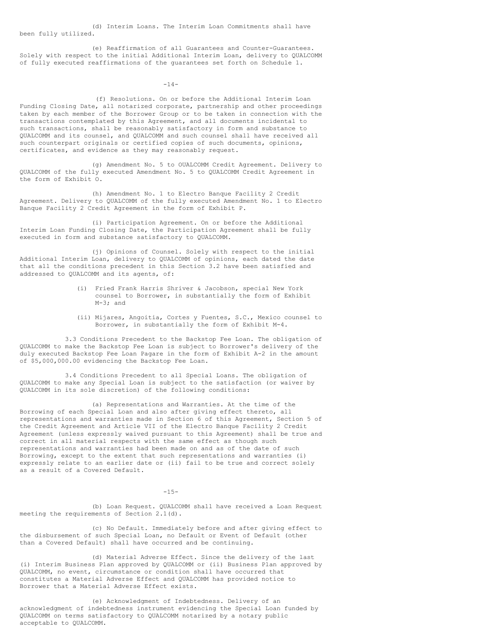(d) Interim Loans. The Interim Loan Commitments shall have been fully utilized.

(e) Reaffirmation of all Guarantees and Counter-Guarantees. Solely with respect to the initial Additional Interim Loan, delivery to QUALCOMM of fully executed reaffirmations of the guarantees set forth on Schedule 1.

 $-14-$ 

(f) Resolutions. On or before the Additional Interim Loan Funding Closing Date, all notarized corporate, partnership and other proceedings taken by each member of the Borrower Group or to be taken in connection with the transactions contemplated by this Agreement, and all documents incidental to such transactions, shall be reasonably satisfactory in form and substance to QUALCOMM and its counsel, and QUALCOMM and such counsel shall have received all such counterpart originals or certified copies of such documents, opinions, certificates, and evidence as they may reasonably request.

(g) Amendment No. 5 to OUALCOMM Credit Agreement. Delivery to QUALCOMM of the fully executed Amendment No. 5 to QUALCOMM Credit Agreement in the form of Exhibit O.

(h) Amendment No. 1 to Electro Banque Facility 2 Credit Agreement. Delivery to QUALCOMM of the fully executed Amendment No. 1 to Electro Banque Facility 2 Credit Agreement in the form of Exhibit P.

(i) Participation Agreement. On or before the Additional Interim Loan Funding Closing Date, the Participation Agreement shall be fully executed in form and substance satisfactory to QUALCOMM.

(j) Opinions of Counsel. Solely with respect to the initial Additional Interim Loan, delivery to QUALCOMM of opinions, each dated the date that all the conditions precedent in this Section 3.2 have been satisfied and addressed to QUALCOMM and its agents, of:

- (i) Fried Frank Harris Shriver & Jacobson, special New York counsel to Borrower, in substantially the form of Exhibit M-3; and
- (ii) Mijares, Angoitia, Cortes y Fuentes, S.C., Mexico counsel to Borrower, in substantially the form of Exhibit M-4.

3.3 Conditions Precedent to the Backstop Fee Loan. The obligation of QUALCOMM to make the Backstop Fee Loan is subject to Borrower's delivery of the duly executed Backstop Fee Loan Pagare in the form of Exhibit A-2 in the amount of \$5,000,000.00 evidencing the Backstop Fee Loan.

3.4 Conditions Precedent to all Special Loans. The obligation of QUALCOMM to make any Special Loan is subject to the satisfaction (or waiver by QUALCOMM in its sole discretion) of the following conditions:

(a) Representations and Warranties. At the time of the Borrowing of each Special Loan and also after giving effect thereto, all representations and warranties made in Section 6 of this Agreement, Section 5 of the Credit Agreement and Article VII of the Electro Banque Facility 2 Credit Agreement (unless expressly waived pursuant to this Agreement) shall be true and correct in all material respects with the same effect as though such representations and warranties had been made on and as of the date of such Borrowing, except to the extent that such representations and warranties (i) expressly relate to an earlier date or (ii) fail to be true and correct solely as a result of a Covered Default.

 $-15-$ 

(b) Loan Request. QUALCOMM shall have received a Loan Request meeting the requirements of Section 2.1(d).

(c) No Default. Immediately before and after giving effect to the disbursement of such Special Loan, no Default or Event of Default (other than a Covered Default) shall have occurred and be continuing.

(d) Material Adverse Effect. Since the delivery of the last (i) Interim Business Plan approved by QUALCOMM or (ii) Business Plan approved by QUALCOMM, no event, circumstance or condition shall have occurred that constitutes a Material Adverse Effect and QUALCOMM has provided notice to Borrower that a Material Adverse Effect exists.

(e) Acknowledgment of Indebtedness. Delivery of an acknowledgment of indebtedness instrument evidencing the Special Loan funded by QUALCOMM on terms satisfactory to QUALCOMM notarized by a notary public acceptable to QUALCOMM.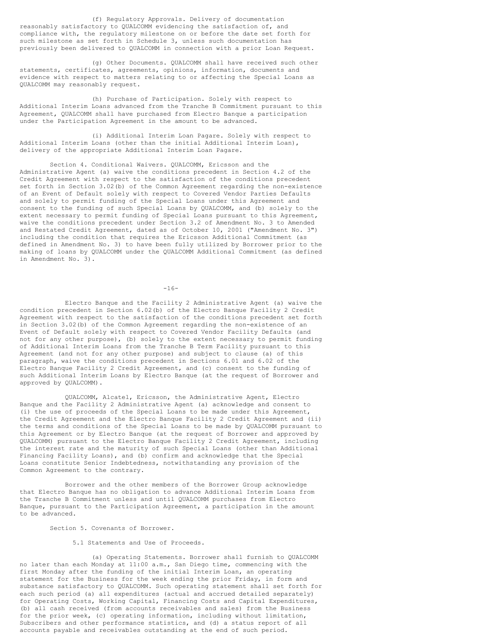(f) Regulatory Approvals. Delivery of documentation reasonably satisfactory to QUALCOMM evidencing the satisfaction of, and compliance with, the regulatory milestone on or before the date set forth for such milestone as set forth in Schedule 3, unless such documentation has previously been delivered to QUALCOMM in connection with a prior Loan Request.

(g) Other Documents. QUALCOMM shall have received such other statements, certificates, agreements, opinions, information, documents and evidence with respect to matters relating to or affecting the Special Loans as QUALCOMM may reasonably request.

(h) Purchase of Participation. Solely with respect to Additional Interim Loans advanced from the Tranche B Commitment pursuant to this Agreement, QUALCOMM shall have purchased from Electro Banque a participation under the Participation Agreement in the amount to be advanced.

(i) Additional Interim Loan Pagare. Solely with respect to Additional Interim Loans (other than the initial Additional Interim Loan), delivery of the appropriate Additional Interim Loan Pagare.

Section 4. Conditional Waivers. QUALCOMM, Ericsson and the Administrative Agent (a) waive the conditions precedent in Section 4.2 of the Credit Agreement with respect to the satisfaction of the conditions precedent set forth in Section 3.02(b) of the Common Agreement regarding the non-existence of an Event of Default solely with respect to Covered Vendor Parties Defaults and solely to permit funding of the Special Loans under this Agreement and consent to the funding of such Special Loans by QUALCOMM, and (b) solely to the extent necessary to permit funding of Special Loans pursuant to this Agreement, waive the conditions precedent under Section 3.2 of Amendment No. 3 to Amended and Restated Credit Agreement, dated as of October 10, 2001 ("Amendment No. 3") including the condition that requires the Ericsson Additional Commitment (as defined in Amendment No. 3) to have been fully utilized by Borrower prior to the making of loans by QUALCOMM under the QUALCOMM Additional Commitment (as defined in Amendment No. 3).

 $-16-$ 

Electro Banque and the Facility 2 Administrative Agent (a) waive the condition precedent in Section 6.02(b) of the Electro Banque Facility 2 Credit Agreement with respect to the satisfaction of the conditions precedent set forth in Section 3.02(b) of the Common Agreement regarding the non-existence of an Event of Default solely with respect to Covered Vendor Facility Defaults (and not for any other purpose), (b) solely to the extent necessary to permit funding of Additional Interim Loans from the Tranche B Term Facility pursuant to this Agreement (and not for any other purpose) and subject to clause (a) of this paragraph, waive the conditions precedent in Sections 6.01 and 6.02 of the Electro Banque Facility 2 Credit Agreement, and (c) consent to the funding of such Additional Interim Loans by Electro Banque (at the request of Borrower and approved by QUALCOMM).

QUALCOMM, Alcatel, Ericsson, the Administrative Agent, Electro Banque and the Facility 2 Administrative Agent (a) acknowledge and consent to (i) the use of proceeds of the Special Loans to be made under this Agreement, the Credit Agreement and the Electro Banque Facility 2 Credit Agreement and (ii) the terms and conditions of the Special Loans to be made by QUALCOMM pursuant to this Agreement or by Electro Banque (at the request of Borrower and approved by QUALCOMM) pursuant to the Electro Banque Facility 2 Credit Agreement, including the interest rate and the maturity of such Special Loans (other than Additional Financing Facility Loans), and (b) confirm and acknowledge that the Special Loans constitute Senior Indebtedness, notwithstanding any provision of the Common Agreement to the contrary.

Borrower and the other members of the Borrower Group acknowledge that Electro Banque has no obligation to advance Additional Interim Loans from the Tranche B Commitment unless and until QUALCOMM purchases from Electro Banque, pursuant to the Participation Agreement, a participation in the amount to be advanced.

Section 5. Covenants of Borrower.

5.1 Statements and Use of Proceeds.

(a) Operating Statements. Borrower shall furnish to QUALCOMM no later than each Monday at 11:00 a.m., San Diego time, commencing with the first Monday after the funding of the initial Interim Loan, an operating statement for the Business for the week ending the prior Friday, in form and substance satisfactory to QUALCOMM. Such operating statement shall set forth for each such period (a) all expenditures (actual and accrued detailed separately) for Operating Costs, Working Capital, Financing Costs and Capital Expenditures, (b) all cash received (from accounts receivables and sales) from the Business for the prior week, (c) operating information, including without limitation, Subscribers and other performance statistics, and (d) a status report of all accounts payable and receivables outstanding at the end of such period.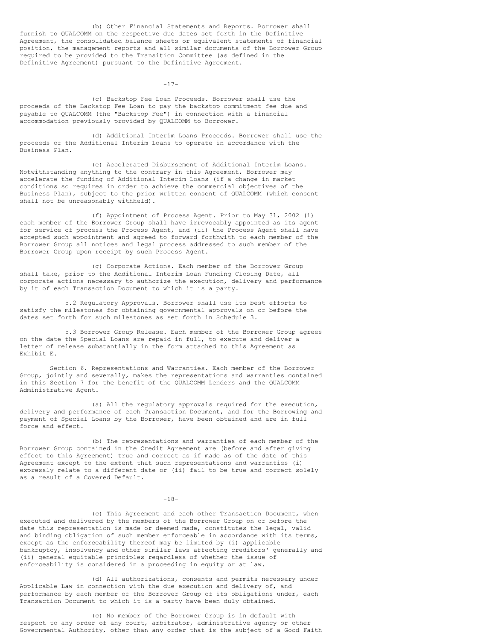(b) Other Financial Statements and Reports. Borrower shall furnish to QUALCOMM on the respective due dates set forth in the Definitive Agreement, the consolidated balance sheets or equivalent statements of financial position, the management reports and all similar documents of the Borrower Group required to be provided to the Transition Committee (as defined in the Definitive Agreement) pursuant to the Definitive Agreement.

 $-17-$ 

(c) Backstop Fee Loan Proceeds. Borrower shall use the proceeds of the Backstop Fee Loan to pay the backstop commitment fee due and payable to QUALCOMM (the "Backstop Fee") in connection with a financial accommodation previously provided by QUALCOMM to Borrower.

(d) Additional Interim Loans Proceeds. Borrower shall use the proceeds of the Additional Interim Loans to operate in accordance with the Business Plan.

(e) Accelerated Disbursement of Additional Interim Loans. Notwithstanding anything to the contrary in this Agreement, Borrower may accelerate the funding of Additional Interim Loans (if a change in market conditions so requires in order to achieve the commercial objectives of the Business Plan), subject to the prior written consent of QUALCOMM (which consent shall not be unreasonably withheld).

(f) Appointment of Process Agent. Prior to May 31, 2002 (i) each member of the Borrower Group shall have irrevocably appointed as its agent for service of process the Process Agent, and (ii) the Process Agent shall have accepted such appointment and agreed to forward forthwith to each member of the Borrower Group all notices and legal process addressed to such member of the Borrower Group upon receipt by such Process Agent.

(g) Corporate Actions. Each member of the Borrower Group shall take, prior to the Additional Interim Loan Funding Closing Date, all corporate actions necessary to authorize the execution, delivery and performance by it of each Transaction Document to which it is a party.

5.2 Regulatory Approvals. Borrower shall use its best efforts to satisfy the milestones for obtaining governmental approvals on or before the dates set forth for such milestones as set forth in Schedule 3.

5.3 Borrower Group Release. Each member of the Borrower Group agrees on the date the Special Loans are repaid in full, to execute and deliver a letter of release substantially in the form attached to this Agreement as Exhibit E.

Section 6. Representations and Warranties. Each member of the Borrower Group, jointly and severally, makes the representations and warranties contained in this Section 7 for the benefit of the QUALCOMM Lenders and the QUALCOMM Administrative Agent.

(a) All the regulatory approvals required for the execution, delivery and performance of each Transaction Document, and for the Borrowing and payment of Special Loans by the Borrower, have been obtained and are in full force and effect.

(b) The representations and warranties of each member of the Borrower Group contained in the Credit Agreement are (before and after giving effect to this Agreement) true and correct as if made as of the date of this Agreement except to the extent that such representations and warranties (i) expressly relate to a different date or (ii) fail to be true and correct solely as a result of a Covered Default.

-18-

(c) This Agreement and each other Transaction Document, when executed and delivered by the members of the Borrower Group on or before the date this representation is made or deemed made, constitutes the legal, valid and binding obligation of such member enforceable in accordance with its terms, except as the enforceability thereof may be limited by (i) applicable bankruptcy, insolvency and other similar laws affecting creditors' generally and (ii) general equitable principles regardless of whether the issue of enforceability is considered in a proceeding in equity or at law.

(d) All authorizations, consents and permits necessary under Applicable Law in connection with the due execution and delivery of, and performance by each member of the Borrower Group of its obligations under, each Transaction Document to which it is a party have been duly obtained.

(c) No member of the Borrower Group is in default with respect to any order of any court, arbitrator, administrative agency or other Governmental Authority, other than any order that is the subject of a Good Faith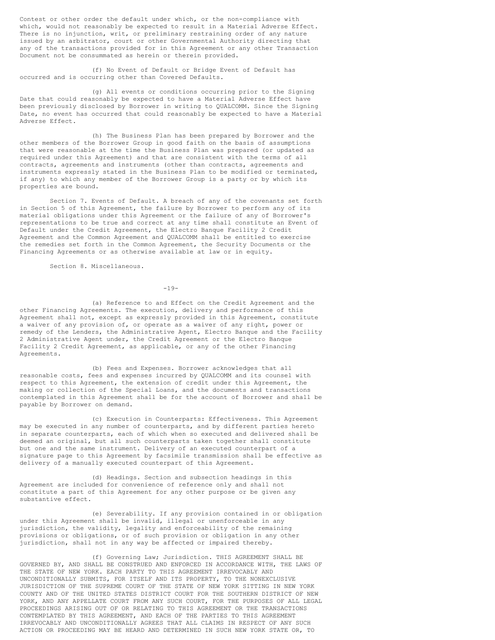Contest or other order the default under which, or the non-compliance with which, would not reasonably be expected to result in a Material Adverse Effect. There is no injunction, writ, or preliminary restraining order of any nature issued by an arbitrator, court or other Governmental Authority directing that any of the transactions provided for in this Agreement or any other Transaction Document not be consummated as herein or therein provided.

(f) No Event of Default or Bridge Event of Default has occurred and is occurring other than Covered Defaults.

(g) All events or conditions occurring prior to the Signing Date that could reasonably be expected to have a Material Adverse Effect have been previously disclosed by Borrower in writing to QUALCOMM. Since the Signing Date, no event has occurred that could reasonably be expected to have a Material Adverse Effect.

(h) The Business Plan has been prepared by Borrower and the other members of the Borrower Group in good faith on the basis of assumptions that were reasonable at the time the Business Plan was prepared (or updated as required under this Agreement) and that are consistent with the terms of all contracts, agreements and instruments (other than contracts, agreements and instruments expressly stated in the Business Plan to be modified or terminated, if any) to which any member of the Borrower Group is a party or by which its properties are bound.

Section 7. Events of Default. A breach of any of the covenants set forth in Section 5 of this Agreement, the failure by Borrower to perform any of its material obligations under this Agreement or the failure of any of Borrower's representations to be true and correct at any time shall constitute an Event of Default under the Credit Agreement, the Electro Banque Facility 2 Credit Agreement and the Common Agreement and QUALCOMM shall be entitled to exercise the remedies set forth in the Common Agreement, the Security Documents or the Financing Agreements or as otherwise available at law or in equity.

Section 8. Miscellaneous.

 $-19-$ 

(a) Reference to and Effect on the Credit Agreement and the other Financing Agreements. The execution, delivery and performance of this Agreement shall not, except as expressly provided in this Agreement, constitute a waiver of any provision of, or operate as a waiver of any right, power or remedy of the Lenders, the Administrative Agent, Electro Banque and the Facility 2 Administrative Agent under, the Credit Agreement or the Electro Banque Facility 2 Credit Agreement, as applicable, or any of the other Financing Agreements.

(b) Fees and Expenses. Borrower acknowledges that all reasonable costs, fees and expenses incurred by QUALCOMM and its counsel with respect to this Agreement, the extension of credit under this Agreement, the making or collection of the Special Loans, and the documents and transactions contemplated in this Agreement shall be for the account of Borrower and shall be payable by Borrower on demand.

(c) Execution in Counterparts: Effectiveness. This Agreement may be executed in any number of counterparts, and by different parties hereto in separate counterparts, each of which when so executed and delivered shall be deemed an original, but all such counterparts taken together shall constitute but one and the same instrument. Delivery of an executed counterpart of a signature page to this Agreement by facsimile transmission shall be effective as delivery of a manually executed counterpart of this Agreement.

(d) Headings. Section and subsection headings in this Agreement are included for convenience of reference only and shall not constitute a part of this Agreement for any other purpose or be given any substantive effect.

(e) Severability. If any provision contained in or obligation under this Agreement shall be invalid, illegal or unenforceable in any jurisdiction, the validity, legality and enforceability of the remaining provisions or obligations, or of such provision or obligation in any other jurisdiction, shall not in any way be affected or impaired thereby.

(f) Governing Law; Jurisdiction. THIS AGREEMENT SHALL BE GOVERNED BY, AND SHALL BE CONSTRUED AND ENFORCED IN ACCORDANCE WITH, THE LAWS OF THE STATE OF NEW YORK. EACH PARTY TO THIS AGREEMENT IRREVOCABLY AND UNCONDITIONALLY SUBMITS, FOR ITSELF AND ITS PROPERTY, TO THE NONEXCLUSIVE JURISDICTION OF THE SUPREME COURT OF THE STATE OF NEW YORK SITTING IN NEW YORK COUNTY AND OF THE UNITED STATES DISTRICT COURT FOR THE SOUTHERN DISTRICT OF NEW YORK, AND ANY APPELLATE COURT FROM ANY SUCH COURT, FOR THE PURPOSES OF ALL LEGAL PROCEEDINGS ARISING OUT OF OR RELATING TO THIS AGREEMENT OR THE TRANSACTIONS CONTEMPLATED BY THIS AGREEMENT, AND EACH OF THE PARTIES TO THIS AGREEMENT IRREVOCABLY AND UNCONDITIONALLY AGREES THAT ALL CLAIMS IN RESPECT OF ANY SUCH ACTION OR PROCEEDING MAY BE HEARD AND DETERMINED IN SUCH NEW YORK STATE OR, TO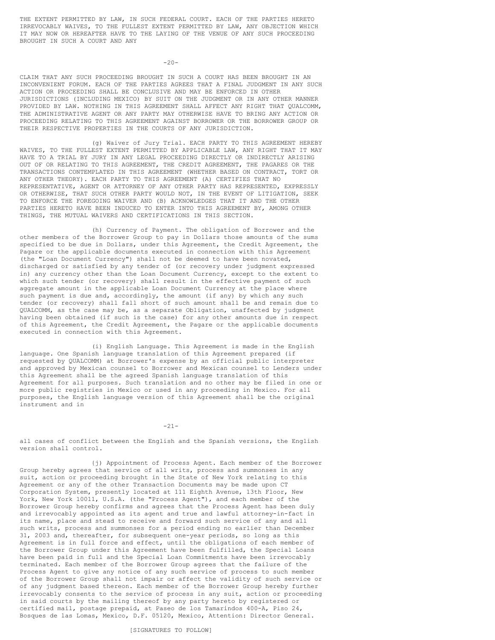THE EXTENT PERMITTED BY LAW, IN SUCH FEDERAL COURT. EACH OF THE PARTIES HERETO IRREVOCABLY WAIVES, TO THE FULLEST EXTENT PERMITTED BY LAW, ANY OBJECTION WHICH IT MAY NOW OR HEREAFTER HAVE TO THE LAYING OF THE VENUE OF ANY SUCH PROCEEDING BROUGHT IN SUCH A COURT AND ANY

 $-20-$ 

CLAIM THAT ANY SUCH PROCEEDING BROUGHT IN SUCH A COURT HAS BEEN BROUGHT IN AN INCONVENIENT FORUM. EACH OF THE PARTIES AGREES THAT A FINAL JUDGMENT IN ANY SUCH ACTION OR PROCEEDING SHALL BE CONCLUSIVE AND MAY BE ENFORCED IN OTHER JURISDICTIONS (INCLUDING MEXICO) BY SUIT ON THE JUDGMENT OR IN ANY OTHER MANNER PROVIDED BY LAW. NOTHING IN THIS AGREEMENT SHALL AFFECT ANY RIGHT THAT QUALCOMM, THE ADMINISTRATIVE AGENT OR ANY PARTY MAY OTHERWISE HAVE TO BRING ANY ACTION OR PROCEEDING RELATING TO THIS AGREEMENT AGAINST BORROWER OR THE BORROWER GROUP OR THEIR RESPECTIVE PROPERTIES IN THE COURTS OF ANY JURISDICTION.

(g) Waiver of Jury Trial. EACH PARTY TO THIS AGREEMENT HEREBY WAIVES, TO THE FULLEST EXTENT PERMITTED BY APPLICABLE LAW, ANY RIGHT THAT IT MAY HAVE TO A TRIAL BY JURY IN ANY LEGAL PROCEEDING DIRECTLY OR INDIRECTLY ARISING OUT OF OR RELATING TO THIS AGREEMENT, THE CREDIT AGREEMENT, THE PAGARES OR THE TRANSACTIONS CONTEMPLATED IN THIS AGREEMENT (WHETHER BASED ON CONTRACT, TORT OR ANY OTHER THEORY). EACH PARTY TO THIS AGREEMENT (A) CERTIFIES THAT NO REPRESENTATIVE, AGENT OR ATTORNEY OF ANY OTHER PARTY HAS REPRESENTED, EXPRESSLY OR OTHERWISE, THAT SUCH OTHER PARTY WOULD NOT, IN THE EVENT OF LITIGATION, SEEK TO ENFORCE THE FOREGOING WAIVER AND (B) ACKNOWLEDGES THAT IT AND THE OTHER PARTIES HERETO HAVE BEEN INDUCED TO ENTER INTO THIS AGREEMENT BY, AMONG OTHER THINGS, THE MUTUAL WAIVERS AND CERTIFICATIONS IN THIS SECTION.

(h) Currency of Payment. The obligation of Borrower and the other members of the Borrower Group to pay in Dollars those amounts of the sums specified to be due in Dollars, under this Agreement, the Credit Agreement, the Pagare or the applicable documents executed in connection with this Agreement (the "Loan Document Currency") shall not be deemed to have been novated, discharged or satisfied by any tender of (or recovery under judgment expressed in) any currency other than the Loan Document Currency, except to the extent to which such tender (or recovery) shall result in the effective payment of such aggregate amount in the applicable Loan Document Currency at the place where such payment is due and, accordingly, the amount (if any) by which any such tender (or recovery) shall fall short of such amount shall be and remain due to QUALCOMM, as the case may be, as a separate Obligation, unaffected by judgment having been obtained (if such is the case) for any other amounts due in respect of this Agreement, the Credit Agreement, the Pagare or the applicable documents executed in connection with this Agreement.

(i) English Language. This Agreement is made in the English language. One Spanish language translation of this Agreement prepared (if requested by QUALCOMM) at Borrower's expense by an official public interpreter and approved by Mexican counsel to Borrower and Mexican counsel to Lenders under this Agreement shall be the agreed Spanish language translation of this Agreement for all purposes. Such translation and no other may be filed in one or more public registries in Mexico or used in any proceeding in Mexico. For all purposes, the English language version of this Agreement shall be the original instrument and in

 $-21-$ 

all cases of conflict between the English and the Spanish versions, the English version shall control.

{j) Appointment of Process Agent. Each member of the Borrower Group hereby agrees that service of all writs, process and summonses in any suit, action or proceeding brought in the State of New York relating to this Agreement or any of the other Transaction Documents may be made upon CT Corporation System, presently located at 111 Eighth Avenue, 13th Floor, New York, New York 10011, U.S.A. (the "Process Agent"), and each member of the Borrower Group hereby confirms and agrees that the Process Agent has been duly and irrevocably appointed as its agent and true and lawful attorney-in-fact in its name, place and stead to receive and forward such service of any and all such writs, process and summonses for a period ending no earlier than December 31, 2003 and, thereafter, for subsequent one-year periods, so long as this Agreement is in full force and effect, until the obligations of each member of the Borrower Group under this Agreement have been fulfilled, the Special Loans have been paid in full and the Special Loan Commitments have been irrevocably terminated. Each member of the Borrower Group agrees that the failure of the Process Agent to give any notice of any such service of process to such member of the Borrower Group shall not impair or affect the validity of such service or of any judgment based thereon. Each member of the Borrower Group hereby further irrevocably consents to the service of process in any suit, action or proceeding in said courts by the mailing thereof by any party hereto by registered or certified mail, postage prepaid, at Paseo de los Tamarindos 400-A, Piso 24, Bosques de las Lomas, Mexico, D.F. 05120, Mexico, Attention: Director General.

# [SIGNATURES TO FOLLOW]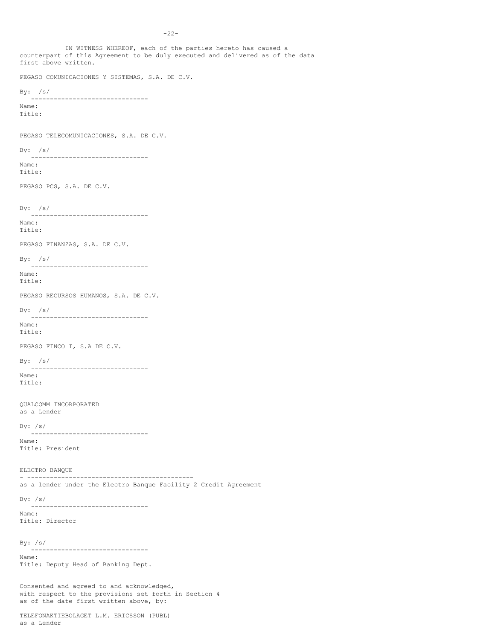IN WITNESS WHEREOF, each of the parties hereto has caused a counterpart of this Agreement to be duly executed and delivered as of the data first above written. PEGASO COMUNICACIONES Y SISTEMAS, S.A. DE C.V. By: /s/ ------------------------------- Name: Title: PEGASO TELECOMUNICACIONES, S.A. DE C.V.  $By:$  /s/ ------------------------------- Name: Title: PEGASO PCS, S.A. DE C.V. By: /s/ ------------------------------- Name: Title: PEGASO FINANZAS, S.A. DE C.V. By: /s/ ------------------------------- Name: Title: PEGASO RECURSOS HUMANOS, S.A. DE C.V. By: /s/ ------------------------------- Name: Title: PEGASO FINCO I, S.A DE C.V.  $By: /s/$ ------------------------------- Name: Title: QUALCOMM INCORPORATED as a Lender By: /s/ ------------------------------- Name: Title: President ELECTRO BANQUE - ------------------------------------------- as a lender under the Electro Banque Facility 2 Credit Agreement By:  $/s/$ ------------------------------- Name: Title: Director By: /s/ ------------------------------- Name: Title: Deputy Head of Banking Dept. Consented and agreed to and acknowledged, with respect to the provisions set forth in Section 4

TELEFONAKTIEBOLAGET L.M. ERICSSON (PUBL) as a Lender

as of the date first written above, by: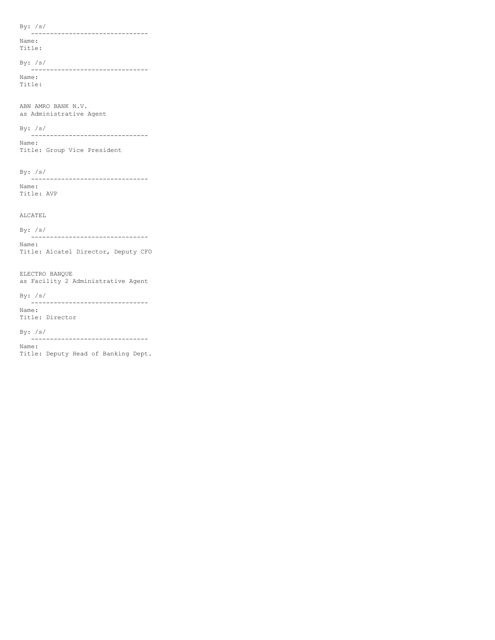By: /s/ ------------------------------- Name: Title:

By: /s/

------------------------------- Name: Title:

ABN AMRO BANK N.V. as Administrative Agent

By: /s/

------------------------------- Name: Title: Group Vice President

By: /s/

------------------------------- Name: Title: AVP

ALCATEL

By: /s/ ------------------------------- Name: Title: Alcatel Director, Deputy CFO

ELECTRO BANQUE as Facility 2 Administrative Agent

By: /s/

------------------------------- Name:

Title: Director

By: /s/ -------------------------------

Name:

Title: Deputy Head of Banking Dept.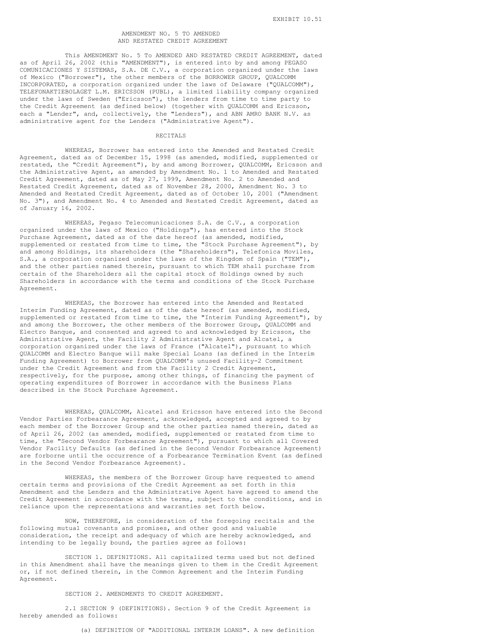## AMENDMENT NO. 5 TO AMENDED AND RESTATED CREDIT AGREEMENT

This AMENDMENT No. 5 To AMENDED AND RESTATED CREDIT AGREEMENT, dated as of April 26, 2002 (this "AMENDMENT"), is entered into by and among PEGASO COMUNICACIONES Y SISTEMAS, S.A. DE C.V., a corporation organized under the laws of Mexico ("Borrower"), the other members of the BORROWER GROUP, QUALCOMM INCORPORATED, a corporation organized under the laws of Delaware ("QUALCOMM"), TELEFONAKTIEBOLAGET L.M. ERICSSON (PUBL), a limited liability company organized under the laws of Sweden ("Ericsson"), the lenders from time to time party to the Credit Agreement (as defined below) (together with QUALCOMM and Ericsson, each a "Lender", and, collectively, the "Lenders"), and ABN AMRO BANK N.V. as administrative agent for the Lenders ("Administrative Agent").

## RECITALS

WHEREAS, Borrower has entered into the Amended and Restated Credit Agreement, dated as of December 15, 1998 (as amended, modified, supplemented or restated, the "Credit Agreement"), by and among Borrower, QUALCOMM, Ericsson and the Administrative Agent, as amended by Amendment No. 1 to Amended and Restated Credit Agreement, dated as of May 27, 1999, Amendment No. 2 to Amended and Restated Credit Agreement, dated as of November 28, 2000, Amendment No. 3 to Amended and Restated Credit Agreement, dated as of October 10, 2001 ("Amendment No. 3"), and Amendment No. 4 to Amended and Restated Credit Agreement, dated as of January 16, 2002.

WHEREAS, Pegaso Telecomunicaciones S.A. de C.V., a corporation organized under the laws of Mexico ("Holdings"), has entered into the Stock Purchase Agreement, dated as of the date hereof (as amended, modified, supplemented or restated from time to time, the "Stock Purchase Agreement"), by and among Holdings, its shareholders (the "Shareholders"), Telefonica Moviles, S.A., a corporation organized under the laws of the Kingdom of Spain ("TEM"), and the other parties named therein, pursuant to which TEM shall purchase from certain of the Shareholders all the capital stock of Holdings owned by such Shareholders in accordance with the terms and conditions of the Stock Purchase Agreement.

WHEREAS, the Borrower has entered into the Amended and Restated Interim Funding Agreement, dated as of the date hereof (as amended, modified, supplemented or restated from time to time, the "Interim Funding Agreement"), by and among the Borrower, the other members of the Borrower Group, QUALCOMM and Electro Banque, and consented and agreed to and acknowledged by Ericsson, the Administrative Agent, the Facility 2 Administrative Agent and Alcatel, a corporation organized under the laws of France ("Alcatel"), pursuant to which QUALCOMM and Electro Banque will make Special Loans (as defined in the Interim Funding Agreement) to Borrower from QUALCOMM's unused Facility-2 Commitment under the Credit Agreement and from the Facility 2 Credit Agreement, respectively, for the purpose, among other things, of financing the payment of operating expenditures of Borrower in accordance with the Business Plans described in the Stock Purchase Agreement.

WHEREAS, QUALCOMM, Alcatel and Ericsson have entered into the Second Vendor Parties Forbearance Agreement, acknowledged, accepted and agreed to by each member of the Borrower Group and the other parties named therein, dated as of April 26, 2002 (as amended, modified, supplemented or restated from time to time, the "Second Vendor Forbearance Agreement"), pursuant to which all Covered Vendor Facility Defaults (as defined in the Second Vendor Forbearance Agreement) are forborne until the occurrence of a Forbearance Termination Event (as defined in the Second Vendor Forbearance Agreement).

WHEREAS, the members of the Borrower Group have requested to amend certain terms and provisions of the Credit Agreement as set forth in this Amendment and the Lenders and the Administrative Agent have agreed to amend the Credit Agreement in accordance with the terms, subject to the conditions, and in reliance upon the representations and warranties set forth below.

NOW, THEREFORE, in consideration of the foregoing recitals and the following mutual covenants and promises, and other good and valuable consideration, the receipt and adequacy of which are hereby acknowledged, and intending to be legally bound, the parties agree as follows:

SECTION 1. DEFINITIONS. All capitalized terms used but not defined in this Amendment shall have the meanings given to them in the Credit Agreement or, if not defined therein, in the Common Agreement and the Interim Funding Agreement.

## SECTION 2. AMENDMENTS TO CREDIT AGREEMENT.

2.1 SECTION 9 (DEFINITIONS). Section 9 of the Credit Agreement is hereby amended as follows:

(a) DEFINITION OF "ADDITIONAL INTERIM LOANS". A new definition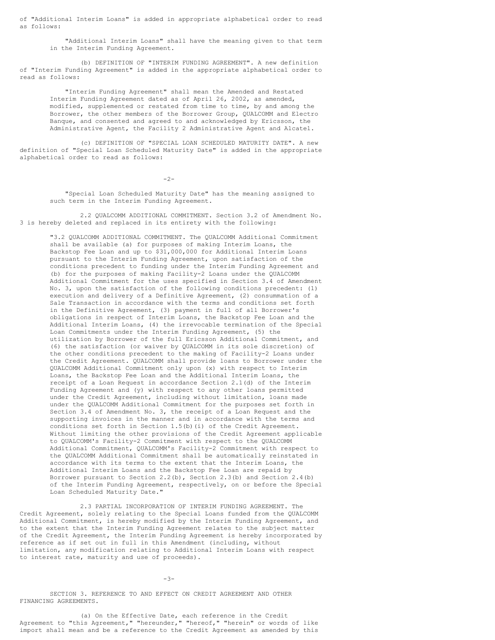of "Additional Interim Loans" is added in appropriate alphabetical order to read as follows:

"Additional Interim Loans" shall have the meaning given to that term in the Interim Funding Agreement.

(b) DEFINITION OF "INTERIM FUNDING AGREEMENT". A new definition of "Interim Funding Agreement" is added in the appropriate alphabetical order to read as follows:

"Interim Funding Agreement" shall mean the Amended and Restated Interim Funding Agreement dated as of April 26, 2002, as amended, modified, supplemented or restated from time to time, by and among the Borrower, the other members of the Borrower Group, QUALCOMM and Electro Banque, and consented and agreed to and acknowledged by Ericsson, the Administrative Agent, the Facility 2 Administrative Agent and Alcatel.

(c) DEFINITION OF "SPECIAL LOAN SCHEDULED MATURITY DATE". A new definition of "Special Loan Scheduled Maturity Date" is added in the appropriate alphabetical order to read as follows:

 $-2-$ 

"Special Loan Scheduled Maturity Date" has the meaning assigned to such term in the Interim Funding Agreement.

2.2 QUALCOMM ADDITIONAL COMMITMENT. Section 3.2 of Amendment No. 3 is hereby deleted and replaced in its entirety with the following:

"3.2 QUALCOMM ADDITIONAL COMMITMENT. The QUALCOMM Additional Commitment shall be available (a) for purposes of making Interim Loans, the Backstop Fee Loan and up to \$31,000,000 for Additional Interim Loans pursuant to the Interim Funding Agreement, upon satisfaction of the conditions precedent to funding under the Interim Funding Agreement and (b) for the purposes of making Facility-2 Loans under the QUALCOMM Additional Commitment for the uses specified in Section 3.4 of Amendment No. 3, upon the satisfaction of the following conditions precedent: (1) execution and delivery of a Definitive Agreement, (2) consummation of a Sale Transaction in accordance with the terms and conditions set forth in the Definitive Agreement, (3) payment in full of all Borrower's obligations in respect of Interim Loans, the Backstop Fee Loan and the Additional Interim Loans, (4) the irrevocable termination of the Special Loan Commitments under the Interim Funding Agreement, (5) the utilization by Borrower of the full Ericsson Additional Commitment, and (6) the satisfaction (or waiver by QUALCOMM in its sole discretion) of the other conditions precedent to the making of Facility-2 Loans under the Credit Agreement. QUALCOMM shall provide loans to Borrower under the QUALCOMM Additional Commitment only upon (x) with respect to Interim Loans, the Backstop Fee Loan and the Additional Interim Loans, the receipt of a Loan Request in accordance Section 2.1(d) of the Interim Funding Agreement and (y) with respect to any other loans permitted under the Credit Agreement, including without limitation, loans made under the QUALCOMM Additional Commitment for the purposes set forth in Section 3.4 of Amendment No. 3, the receipt of a Loan Request and the supporting invoices in the manner and in accordance with the terms and conditions set forth in Section 1.5(b)(i) of the Credit Agreement. Without limiting the other provisions of the Credit Agreement applicable to QUALCOMM's Facility-2 Commitment with respect to the QUALCOMM Additional Commitment, QUALCOMM's Facility-2 Commitment with respect to the QUALCOMM Additional Commitment shall be automatically reinstated in accordance with its terms to the extent that the Interim Loans, the Additional Interim Loans and the Backstop Fee Loan are repaid by Borrower pursuant to Section 2.2(b), Section 2.3(b) and Section 2.4(b) of the Interim Funding Agreement, respectively, on or before the Special Loan Scheduled Maturity Date."

2.3 PARTIAL INCORPORATION OF INTERIM FUNDING AGREEMENT. The Credit Agreement, solely relating to the Special Loans funded from the QUALCOMM Additional Commitment, is hereby modified by the Interim Funding Agreement, and to the extent that the Interim Funding Agreement relates to the subject matter of the Credit Agreement, the Interim Funding Agreement is hereby incorporated by reference as if set out in full in this Amendment (including, without limitation, any modification relating to Additional Interim Loans with respect to interest rate, maturity and use of proceeds).

 $-3-$ 

SECTION 3. REFERENCE TO AND EFFECT ON CREDIT AGREEMENT AND OTHER FINANCING AGREEMENTS.

(a) On the Effective Date, each reference in the Credit Agreement to "this Agreement," "hereunder," "hereof," "herein" or words of like import shall mean and be a reference to the Credit Agreement as amended by this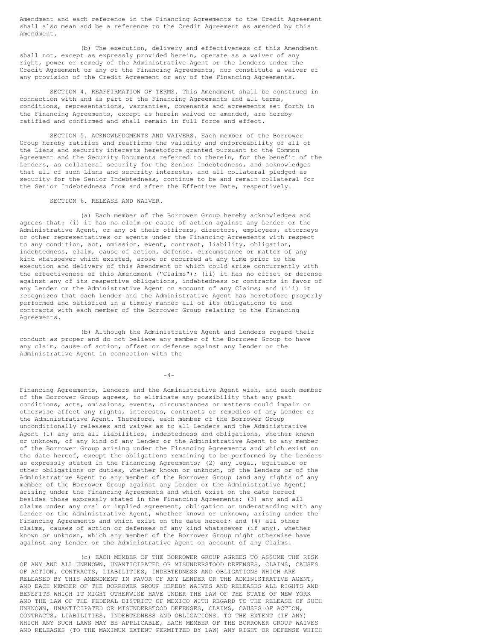Amendment and each reference in the Financing Agreements to the Credit Agreement shall also mean and be a reference to the Credit Agreement as amended by this Amendment.

(b) The execution, delivery and effectiveness of this Amendment shall not, except as expressly provided herein, operate as a waiver of any right, power or remedy of the Administrative Agent or the Lenders under the Credit Agreement or any of the Financing Agreements, nor constitute a waiver of any provision of the Credit Agreement or any of the Financing Agreements.

SECTION 4. REAFFIRMATION OF TERMS. This Amendment shall be construed in connection with and as part of the Financing Agreements and all terms, conditions, representations, warranties, covenants and agreements set forth in the Financing Agreements, except as herein waived or amended, are hereby ratified and confirmed and shall remain in full force and effect.

SECTION 5. ACKNOWLEDGMENTS AND WAIVERS. Each member of the Borrower Group hereby ratifies and reaffirms the validity and enforceability of all of the Liens and security interests heretofore granted pursuant to the Common Agreement and the Security Documents referred to therein, for the benefit of the Lenders, as collateral security for the Senior Indebtedness, and acknowledges that all of such Liens and security interests, and all collateral pledged as security for the Senior Indebtedness, continue to be and remain collateral for the Senior Indebtedness from and after the Effective Date, respectively.

SECTION 6. RELEASE AND WAIVER.

(a) Each member of the Borrower Group hereby acknowledges and agrees that: (i) it has no claim or cause of action against any Lender or the Administrative Agent, or any of their officers, directors, employees, attorneys or other representatives or agents under the Financing Agreements with respect to any condition, act, omission, event, contract, liability, obligation, indebtedness, claim, cause of action, defense, circumstance or matter of any kind whatsoever which existed, arose or occurred at any time prior to the execution and delivery of this Amendment or which could arise concurrently with the effectiveness of this Amendment ("Claims"); (ii) it has no offset or defense against any of its respective obligations, indebtedness or contracts in favor of any Lender or the Administrative Agent on account of any Claims; and (iii) it recognizes that each Lender and the Administrative Agent has heretofore properly performed and satisfied in a timely manner all of its obligations to and contracts with each member of the Borrower Group relating to the Financing Agreements.

(b) Although the Administrative Agent and Lenders regard their conduct as proper and do not believe any member of the Borrower Group to have any claim, cause of action, offset or defense against any Lender or the Administrative Agent in connection with the

 $-4-$ 

Financing Agreements, Lenders and the Administrative Agent wish, and each member of the Borrower Group agrees, to eliminate any possibility that any past conditions, acts, omissions, events, circumstances or matters could impair or otherwise affect any rights, interests, contracts or remedies of any Lender or the Administrative Agent. Therefore, each member of the Borrower Group unconditionally releases and waives as to all Lenders and the Administrative Agent (1) any and all liabilities, indebtedness and obligations, whether known or unknown, of any kind of any Lender or the Administrative Agent to any member of the Borrower Group arising under the Financing Agreements and which exist on the date hereof, except the obligations remaining to be performed by the Lenders as expressly stated in the Financing Agreements; (2) any legal, equitable or other obligations or duties, whether known or unknown, of the Lenders or of the Administrative Agent to any member of the Borrower Group (and any rights of any member of the Borrower Group against any Lender or the Administrative Agent) arising under the Financing Agreements and which exist on the date hereof besides those expressly stated in the Financing Agreements; (3) any and all claims under any oral or implied agreement, obligation or understanding with any Lender or the Administrative Agent, whether known or unknown, arising under the Financing Agreements and which exist on the date hereof; and (4) all other claims, causes of action or defenses of any kind whatsoever (if any), whether known or unknown, which any member of the Borrower Group might otherwise have against any Lender or the Administrative Agent on account of any Claims.

(c) EACH MEMBER OF THE BORROWER GROUP AGREES TO ASSUME THE RISK OF ANY AND ALL UNKNOWN, UNANTICIPATED OR MISUNDERSTOOD DEFENSES, CLAIMS, CAUSES OF ACTION, CONTRACTS, LIABILITIES, INDEBTEDNESS AND OBLIGATIONS WHICH ARE RELEASED BY THIS AMENDMENT IN FAVOR OF ANY LENDER OR THE ADMINISTRATIVE AGENT, AND EACH MEMBER OF THE BORROWER GROUP HEREBY WAIVES AND RELEASES ALL RIGHTS AND BENEFITS WHICH IT MIGHT OTHERWISE HAVE UNDER THE LAW OF THE STATE OF NEW YORK AND THE LAW OF THE FEDERAL DISTRICT OF MEXICO WITH REGARD TO THE RELEASE OF SUCH UNKNOWN, UNANTICIPATED OR MISUNDERSTOOD DEFENSES, CLAIMS, CAUSES OF ACTION, CONTRACTS, LIABILITIES, INDEBTEDNESS AND OBLIGATIONS. TO THE EXTENT (IF ANY) WHICH ANY SUCH LAWS MAY BE APPLICABLE, EACH MEMBER OF THE BORROWER GROUP WAIVES AND RELEASES (TO THE MAXIMUM EXTENT PERMITTED BY LAW) ANY RIGHT OR DEFENSE WHICH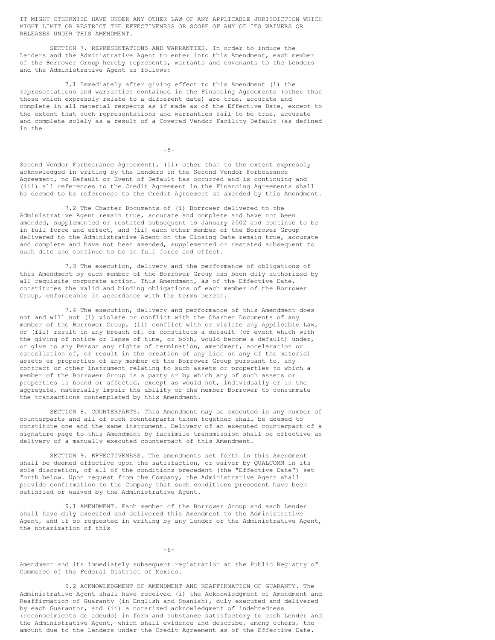IT MIGHT OTHERWISE HAVE UNDER ANY OTHER LAW OF ANY APPLICABLE JURISDICTION WHICH MIGHT LIMIT OR RESTRICT THE EFFECTIVENESS OR SCOPE OF ANY OF ITS WAIVERS OR RELEASES UNDER THIS AMENDMENT.

SECTION 7. REPRESENTATIONS AND WARRANTIES. In order to induce the Lenders and the Administrative Agent to enter into this Amendment, each member of the Borrower Group hereby represents, warrants and covenants to the Lenders and the Administrative Agent as follows:

7.1 Immediately after giving effect to this Amendment (i) the representations and warranties contained in the Financing Agreements (other than those which expressly relate to a different date) are true, accurate and complete in all material respects as if made as of the Effective Date, except to the extent that such representations and warranties fail to be true, accurate and complete solely as a result of a Covered Vendor Facility Default (as defined in the

-5-

Second Vendor Forbearance Agreement), (ii) other than to the extent expressly acknowledged in writing by the Lenders in the Second Vendor Forbearance Agreement, no Default or Event of Default has occurred and is continuing and (iii) all references to the Credit Agreement in the Financing Agreements shall be deemed to be references to the Credit Agreement as amended by this Amendment.

7.2 The Charter Documents of (i) Borrower delivered to the Administrative Agent remain true, accurate and complete and have not been amended, supplemented or restated subsequent to January 2002 and continue to be in full force and effect, and (ii) each other member of the Borrower Group delivered to the Administrative Agent on the Closing Date remain true, accurate and complete and have not been amended, supplemented or restated subsequent to such date and continue to be in full force and effect.

7.3 The execution, delivery and the performance of obligations of this Amendment by each member of the Borrower Group has been duly authorized by all requisite corporate action. This Amendment, as of the Effective Date, constitutes the valid and binding obligations of each member of the Borrower Group, enforceable in accordance with the terms herein.

7.4 The execution, delivery and performance of this Amendment does not and will not (i) violate or conflict with the Charter Documents of any member of the Borrower Group, (ii) conflict with or violate any Applicable Law, or (iii) result in any breach of, or constitute a default (or event which with the giving of notice or lapse of time, or both, would become a default) under, or give to any Person any rights of termination, amendment, acceleration or cancellation of, or result in the creation of any Lien on any of the material assets or properties of any member of the Borrower Group pursuant to, any contract or other instrument relating to such assets or properties to which a member of the Borrower Group is a party or by which any of such assets or properties is bound or affected, except as would not, individually or in the aggregate, materially impair the ability of the member Borrower to consummate the transactions contemplated by this Amendment.

SECTION 8. COUNTERPARTS. This Amendment may be executed in any number of counterparts and all of such counterparts taken together shall be deemed to constitute one and the same instrument. Delivery of an executed counterpart of a signature page to this Amendment by facsimile transmission shall be effective as delivery of a manually executed counterpart of this Amendment.

SECTION 9. EFFECTIVENESS. The amendments set forth in this Amendment shall be deemed effective upon the satisfaction, or waiver by QUALCOMM in its sole discretion, of all of the conditions precedent (the "Effective Date") set forth below. Upon request from the Company, the Administrative Agent shall provide confirmation to the Company that such conditions precedent have been satisfied or waived by the Administrative Agent.

9.1 AMENDMENT. Each member of the Borrower Group and each Lender shall have duly executed and delivered this Amendment to the Administrative Agent, and if so requested in writing by any Lender or the Administrative Agent, the notarization of this

 $-6-$ 

Amendment and its immediately subsequent registration at the Public Registry of Commerce of the Federal District of Mexico.

9.2 ACKNOWLEDGMENT OF AMENDMENT AND REAFFIRMATION OF GUARANTY. The Administrative Agent shall have received (i) the Acknowledgment of Amendment and Reaffirmation of Guaranty (in English and Spanish), duly executed and delivered by each Guarantor, and (ii) a notarized acknowledgment of indebtedness (reconocimiento de adeudo) in form and substance satisfactory to each Lender and the Administrative Agent, which shall evidence and describe, among others, the amount due to the Lenders under the Credit Agreement as of the Effective Date.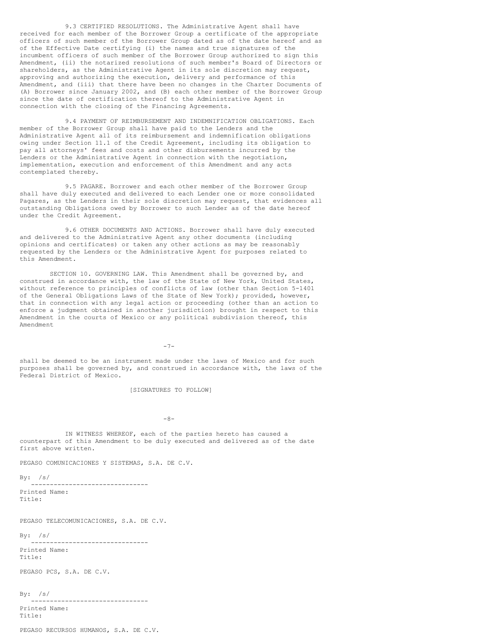9.3 CERTIFIED RESOLUTIONS. The Administrative Agent shall have received for each member of the Borrower Group a certificate of the appropriate officers of such member of the Borrower Group dated as of the date hereof and as of the Effective Date certifying (i) the names and true signatures of the incumbent officers of such member of the Borrower Group authorized to sign this Amendment, (ii) the notarized resolutions of such member's Board of Directors or shareholders, as the Administrative Agent in its sole discretion may request, approving and authorizing the execution, delivery and performance of this Amendment, and (iii) that there have been no changes in the Charter Documents of (A) Borrower since January 2002, and (B) each other member of the Borrower Group since the date of certification thereof to the Administrative Agent in connection with the closing of the Financing Agreements.

9.4 PAYMENT OF REIMBURSEMENT AND INDEMNIFICATION OBLIGATIONS. Each member of the Borrower Group shall have paid to the Lenders and the Administrative Agent all of its reimbursement and indemnification obligations owing under Section 11.1 of the Credit Agreement, including its obligation to pay all attorneys' fees and costs and other disbursements incurred by the Lenders or the Administrative Agent in connection with the negotiation, implementation, execution and enforcement of this Amendment and any acts contemplated thereby.

9.5 PAGARE. Borrower and each other member of the Borrower Group shall have duly executed and delivered to each Lender one or more consolidated Pagares, as the Lenders in their sole discretion may request, that evidences all outstanding Obligations owed by Borrower to such Lender as of the date hereof under the Credit Agreement.

9.6 OTHER DOCUMENTS AND ACTIONS. Borrower shall have duly executed and delivered to the Administrative Agent any other documents (including opinions and certificates) or taken any other actions as may be reasonably requested by the Lenders or the Administrative Agent for purposes related to this Amendment.

SECTION 10. GOVERNING LAW. This Amendment shall be governed by, and construed in accordance with, the law of the State of New York, United States, without reference to principles of conflicts of law (other than Section 5-1401 of the General Obligations Laws of the State of New York); provided, however, that in connection with any legal action or proceeding (other than an action to enforce a judgment obtained in another jurisdiction) brought in respect to this Amendment in the courts of Mexico or any political subdivision thereof, this Amendment

-7-

shall be deemed to be an instrument made under the laws of Mexico and for such purposes shall be governed by, and construed in accordance with, the laws of the Federal District of Mexico.

[SIGNATURES TO FOLLOW]

 $-8-$ 

IN WITNESS WHEREOF, each of the parties hereto has caused a counterpart of this Amendment to be duly executed and delivered as of the date first above written.

PEGASO COMUNICACIONES Y SISTEMAS, S.A. DE C.V.

 $By: /s/$ 

------------------------------- Printed Name: Title:

PEGASO TELECOMUNICACIONES, S.A. DE C.V.

 $By: /s/$ 

------------------------------- Printed Name: Title:

PEGASO PCS, S.A. DE C.V.

 $By: /s/$ 

------------------------------- Printed Name: Title:

PEGASO RECURSOS HUMANOS, S.A. DE C.V.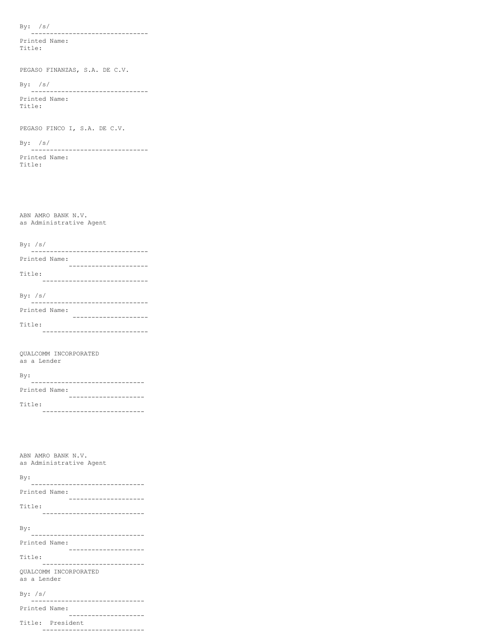By: /s/

------------------------------- Printed Name: Title:

PEGASO FINANZAS, S.A. DE C.V.

By: /s/

------------------------------- Printed Name:

Title:

PEGASO FINCO I, S.A. DE C.V.

By: /s/

------------------------------- Printed Name: Title:

ABN AMRO BANK N.V. as Administrative Agent

By: /s/

| Printed Name: |  |
|---------------|--|
|               |  |
| Title:        |  |

----------------------------

| By: $/s/$ |               |  |  |  |
|-----------|---------------|--|--|--|
|           |               |  |  |  |
|           | Printed Name: |  |  |  |
|           |               |  |  |  |
| Title:    |               |  |  |  |

----------------------------

QUALCOMM INCORPORATED as a Lender

 $B_{37}$ .

| $-$ y $\cdot$ |  |
|---------------|--|
|               |  |
| Printed Name: |  |
|               |  |
| Title:        |  |

---------------------------

| ABN AMRO BANK N.V.<br>as Administrative Agent                 |  |  |  |
|---------------------------------------------------------------|--|--|--|
| By:                                                           |  |  |  |
| Printed Name:<br>---------------------                        |  |  |  |
| Title:                                                        |  |  |  |
|                                                               |  |  |  |
| By:<br>---------------------                                  |  |  |  |
| Printed Name:<br>. _ _ _ _ _ _ _ _ _ _ _ _ _ _ _ _ _ _        |  |  |  |
| Title:<br>.                                                   |  |  |  |
| OUALCOMM INCORPORATED<br>as a Lender                          |  |  |  |
| By: $/s/$<br>--------------------------                       |  |  |  |
| Printed Name:<br>. <u>_ _ _ _ _ _ _ _ _ _ _ _ _ _ _ _</u> _ _ |  |  |  |
| Title: President                                              |  |  |  |

---------------------------